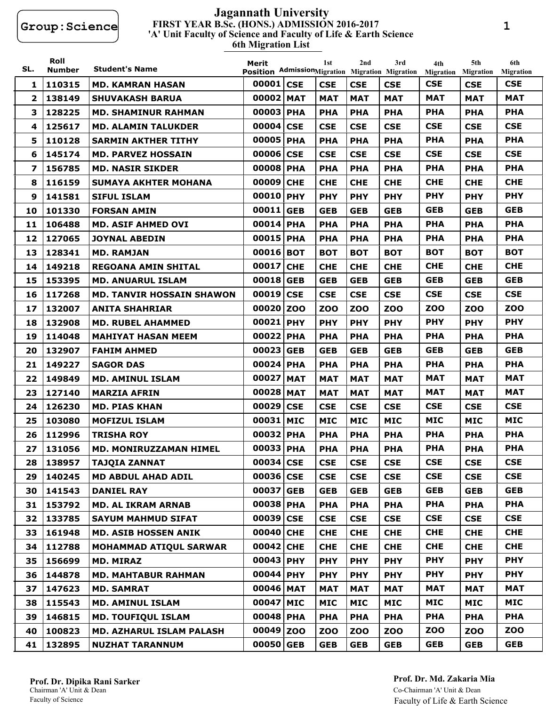#### **FIRST YEAR B.Sc. (HONS.) ADMISSION 2016-2017 6th Migration List 'A' Unit Faculty of Science and Faculty of Life & Earth Science Jagannath University**

| SL.          | Roll<br>Number | <b>Student's Name</b>            | Merit<br>Position AdmissionMigration Migration Migration | 1st        | 2nd        | 3rd        | 4th<br><b>Migration</b> | 5th<br><b>Migration</b> | 6th<br><b>Migration</b> |
|--------------|----------------|----------------------------------|----------------------------------------------------------|------------|------------|------------|-------------------------|-------------------------|-------------------------|
| 1            | 110315         | MD. KAMRAN HASAN                 | 00001 CSE                                                | <b>CSE</b> | <b>CSE</b> | <b>CSE</b> | <b>CSE</b>              | <b>CSE</b>              | <b>CSE</b>              |
| $\mathbf{2}$ | 138149         | <b>SHUVAKASH BARUA</b>           | 00002 MAT                                                | <b>MAT</b> | <b>MAT</b> | <b>MAT</b> | <b>MAT</b>              | <b>MAT</b>              | <b>MAT</b>              |
| 3            | 128225         | <b>MD. SHAMINUR RAHMAN</b>       | 00003 PHA                                                | <b>PHA</b> | <b>PHA</b> | <b>PHA</b> | <b>PHA</b>              | <b>PHA</b>              | <b>PHA</b>              |
| 4            | 125617         | <b>MD. ALAMIN TALUKDER</b>       | 00004 CSE                                                | <b>CSE</b> | <b>CSE</b> | <b>CSE</b> | <b>CSE</b>              | <b>CSE</b>              | <b>CSE</b>              |
| 5.           | 110128         | <b>SARMIN AKTHER TITHY</b>       | 00005 PHA                                                | <b>PHA</b> | <b>PHA</b> | <b>PHA</b> | <b>PHA</b>              | <b>PHA</b>              | <b>PHA</b>              |
| 6            | 145174         | <b>MD. PARVEZ HOSSAIN</b>        | 00006 CSE                                                | <b>CSE</b> | <b>CSE</b> | <b>CSE</b> | <b>CSE</b>              | <b>CSE</b>              | <b>CSE</b>              |
| 7            | 156785         | <b>MD. NASIR SIKDER</b>          | 00008 PHA                                                | <b>PHA</b> | <b>PHA</b> | <b>PHA</b> | <b>PHA</b>              | <b>PHA</b>              | <b>PHA</b>              |
| 8            | 116159         | <b>SUMAYA AKHTER MOHANA</b>      | 00009 CHE                                                | <b>CHE</b> | <b>CHE</b> | <b>CHE</b> | <b>CHE</b>              | <b>CHE</b>              | <b>CHE</b>              |
| 9            | 141581         | <b>SIFUL ISLAM</b>               | 00010 PHY                                                | <b>PHY</b> | <b>PHY</b> | <b>PHY</b> | <b>PHY</b>              | <b>PHY</b>              | <b>PHY</b>              |
| 10           | 101330         | <b>FORSAN AMIN</b>               | 00011 GEB                                                | <b>GEB</b> | <b>GEB</b> | <b>GEB</b> | <b>GEB</b>              | <b>GEB</b>              | <b>GEB</b>              |
| 11           | 106488         | <b>MD. ASIF AHMED OVI</b>        | 00014 PHA                                                | <b>PHA</b> | <b>PHA</b> | <b>PHA</b> | <b>PHA</b>              | <b>PHA</b>              | <b>PHA</b>              |
| 12           | 127065         | <b>JOYNAL ABEDIN</b>             | 00015 PHA                                                | <b>PHA</b> | <b>PHA</b> | <b>PHA</b> | <b>PHA</b>              | <b>PHA</b>              | <b>PHA</b>              |
| 13           | 128341         | <b>MD. RAMJAN</b>                | 00016 BOT                                                | <b>BOT</b> | <b>BOT</b> | <b>BOT</b> | <b>BOT</b>              | <b>BOT</b>              | <b>BOT</b>              |
| 14           | 149218         | <b>REGOANA AMIN SHITAL</b>       | 00017 CHE                                                | <b>CHE</b> | <b>CHE</b> | <b>CHE</b> | <b>CHE</b>              | <b>CHE</b>              | <b>CHE</b>              |
| 15           | 153395         | <b>MD. ANUARUL ISLAM</b>         | 00018 GEB                                                | <b>GEB</b> | <b>GEB</b> | <b>GEB</b> | <b>GEB</b>              | <b>GEB</b>              | <b>GEB</b>              |
| 16           | 117268         | <b>MD. TANVIR HOSSAIN SHAWON</b> | 00019 CSE                                                | <b>CSE</b> | <b>CSE</b> | <b>CSE</b> | <b>CSE</b>              | <b>CSE</b>              | <b>CSE</b>              |
| 17           | 132007         | <b>ANITA SHAHRIAR</b>            | 00020 ZOO                                                | <b>ZOO</b> | <b>ZOO</b> | <b>ZOO</b> | <b>ZOO</b>              | <b>ZOO</b>              | <b>ZOO</b>              |
| 18           | 132908         | <b>MD. RUBEL AHAMMED</b>         | 00021 PHY                                                | <b>PHY</b> | <b>PHY</b> | <b>PHY</b> | <b>PHY</b>              | <b>PHY</b>              | <b>PHY</b>              |
| 19           | 114048         | <b>MAHIYAT HASAN MEEM</b>        | 00022 PHA                                                | <b>PHA</b> | <b>PHA</b> | <b>PHA</b> | <b>PHA</b>              | <b>PHA</b>              | <b>PHA</b>              |
| 20           | 132907         | <b>FAHIM AHMED</b>               | 00023 GEB                                                | <b>GEB</b> | <b>GEB</b> | <b>GEB</b> | <b>GEB</b>              | <b>GEB</b>              | <b>GEB</b>              |
| 21           | 149227         | <b>SAGOR DAS</b>                 | 00024 PHA                                                | <b>PHA</b> | <b>PHA</b> | <b>PHA</b> | <b>PHA</b>              | <b>PHA</b>              | <b>PHA</b>              |
| 22           | 149849         | MD. AMINUL ISLAM                 | 00027 MAT                                                | <b>MAT</b> | <b>MAT</b> | MAT        | MAT                     | <b>MAT</b>              | MAT                     |
| 23           | 127140         | <b>MARZIA AFRIN</b>              | 00028 MAT                                                | <b>MAT</b> | <b>MAT</b> | <b>MAT</b> | <b>MAT</b>              | <b>MAT</b>              | <b>MAT</b>              |
| 24           | 126230         | <b>MD. PIAS KHAN</b>             | 00029 CSE                                                | <b>CSE</b> | <b>CSE</b> | <b>CSE</b> | <b>CSE</b>              | <b>CSE</b>              | <b>CSE</b>              |
| 25           | 103080         | <b>MOFIZUL ISLAM</b>             | 00031 MIC                                                | <b>MIC</b> | <b>MIC</b> | MIC        | <b>MIC</b>              | <b>MIC</b>              | <b>MIC</b>              |
| 26           | 112996         | <b>TRISHA ROY</b>                | 00032 PHA                                                | <b>PHA</b> | <b>PHA</b> | <b>PHA</b> | <b>PHA</b>              | <b>PHA</b>              | <b>PHA</b>              |
| 27           | 131056         | <b>MD. MONIRUZZAMAN HIMEL</b>    | 00033 PHA                                                | <b>PHA</b> | <b>PHA</b> | <b>PHA</b> | <b>PHA</b>              | <b>PHA</b>              | <b>PHA</b>              |
| 28           | 138957         | <b>TAJQIA ZANNAT</b>             | 00034 CSE                                                | <b>CSE</b> | <b>CSE</b> | <b>CSE</b> | <b>CSE</b>              | <b>CSE</b>              | <b>CSE</b>              |
| 29           | 140245         | <b>MD ABDUL AHAD ADIL</b>        | 00036 CSE                                                | <b>CSE</b> | <b>CSE</b> | <b>CSE</b> | <b>CSE</b>              | <b>CSE</b>              | <b>CSE</b>              |
| 30           | 141543         | <b>DANIEL RAY</b>                | 00037 GEB                                                | <b>GEB</b> | <b>GEB</b> | <b>GEB</b> | <b>GEB</b>              | <b>GEB</b>              | <b>GEB</b>              |
| 31           | 153792         | <b>MD. AL IKRAM ARNAB</b>        | 00038 PHA                                                | <b>PHA</b> | <b>PHA</b> | <b>PHA</b> | <b>PHA</b>              | <b>PHA</b>              | <b>PHA</b>              |
| 32           | 133785         | <b>SAYUM MAHMUD SIFAT</b>        | 00039 CSE                                                | <b>CSE</b> | <b>CSE</b> | <b>CSE</b> | <b>CSE</b>              | <b>CSE</b>              | <b>CSE</b>              |
| 33           | 161948         | <b>MD. ASIB HOSSEN ANIK</b>      | 00040 CHE                                                | <b>CHE</b> | <b>CHE</b> | <b>CHE</b> | <b>CHE</b>              | <b>CHE</b>              | <b>CHE</b>              |
| 34           | 112788         | <b>MOHAMMAD ATIQUL SARWAR</b>    | 00042 CHE                                                | <b>CHE</b> | <b>CHE</b> | <b>CHE</b> | <b>CHE</b>              | <b>CHE</b>              | <b>CHE</b>              |
| 35           | 156699         | <b>MD. MIRAZ</b>                 | 00043 PHY                                                | <b>PHY</b> | <b>PHY</b> | <b>PHY</b> | <b>PHY</b>              | <b>PHY</b>              | <b>PHY</b>              |
| 36           | 144878         | <b>MD. MAHTABUR RAHMAN</b>       | 00044 PHY                                                | <b>PHY</b> | <b>PHY</b> | <b>PHY</b> | <b>PHY</b>              | <b>PHY</b>              | <b>PHY</b>              |
| 37           | 147623         | <b>MD. SAMRAT</b>                | 00046 MAT                                                | <b>MAT</b> | <b>MAT</b> | <b>MAT</b> | <b>MAT</b>              | <b>MAT</b>              | <b>MAT</b>              |
| 38           | 115543         | <b>MD. AMINUL ISLAM</b>          | 00047 MIC                                                | <b>MIC</b> | <b>MIC</b> | <b>MIC</b> | <b>MIC</b>              | <b>MIC</b>              | <b>MIC</b>              |
| 39           | 146815         | <b>MD. TOUFIQUL ISLAM</b>        | 00048 PHA                                                | <b>PHA</b> | <b>PHA</b> | <b>PHA</b> | <b>PHA</b>              | <b>PHA</b>              | <b>PHA</b>              |
| 40           | 100823         | <b>MD. AZHARUL ISLAM PALASH</b>  | 00049 ZOO                                                | <b>ZOO</b> | <b>ZOO</b> | <b>ZOO</b> | <b>ZOO</b>              | <b>ZOO</b>              | <b>ZOO</b>              |
| 41           | 132895         | <b>NUZHAT TARANNUM</b>           | 00050 GEB                                                | <b>GEB</b> | <b>GEB</b> | <b>GEB</b> | <b>GEB</b>              | <b>GEB</b>              | <b>GEB</b>              |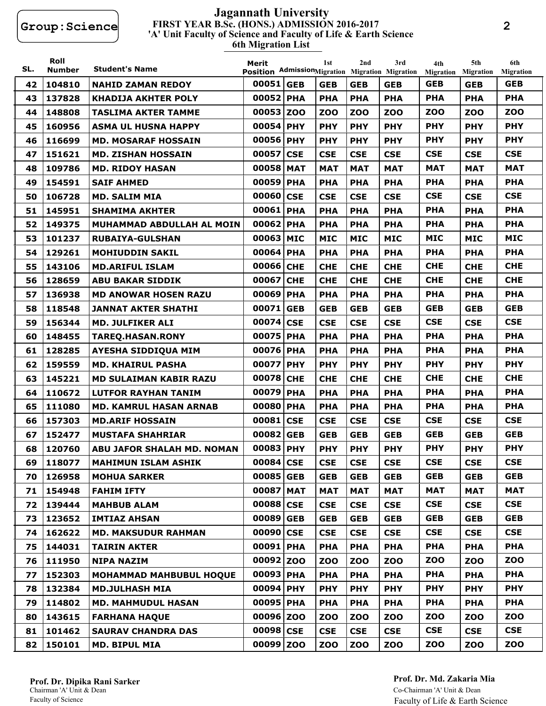#### **FIRST YEAR B.Sc. (HONS.) ADMISSION 2016-2017 6th Migration List 'A' Unit Faculty of Science and Faculty of Life & Earth Science Jagannath University**

| SL. | Roll<br><b>Number</b> | <b>Student's Name</b>             | Merit     | 1st        | 2nd        | 3rd<br>Position AdmissionMigration Migration Migration | 4th<br><b>Migration</b> | 5th<br><b>Migration</b> | 6th<br><b>Migration</b> |
|-----|-----------------------|-----------------------------------|-----------|------------|------------|--------------------------------------------------------|-------------------------|-------------------------|-------------------------|
| 42  | 104810                | <b>NAHID ZAMAN REDOY</b>          | 00051 GEB | <b>GEB</b> | <b>GEB</b> | <b>GEB</b>                                             | <b>GEB</b>              | <b>GEB</b>              | <b>GEB</b>              |
| 43  | 137828                | <b>KHADIJA AKHTER POLY</b>        | 00052 PHA | <b>PHA</b> | <b>PHA</b> | <b>PHA</b>                                             | <b>PHA</b>              | <b>PHA</b>              | <b>PHA</b>              |
| 44  | 148808                | <b>TASLIMA AKTER TAMME</b>        | 00053 ZOO | <b>ZOO</b> | <b>ZOO</b> | <b>ZOO</b>                                             | <b>ZOO</b>              | <b>ZOO</b>              | <b>ZOO</b>              |
| 45  | 160956                | <b>ASMA UL HUSNA HAPPY</b>        | 00054 PHY | <b>PHY</b> | <b>PHY</b> | <b>PHY</b>                                             | <b>PHY</b>              | <b>PHY</b>              | <b>PHY</b>              |
| 46  | 116699                | <b>MD. MOSARAF HOSSAIN</b>        | 00056 PHY | <b>PHY</b> | <b>PHY</b> | <b>PHY</b>                                             | <b>PHY</b>              | <b>PHY</b>              | <b>PHY</b>              |
| 47  | 151621                | <b>MD. ZISHAN HOSSAIN</b>         | 00057 CSE | <b>CSE</b> | <b>CSE</b> | <b>CSE</b>                                             | <b>CSE</b>              | <b>CSE</b>              | <b>CSE</b>              |
| 48  | 109786                | <b>MD. RIDOY HASAN</b>            | 00058 MAT | <b>MAT</b> | <b>MAT</b> | <b>MAT</b>                                             | <b>MAT</b>              | <b>MAT</b>              | <b>MAT</b>              |
| 49  | 154591                | <b>SAIF AHMED</b>                 | 00059 PHA | <b>PHA</b> | <b>PHA</b> | <b>PHA</b>                                             | <b>PHA</b>              | <b>PHA</b>              | <b>PHA</b>              |
| 50  | 106728                | <b>MD. SALIM MIA</b>              | 00060 CSE | <b>CSE</b> | <b>CSE</b> | <b>CSE</b>                                             | <b>CSE</b>              | <b>CSE</b>              | <b>CSE</b>              |
| 51  | 145951                | <b>SHAMIMA AKHTER</b>             | 00061 PHA | <b>PHA</b> | <b>PHA</b> | <b>PHA</b>                                             | <b>PHA</b>              | <b>PHA</b>              | <b>PHA</b>              |
| 52  | 149375                | MUHAMMAD ABDULLAH AL MOIN         | 00062 PHA | <b>PHA</b> | <b>PHA</b> | <b>PHA</b>                                             | <b>PHA</b>              | <b>PHA</b>              | <b>PHA</b>              |
| 53  | 101237                | <b>RUBAIYA-GULSHAN</b>            | 00063 MIC | <b>MIC</b> | <b>MIC</b> | <b>MIC</b>                                             | <b>MIC</b>              | <b>MIC</b>              | <b>MIC</b>              |
| 54  | 129261                | <b>MOHIUDDIN SAKIL</b>            | 00064 PHA | <b>PHA</b> | <b>PHA</b> | <b>PHA</b>                                             | <b>PHA</b>              | <b>PHA</b>              | <b>PHA</b>              |
| 55  | 143106                | <b>MD.ARIFUL ISLAM</b>            | 00066 CHE | <b>CHE</b> | <b>CHE</b> | <b>CHE</b>                                             | <b>CHE</b>              | <b>CHE</b>              | <b>CHE</b>              |
| 56  | 128659                | <b>ABU BAKAR SIDDIK</b>           | 00067 CHE | <b>CHE</b> | <b>CHE</b> | <b>CHE</b>                                             | <b>CHE</b>              | <b>CHE</b>              | <b>CHE</b>              |
| 57  | 136938                | <b>MD ANOWAR HOSEN RAZU</b>       | 00069 PHA | <b>PHA</b> | <b>PHA</b> | <b>PHA</b>                                             | <b>PHA</b>              | <b>PHA</b>              | <b>PHA</b>              |
| 58  | 118548                | <b>JANNAT AKTER SHATHI</b>        | 00071 GEB | <b>GEB</b> | <b>GEB</b> | <b>GEB</b>                                             | <b>GEB</b>              | <b>GEB</b>              | <b>GEB</b>              |
| 59  | 156344                | <b>MD. JULFIKER ALI</b>           | 00074 CSE | <b>CSE</b> | <b>CSE</b> | <b>CSE</b>                                             | <b>CSE</b>              | <b>CSE</b>              | <b>CSE</b>              |
| 60  | 148455                | <b>TAREQ.HASAN.RONY</b>           | 00075 PHA | <b>PHA</b> | <b>PHA</b> | <b>PHA</b>                                             | <b>PHA</b>              | <b>PHA</b>              | <b>PHA</b>              |
| 61  | 128285                | <b>AYESHA SIDDIQUA MIM</b>        | 00076 PHA | <b>PHA</b> | <b>PHA</b> | <b>PHA</b>                                             | <b>PHA</b>              | <b>PHA</b>              | <b>PHA</b>              |
| 62  | 159559                | <b>MD. KHAIRUL PASHA</b>          | 00077 PHY | <b>PHY</b> | <b>PHY</b> | <b>PHY</b>                                             | <b>PHY</b>              | <b>PHY</b>              | <b>PHY</b>              |
| 63  | 145221                | <b>MD SULAIMAN KABIR RAZU</b>     | 00078 CHE | <b>CHE</b> | <b>CHE</b> | <b>CHE</b>                                             | <b>CHE</b>              | <b>CHE</b>              | <b>CHE</b>              |
| 64  | 110672                | <b>LUTFOR RAYHAN TANIM</b>        | 00079 PHA | <b>PHA</b> | <b>PHA</b> | <b>PHA</b>                                             | <b>PHA</b>              | <b>PHA</b>              | <b>PHA</b>              |
| 65  | 111080                | <b>MD. KAMRUL HASAN ARNAB</b>     | 00080 PHA | <b>PHA</b> | <b>PHA</b> | <b>PHA</b>                                             | <b>PHA</b>              | <b>PHA</b>              | <b>PHA</b>              |
| 66  | 157303                | <b>MD.ARIF HOSSAIN</b>            | 00081 CSE | <b>CSE</b> | <b>CSE</b> | <b>CSE</b>                                             | <b>CSE</b>              | <b>CSE</b>              | <b>CSE</b>              |
| 67  | 152477                | <b>MUSTAFA SHAHRIAR</b>           | 00082 GEB | <b>GEB</b> | <b>GEB</b> | <b>GEB</b>                                             | <b>GEB</b>              | <b>GEB</b>              | <b>GEB</b>              |
| 68  | 120760                | <b>ABU JAFOR SHALAH MD. NOMAN</b> | 00083 PHY | <b>PHY</b> | <b>PHY</b> | <b>PHY</b>                                             | <b>PHY</b>              | <b>PHY</b>              | <b>PHY</b>              |
| 69  | 118077                | <b>MAHIMUN ISLAM ASHIK</b>        | 00084 CSE | <b>CSE</b> | <b>CSE</b> | <b>CSE</b>                                             | <b>CSE</b>              | <b>CSE</b>              | <b>CSE</b>              |
| 70  | 126958                | <b>MOHUA SARKER</b>               | 00085 GEB | <b>GEB</b> | <b>GEB</b> | <b>GEB</b>                                             | <b>GEB</b>              | <b>GEB</b>              | <b>GEB</b>              |
| 71  | 154948                | <b>FAHIM IFTY</b>                 | 00087 MAT | <b>MAT</b> | <b>MAT</b> | <b>MAT</b>                                             | <b>MAT</b>              | <b>MAT</b>              | <b>MAT</b>              |
| 72  | 139444                | <b>MAHBUB ALAM</b>                | 00088 CSE | <b>CSE</b> | <b>CSE</b> | <b>CSE</b>                                             | <b>CSE</b>              | <b>CSE</b>              | <b>CSE</b>              |
| 73  | 123652                | <b>IMTIAZ AHSAN</b>               | 00089 GEB | <b>GEB</b> | <b>GEB</b> | <b>GEB</b>                                             | <b>GEB</b>              | <b>GEB</b>              | <b>GEB</b>              |
| 74  | 162622                | <b>MD. MAKSUDUR RAHMAN</b>        | 00090 CSE | <b>CSE</b> | <b>CSE</b> | <b>CSE</b>                                             | <b>CSE</b>              | <b>CSE</b>              | <b>CSE</b>              |
| 75  | 144031                | <b>TAIRIN AKTER</b>               | 00091 PHA | <b>PHA</b> | <b>PHA</b> | <b>PHA</b>                                             | <b>PHA</b>              | <b>PHA</b>              | <b>PHA</b>              |
| 76  | 111950                | <b>NIPA NAZIM</b>                 | 00092 ZOO | <b>ZOO</b> | <b>ZOO</b> | <b>ZOO</b>                                             | <b>ZOO</b>              | <b>ZOO</b>              | <b>ZOO</b>              |
| 77  | 152303                | <b>MOHAMMAD MAHBUBUL HOQUE</b>    | 00093 PHA | <b>PHA</b> | <b>PHA</b> | <b>PHA</b>                                             | <b>PHA</b>              | <b>PHA</b>              | <b>PHA</b>              |
| 78  | 132384                | <b>MD.JULHASH MIA</b>             | 00094 PHY | <b>PHY</b> | <b>PHY</b> | <b>PHY</b>                                             | <b>PHY</b>              | <b>PHY</b>              | <b>PHY</b>              |
| 79  | 114802                | <b>MD. MAHMUDUL HASAN</b>         | 00095 PHA | <b>PHA</b> | <b>PHA</b> | <b>PHA</b>                                             | <b>PHA</b>              | <b>PHA</b>              | <b>PHA</b>              |
| 80  | 143615                | <b>FARHANA HAQUE</b>              | 00096 ZOO | <b>ZOO</b> | <b>ZOO</b> | <b>ZOO</b>                                             | <b>ZOO</b>              | <b>ZOO</b>              | <b>ZOO</b>              |
| 81  | 101462                | <b>SAURAV CHANDRA DAS</b>         | 00098 CSE | <b>CSE</b> | <b>CSE</b> | <b>CSE</b>                                             | <b>CSE</b>              | <b>CSE</b>              | <b>CSE</b>              |
| 82  | 150101                | <b>MD. BIPUL MIA</b>              | 00099 ZOO | <b>ZOO</b> | <b>ZOO</b> | <b>ZOO</b>                                             | <b>ZOO</b>              | <b>ZOO</b>              | <b>ZOO</b>              |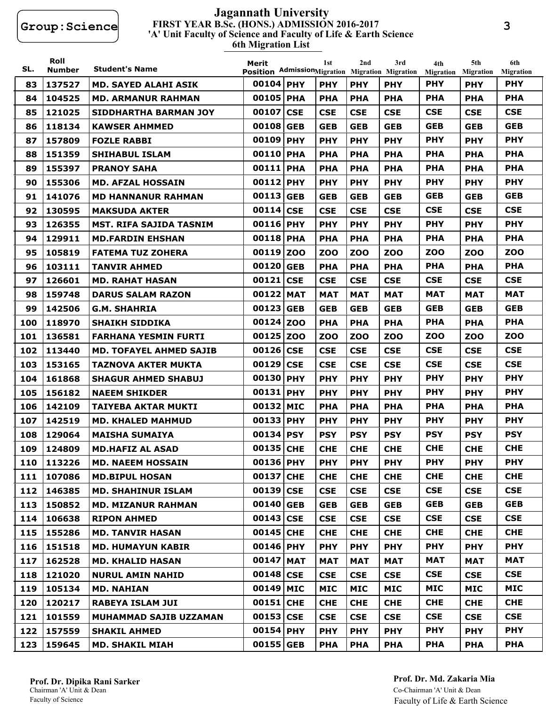#### **FIRST YEAR B.Sc. (HONS.) ADMISSION 2016-2017 6th Migration List 'A' Unit Faculty of Science and Faculty of Life & Earth Science Jagannath University**

| SL. | Roll<br><b>Number</b> | <b>Student's Name</b>          | Merit<br>Position AdmissionMigration Migration Migration | 1st        | 2nd        | 3rd        | 4th<br><b>Migration</b> | 5th<br><b>Migration</b> | 6th<br><b>Migration</b> |
|-----|-----------------------|--------------------------------|----------------------------------------------------------|------------|------------|------------|-------------------------|-------------------------|-------------------------|
| 83  | 137527                | MD. SAYED ALAHI ASIK           | 00104 PHY                                                | <b>PHY</b> | <b>PHY</b> | <b>PHY</b> | <b>PHY</b>              | <b>PHY</b>              | <b>PHY</b>              |
| 84  | 104525                | <b>MD. ARMANUR RAHMAN</b>      | 00105 PHA                                                | <b>PHA</b> | <b>PHA</b> | <b>PHA</b> | <b>PHA</b>              | <b>PHA</b>              | <b>PHA</b>              |
| 85  | 121025                | <b>SIDDHARTHA BARMAN JOY</b>   | 00107 CSE                                                | <b>CSE</b> | <b>CSE</b> | <b>CSE</b> | <b>CSE</b>              | <b>CSE</b>              | <b>CSE</b>              |
| 86  | 118134                | <b>KAWSER AHMMED</b>           | 00108 GEB                                                | <b>GEB</b> | <b>GEB</b> | <b>GEB</b> | <b>GEB</b>              | <b>GEB</b>              | <b>GEB</b>              |
| 87  | 157809                | <b>FOZLE RABBI</b>             | 00109 PHY                                                | <b>PHY</b> | <b>PHY</b> | <b>PHY</b> | <b>PHY</b>              | <b>PHY</b>              | <b>PHY</b>              |
| 88  | 151359                | <b>SHIHABUL ISLAM</b>          | 00110 PHA                                                | <b>PHA</b> | <b>PHA</b> | <b>PHA</b> | <b>PHA</b>              | <b>PHA</b>              | <b>PHA</b>              |
| 89  | 155397                | <b>PRANOY SAHA</b>             | 00111 PHA                                                | <b>PHA</b> | <b>PHA</b> | <b>PHA</b> | <b>PHA</b>              | <b>PHA</b>              | <b>PHA</b>              |
| 90  | 155306                | <b>MD. AFZAL HOSSAIN</b>       | 00112 PHY                                                | <b>PHY</b> | <b>PHY</b> | <b>PHY</b> | <b>PHY</b>              | <b>PHY</b>              | <b>PHY</b>              |
| 91  | 141076                | <b>MD HANNANUR RAHMAN</b>      | 00113 GEB                                                | <b>GEB</b> | <b>GEB</b> | <b>GEB</b> | <b>GEB</b>              | <b>GEB</b>              | <b>GEB</b>              |
| 92  | 130595                | <b>MAKSUDA AKTER</b>           | 00114 CSE                                                | <b>CSE</b> | <b>CSE</b> | <b>CSE</b> | <b>CSE</b>              | <b>CSE</b>              | <b>CSE</b>              |
| 93  | 126355                | MST. RIFA SAJIDA TASNIM        | 00116 PHY                                                | <b>PHY</b> | <b>PHY</b> | <b>PHY</b> | <b>PHY</b>              | <b>PHY</b>              | <b>PHY</b>              |
| 94  | 129911                | <b>MD.FARDIN EHSHAN</b>        | 00118 PHA                                                | <b>PHA</b> | <b>PHA</b> | <b>PHA</b> | <b>PHA</b>              | <b>PHA</b>              | <b>PHA</b>              |
| 95  | 105819                | <b>FATEMA TUZ ZOHERA</b>       | 00119 ZOO                                                | <b>ZOO</b> | <b>ZOO</b> | ZOO        | ZOO                     | <b>ZOO</b>              | <b>ZOO</b>              |
| 96  | 103111                | <b>TANVIR AHMED</b>            | 00120 GEB                                                | <b>PHA</b> | <b>PHA</b> | <b>PHA</b> | <b>PHA</b>              | <b>PHA</b>              | <b>PHA</b>              |
| 97  | 126601                | <b>MD. RAHAT HASAN</b>         | 00121 CSE                                                | <b>CSE</b> | <b>CSE</b> | <b>CSE</b> | <b>CSE</b>              | <b>CSE</b>              | <b>CSE</b>              |
| 98  | 159748                | <b>DARUS SALAM RAZON</b>       | 00122 MAT                                                | <b>MAT</b> | <b>MAT</b> | <b>MAT</b> | MAT                     | <b>MAT</b>              | <b>MAT</b>              |
| 99  | 142506                | <b>G.M. SHAHRIA</b>            | 00123 GEB                                                | <b>GEB</b> | <b>GEB</b> | <b>GEB</b> | <b>GEB</b>              | <b>GEB</b>              | <b>GEB</b>              |
| 100 | 118970                | <b>SHAIKH SIDDIKA</b>          | 00124 ZOO                                                | <b>PHA</b> | <b>PHA</b> | <b>PHA</b> | <b>PHA</b>              | <b>PHA</b>              | <b>PHA</b>              |
| 101 | 136581                | <b>FARHANA YESMIN FURTI</b>    | 00125 Z00                                                | <b>ZOO</b> | <b>ZOO</b> | zoo        | <b>ZOO</b>              | zoo                     | <b>ZOO</b>              |
| 102 | 113440                | <b>MD. TOFAYEL AHMED SAJIB</b> | 00126 CSE                                                | <b>CSE</b> | <b>CSE</b> | <b>CSE</b> | <b>CSE</b>              | <b>CSE</b>              | <b>CSE</b>              |
| 103 | 153165                | <b>TAZNOVA AKTER MUKTA</b>     | 00129 CSE                                                | <b>CSE</b> | <b>CSE</b> | <b>CSE</b> | <b>CSE</b>              | <b>CSE</b>              | <b>CSE</b>              |
| 104 | 161868                | <b>SHAGUR AHMED SHABUJ</b>     | 00130 PHY                                                | <b>PHY</b> | <b>PHY</b> | <b>PHY</b> | <b>PHY</b>              | <b>PHY</b>              | <b>PHY</b>              |
| 105 | 156182                | <b>NAEEM SHIKDER</b>           | 00131 PHY                                                | <b>PHY</b> | <b>PHY</b> | <b>PHY</b> | <b>PHY</b>              | <b>PHY</b>              | <b>PHY</b>              |
| 106 | 142109                | <b>TAIYEBA AKTAR MUKTI</b>     | 00132 MIC                                                | <b>PHA</b> | <b>PHA</b> | <b>PHA</b> | <b>PHA</b>              | <b>PHA</b>              | <b>PHA</b>              |
| 107 | 142519                | <b>MD. KHALED MAHMUD</b>       | 00133 PHY                                                | <b>PHY</b> | <b>PHY</b> | <b>PHY</b> | <b>PHY</b>              | <b>PHY</b>              | <b>PHY</b>              |
| 108 | 129064                | <b>MAISHA SUMAIYA</b>          | 00134 PSY                                                | <b>PSY</b> | <b>PSY</b> | <b>PSY</b> | <b>PSY</b>              | <b>PSY</b>              | <b>PSY</b>              |
| 109 | 124809                | <b>MD.HAFIZ AL ASAD</b>        | 00135 CHE                                                | <b>CHE</b> | <b>CHE</b> | <b>CHE</b> | <b>CHE</b>              | <b>CHE</b>              | <b>CHE</b>              |
| 110 | 113226                | <b>MD. NAEEM HOSSAIN</b>       | 00136 PHY                                                | <b>PHY</b> | <b>PHY</b> | <b>PHY</b> | <b>PHY</b>              | <b>PHY</b>              | <b>PHY</b>              |
| 111 | 107086                | <b>MD.BIPUL HOSAN</b>          | 00137 CHE                                                | <b>CHE</b> | <b>CHE</b> | <b>CHE</b> | <b>CHE</b>              | <b>CHE</b>              | <b>CHE</b>              |
| 112 | 146385                | <b>MD. SHAHINUR ISLAM</b>      | 00139 CSE                                                | <b>CSE</b> | <b>CSE</b> | <b>CSE</b> | <b>CSE</b>              | <b>CSE</b>              | <b>CSE</b>              |
| 113 | 150852                | <b>MD. MIZANUR RAHMAN</b>      | 00140 GEB                                                | <b>GEB</b> | <b>GEB</b> | <b>GEB</b> | <b>GEB</b>              | <b>GEB</b>              | <b>GEB</b>              |
| 114 | 106638                | <b>RIPON AHMED</b>             | 00143 CSE                                                | <b>CSE</b> | <b>CSE</b> | <b>CSE</b> | <b>CSE</b>              | <b>CSE</b>              | <b>CSE</b>              |
| 115 | 155286                | <b>MD. TANVIR HASAN</b>        | 00145 CHE                                                | <b>CHE</b> | <b>CHE</b> | <b>CHE</b> | <b>CHE</b>              | <b>CHE</b>              | <b>CHE</b>              |
| 116 | 151518                | <b>MD. HUMAYUN KABIR</b>       | 00146 PHY                                                | <b>PHY</b> | <b>PHY</b> | <b>PHY</b> | <b>PHY</b>              | <b>PHY</b>              | <b>PHY</b>              |
| 117 | 162528                | <b>MD. KHALID HASAN</b>        | 00147 MAT                                                | <b>MAT</b> | <b>MAT</b> | <b>MAT</b> | <b>MAT</b>              | <b>MAT</b>              | MAT                     |
| 118 | 121020                | <b>NURUL AMIN NAHID</b>        | 00148 CSE                                                | <b>CSE</b> | <b>CSE</b> | <b>CSE</b> | <b>CSE</b>              | <b>CSE</b>              | <b>CSE</b>              |
| 119 | 105134                | <b>MD. NAHIAN</b>              | 00149 MIC                                                | <b>MIC</b> | <b>MIC</b> | <b>MIC</b> | <b>MIC</b>              | <b>MIC</b>              | MIC                     |
| 120 | 120217                | <b>RABEYA ISLAM JUI</b>        | 00151 CHE                                                | <b>CHE</b> | <b>CHE</b> | <b>CHE</b> | <b>CHE</b>              | <b>CHE</b>              | <b>CHE</b>              |
| 121 | 101559                | MUHAMMAD SAJIB UZZAMAN         | 00153 CSE                                                | <b>CSE</b> | <b>CSE</b> | <b>CSE</b> | <b>CSE</b>              | <b>CSE</b>              | <b>CSE</b>              |
| 122 | 157559                | <b>SHAKIL AHMED</b>            | 00154 PHY                                                | <b>PHY</b> | <b>PHY</b> | <b>PHY</b> | <b>PHY</b>              | <b>PHY</b>              | <b>PHY</b>              |
| 123 | 159645                | <b>MD. SHAKIL MIAH</b>         | 00155 GEB                                                | <b>PHA</b> | <b>PHA</b> | <b>PHA</b> | <b>PHA</b>              | <b>PHA</b>              | <b>PHA</b>              |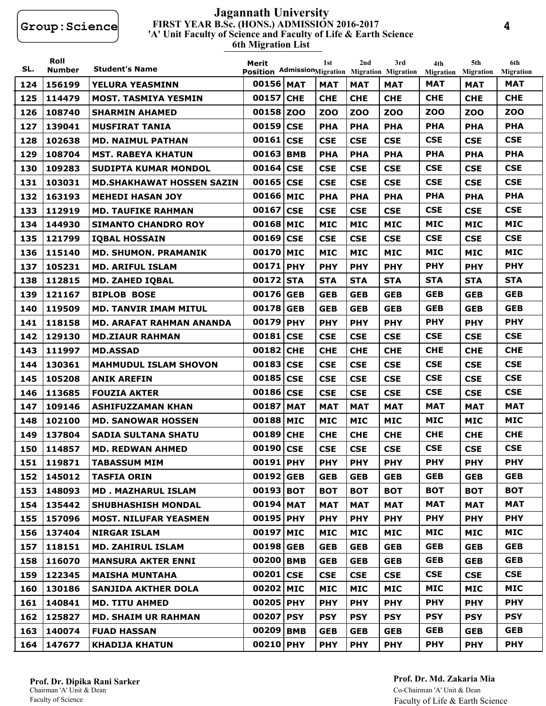#### **FIRST YEAR B.Sc. (HONS.) ADMISSION 2016-2017 6th Migration List 'A' Unit Faculty of Science and Faculty of Life & Earth Science Jagannath University**

| SL. | Roll<br><b>Number</b> | <b>Student's Name</b>            | Merit<br>Position AdmissionMigration Migration Migration |            | 1st        | 2nd        | 3rd        | 4th<br><b>Migration</b> | 5th<br><b>Migration</b> | 6th<br><b>Migration</b> |
|-----|-----------------------|----------------------------------|----------------------------------------------------------|------------|------------|------------|------------|-------------------------|-------------------------|-------------------------|
| 124 | 156199                | YELURA YEASMINN                  | 00156 MAT                                                |            | <b>MAT</b> | <b>MAT</b> | <b>MAT</b> | <b>MAT</b>              | <b>MAT</b>              | <b>MAT</b>              |
| 125 | 114479                | <b>MOST. TASMIYA YESMIN</b>      | 00157                                                    | <b>CHE</b> | <b>CHE</b> | <b>CHE</b> | <b>CHE</b> | <b>CHE</b>              | <b>CHE</b>              | <b>CHE</b>              |
| 126 | 108740                | <b>SHARMIN AHAMED</b>            | 00158                                                    | <b>ZOO</b> | <b>ZOO</b> | <b>ZOO</b> | <b>ZOO</b> | <b>ZOO</b>              | <b>ZOO</b>              | <b>ZOO</b>              |
| 127 | 139041                | <b>MUSFIRAT TANIA</b>            | 00159                                                    | <b>CSE</b> | <b>PHA</b> | <b>PHA</b> | <b>PHA</b> | <b>PHA</b>              | <b>PHA</b>              | <b>PHA</b>              |
| 128 | 102638                | <b>MD. NAIMUL PATHAN</b>         | 00161                                                    | <b>CSE</b> | <b>CSE</b> | <b>CSE</b> | <b>CSE</b> | <b>CSE</b>              | <b>CSE</b>              | <b>CSE</b>              |
| 129 | 108704                | <b>MST. RABEYA KHATUN</b>        | 00163                                                    | <b>BMB</b> | <b>PHA</b> | <b>PHA</b> | <b>PHA</b> | <b>PHA</b>              | <b>PHA</b>              | <b>PHA</b>              |
| 130 | 109283                | <b>SUDIPTA KUMAR MONDOL</b>      | 00164 CSE                                                |            | <b>CSE</b> | <b>CSE</b> | <b>CSE</b> | <b>CSE</b>              | <b>CSE</b>              | <b>CSE</b>              |
| 131 | 103031                | <b>MD.SHAKHAWAT HOSSEN SAZIN</b> | 00165                                                    | <b>CSE</b> | <b>CSE</b> | <b>CSE</b> | <b>CSE</b> | <b>CSE</b>              | <b>CSE</b>              | <b>CSE</b>              |
| 132 | 163193                | <b>MEHEDI HASAN JOY</b>          | 00166 MIC                                                |            | <b>PHA</b> | <b>PHA</b> | <b>PHA</b> | <b>PHA</b>              | <b>PHA</b>              | <b>PHA</b>              |
| 133 | 112919                | <b>MD. TAUFIKE RAHMAN</b>        | 00167                                                    | <b>CSE</b> | <b>CSE</b> | <b>CSE</b> | <b>CSE</b> | <b>CSE</b>              | <b>CSE</b>              | <b>CSE</b>              |
| 134 | 144930                | <b>SIMANTO CHANDRO ROY</b>       | 00168                                                    | <b>MIC</b> | <b>MIC</b> | <b>MIC</b> | <b>MIC</b> | <b>MIC</b>              | <b>MIC</b>              | <b>MIC</b>              |
| 135 | 121799                | <b>IQBAL HOSSAIN</b>             | 00169                                                    | <b>CSE</b> | <b>CSE</b> | <b>CSE</b> | <b>CSE</b> | <b>CSE</b>              | <b>CSE</b>              | <b>CSE</b>              |
| 136 | 115140                | <b>MD. SHUMON. PRAMANIK</b>      | 00170                                                    | <b>MIC</b> | <b>MIC</b> | <b>MIC</b> | <b>MIC</b> | <b>MIC</b>              | <b>MIC</b>              | <b>MIC</b>              |
| 137 | 105231                | <b>MD. ARIFUL ISLAM</b>          | 00171 PHY                                                |            | <b>PHY</b> | <b>PHY</b> | <b>PHY</b> | <b>PHY</b>              | <b>PHY</b>              | <b>PHY</b>              |
| 138 | 112815                | <b>MD. ZAHED IQBAL</b>           | 00172                                                    | <b>STA</b> | <b>STA</b> | <b>STA</b> | <b>STA</b> | <b>STA</b>              | <b>STA</b>              | <b>STA</b>              |
| 139 | 121167                | <b>BIPLOB BOSE</b>               | 00176                                                    | <b>GEB</b> | <b>GEB</b> | <b>GEB</b> | <b>GEB</b> | <b>GEB</b>              | <b>GEB</b>              | <b>GEB</b>              |
| 140 | 119509                | <b>MD. TANVIR IMAM MITUL</b>     | 00178                                                    | <b>GEB</b> | <b>GEB</b> | <b>GEB</b> | <b>GEB</b> | <b>GEB</b>              | <b>GEB</b>              | <b>GEB</b>              |
| 141 | 118158                | <b>MD. ARAFAT RAHMAN ANANDA</b>  | 00179 PHY                                                |            | <b>PHY</b> | <b>PHY</b> | <b>PHY</b> | <b>PHY</b>              | <b>PHY</b>              | <b>PHY</b>              |
| 142 | 129130                | <b>MD.ZIAUR RAHMAN</b>           | 00181                                                    | <b>CSE</b> | <b>CSE</b> | <b>CSE</b> | <b>CSE</b> | <b>CSE</b>              | <b>CSE</b>              | <b>CSE</b>              |
| 143 | 111997                | <b>MD.ASSAD</b>                  | 00182                                                    | <b>CHE</b> | <b>CHE</b> | <b>CHE</b> | <b>CHE</b> | <b>CHE</b>              | <b>CHE</b>              | <b>CHE</b>              |
| 144 | 130361                | <b>MAHMUDUL ISLAM SHOVON</b>     | 00183                                                    | <b>CSE</b> | <b>CSE</b> | <b>CSE</b> | <b>CSE</b> | <b>CSE</b>              | <b>CSE</b>              | <b>CSE</b>              |
| 145 | 105208                | <b>ANIK AREFIN</b>               | 00185                                                    | <b>CSE</b> | <b>CSE</b> | <b>CSE</b> | <b>CSE</b> | <b>CSE</b>              | <b>CSE</b>              | <b>CSE</b>              |
| 146 | 113685                | <b>FOUZIA AKTER</b>              | 00186 CSE                                                |            | <b>CSE</b> | <b>CSE</b> | <b>CSE</b> | <b>CSE</b>              | <b>CSE</b>              | <b>CSE</b>              |
| 147 | 109146                | <b>ASHIFUZZAMAN KHAN</b>         | 00187                                                    | <b>MAT</b> | <b>MAT</b> | <b>MAT</b> | <b>MAT</b> | <b>MAT</b>              | <b>MAT</b>              | <b>MAT</b>              |
| 148 | 102100                | <b>MD. SANOWAR HOSSEN</b>        | 00188                                                    | <b>MIC</b> | <b>MIC</b> | <b>MIC</b> | <b>MIC</b> | <b>MIC</b>              | <b>MIC</b>              | <b>MIC</b>              |
| 149 | 137804                | <b>SADIA SULTANA SHATU</b>       | 00189                                                    | <b>CHE</b> | <b>CHE</b> | <b>CHE</b> | <b>CHE</b> | <b>CHE</b>              | <b>CHE</b>              | <b>CHE</b>              |
| 150 | 114857                | <b>MD. REDWAN AHMED</b>          | 00190 CSE                                                |            | <b>CSE</b> | <b>CSE</b> | <b>CSE</b> | <b>CSE</b>              | <b>CSE</b>              | <b>CSE</b>              |
| 151 | 119871                | <b>TABASSUM MIM</b>              | 00191 PHY                                                |            | <b>PHY</b> | <b>PHY</b> | <b>PHY</b> | <b>PHY</b>              | <b>PHY</b>              | <b>PHY</b>              |
|     | 152 145012            | <b>TASFIA ORIN</b>               | 00192 GEB                                                |            | <b>GEB</b> | <b>GEB</b> | <b>GEB</b> | <b>GEB</b>              | <b>GEB</b>              | <b>GEB</b>              |
| 153 | 148093                | <b>MD. MAZHARUL ISLAM</b>        | 00193 BOT                                                |            | <b>BOT</b> | <b>BOT</b> | <b>BOT</b> | <b>BOT</b>              | <b>BOT</b>              | <b>BOT</b>              |
| 154 | 135442                | <b>SHUBHASHISH MONDAL</b>        | 00194 MAT                                                |            | <b>MAT</b> | <b>MAT</b> | <b>MAT</b> | <b>MAT</b>              | <b>MAT</b>              | <b>MAT</b>              |
| 155 | 157096                | <b>MOST. NILUFAR YEASMEN</b>     | 00195 PHY                                                |            | <b>PHY</b> | <b>PHY</b> | <b>PHY</b> | <b>PHY</b>              | <b>PHY</b>              | <b>PHY</b>              |
| 156 | 137404                | <b>NIRGAR ISLAM</b>              | 00197 MIC                                                |            | <b>MIC</b> | <b>MIC</b> | <b>MIC</b> | <b>MIC</b>              | <b>MIC</b>              | MIC                     |
| 157 | 118151                | <b>MD. ZAHIRUL ISLAM</b>         | 00198 GEB                                                |            | <b>GEB</b> | <b>GEB</b> | <b>GEB</b> | <b>GEB</b>              | <b>GEB</b>              | <b>GEB</b>              |
| 158 | 116070                | <b>MANSURA AKTER ENNI</b>        | 00200 BMB                                                |            | <b>GEB</b> | <b>GEB</b> | <b>GEB</b> | <b>GEB</b>              | <b>GEB</b>              | <b>GEB</b>              |
| 159 | 122345                | <b>MAISHA MUNTAHA</b>            | 00201 CSE                                                |            | <b>CSE</b> | <b>CSE</b> | <b>CSE</b> | <b>CSE</b>              | <b>CSE</b>              | <b>CSE</b>              |
| 160 | 130186                | <b>SANJIDA AKTHER DOLA</b>       | 00202 MIC                                                |            | <b>MIC</b> | <b>MIC</b> | <b>MIC</b> | <b>MIC</b>              | <b>MIC</b>              | <b>MIC</b>              |
| 161 | 140841                | <b>MD. TITU AHMED</b>            | 00205 PHY                                                |            | <b>PHY</b> | <b>PHY</b> | <b>PHY</b> | <b>PHY</b>              | <b>PHY</b>              | <b>PHY</b>              |
| 162 | 125827                | <b>MD. SHAIM UR RAHMAN</b>       | 00207 PSY                                                |            | <b>PSY</b> | <b>PSY</b> | <b>PSY</b> | <b>PSY</b>              | <b>PSY</b>              | <b>PSY</b>              |
| 163 | 140074                | <b>FUAD HASSAN</b>               | 00209 BMB                                                |            | <b>GEB</b> | <b>GEB</b> | <b>GEB</b> | <b>GEB</b>              | <b>GEB</b>              | <b>GEB</b>              |
| 164 | 147677                | <b>KHADIJA KHATUN</b>            | 00210 PHY                                                |            | <b>PHY</b> | <b>PHY</b> | <b>PHY</b> | <b>PHY</b>              | <b>PHY</b>              | <b>PHY</b>              |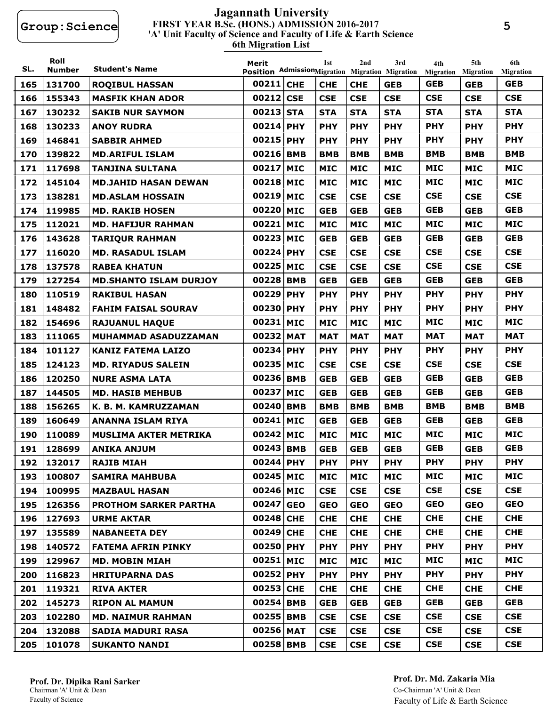#### **FIRST YEAR B.Sc. (HONS.) ADMISSION 2016-2017 6th Migration List 'A' Unit Faculty of Science and Faculty of Life & Earth Science Jagannath University**

| SL. | Roll<br><b>Number</b> | <b>Student's Name</b>         | Merit<br>Position AdmissionMigration Migration Migration |            | 1st        | 2nd        | 3rd        | 4th<br><b>Migration</b> | 5th<br><b>Migration</b> | 6th<br><b>Migration</b> |
|-----|-----------------------|-------------------------------|----------------------------------------------------------|------------|------------|------------|------------|-------------------------|-------------------------|-------------------------|
| 165 | 131700                | <b>ROQIBUL HASSAN</b>         | 00211 CHE                                                |            | <b>CHE</b> | <b>CHE</b> | <b>GEB</b> | <b>GEB</b>              | <b>GEB</b>              | <b>GEB</b>              |
| 166 | 155343                | <b>MASFIK KHAN ADOR</b>       | 00212                                                    | <b>CSE</b> | <b>CSE</b> | <b>CSE</b> | <b>CSE</b> | <b>CSE</b>              | <b>CSE</b>              | <b>CSE</b>              |
| 167 | 130232                | <b>SAKIB NUR SAYMON</b>       | 00213 STA                                                |            | <b>STA</b> | <b>STA</b> | <b>STA</b> | <b>STA</b>              | <b>STA</b>              | <b>STA</b>              |
| 168 | 130233                | <b>ANOY RUDRA</b>             | 00214 PHY                                                |            | <b>PHY</b> | <b>PHY</b> | <b>PHY</b> | <b>PHY</b>              | <b>PHY</b>              | <b>PHY</b>              |
| 169 | 146841                | <b>SABBIR AHMED</b>           | 00215 PHY                                                |            | <b>PHY</b> | <b>PHY</b> | <b>PHY</b> | <b>PHY</b>              | <b>PHY</b>              | <b>PHY</b>              |
| 170 | 139822                | <b>MD.ARIFUL ISLAM</b>        | 00216 BMB                                                |            | <b>BMB</b> | <b>BMB</b> | <b>BMB</b> | <b>BMB</b>              | <b>BMB</b>              | <b>BMB</b>              |
| 171 | 117698                | <b>TANJINA SULTANA</b>        | 00217 MIC                                                |            | <b>MIC</b> | <b>MIC</b> | <b>MIC</b> | <b>MIC</b>              | <b>MIC</b>              | <b>MIC</b>              |
| 172 | 145104                | <b>MD.JAHID HASAN DEWAN</b>   | 00218 MIC                                                |            | <b>MIC</b> | <b>MIC</b> | <b>MIC</b> | <b>MIC</b>              | <b>MIC</b>              | <b>MIC</b>              |
| 173 | 138281                | <b>MD.ASLAM HOSSAIN</b>       | 00219 MIC                                                |            | <b>CSE</b> | <b>CSE</b> | <b>CSE</b> | <b>CSE</b>              | <b>CSE</b>              | <b>CSE</b>              |
| 174 | 119985                | <b>MD. RAKIB HOSEN</b>        | 00220 MIC                                                |            | <b>GEB</b> | <b>GEB</b> | <b>GEB</b> | <b>GEB</b>              | <b>GEB</b>              | <b>GEB</b>              |
| 175 | 112021                | <b>MD. HAFIJUR RAHMAN</b>     | 00221                                                    | <b>MIC</b> | <b>MIC</b> | <b>MIC</b> | <b>MIC</b> | <b>MIC</b>              | <b>MIC</b>              | <b>MIC</b>              |
| 176 | 143628                | <b>TARIQUR RAHMAN</b>         | 00223 MIC                                                |            | <b>GEB</b> | <b>GEB</b> | <b>GEB</b> | <b>GEB</b>              | <b>GEB</b>              | <b>GEB</b>              |
| 177 | 116020                | <b>MD. RASADUL ISLAM</b>      | 00224 PHY                                                |            | <b>CSE</b> | <b>CSE</b> | <b>CSE</b> | <b>CSE</b>              | <b>CSE</b>              | <b>CSE</b>              |
| 178 | 137578                | <b>RABEA KHATUN</b>           | 00225 MIC                                                |            | <b>CSE</b> | <b>CSE</b> | <b>CSE</b> | <b>CSE</b>              | <b>CSE</b>              | <b>CSE</b>              |
| 179 | 127254                | <b>MD.SHANTO ISLAM DURJOY</b> | 00228 BMB                                                |            | <b>GEB</b> | <b>GEB</b> | <b>GEB</b> | <b>GEB</b>              | <b>GEB</b>              | <b>GEB</b>              |
| 180 | 110519                | <b>RAKIBUL HASAN</b>          | 00229 PHY                                                |            | <b>PHY</b> | <b>PHY</b> | <b>PHY</b> | <b>PHY</b>              | <b>PHY</b>              | <b>PHY</b>              |
| 181 | 148482                | <b>FAHIM FAISAL SOURAV</b>    | 00230 PHY                                                |            | <b>PHY</b> | <b>PHY</b> | <b>PHY</b> | <b>PHY</b>              | <b>PHY</b>              | <b>PHY</b>              |
| 182 | 154696                | <b>RAJUANUL HAQUE</b>         | 00231                                                    | <b>MIC</b> | <b>MIC</b> | <b>MIC</b> | <b>MIC</b> | <b>MIC</b>              | <b>MIC</b>              | <b>MIC</b>              |
| 183 | 111065                | <b>MUHAMMAD ASADUZZAMAN</b>   | 00232 MAT                                                |            | <b>MAT</b> | <b>MAT</b> | <b>MAT</b> | <b>MAT</b>              | <b>MAT</b>              | <b>MAT</b>              |
| 184 | 101127                | <b>KANIZ FATEMA LAIZO</b>     | 00234 PHY                                                |            | <b>PHY</b> | <b>PHY</b> | <b>PHY</b> | <b>PHY</b>              | <b>PHY</b>              | <b>PHY</b>              |
| 185 | 124123                | <b>MD. RIYADUS SALEIN</b>     | 00235 MIC                                                |            | <b>CSE</b> | <b>CSE</b> | <b>CSE</b> | <b>CSE</b>              | <b>CSE</b>              | <b>CSE</b>              |
| 186 | 120250                | <b>NURE ASMA LATA</b>         | 00236 BMB                                                |            | <b>GEB</b> | <b>GEB</b> | <b>GEB</b> | <b>GEB</b>              | <b>GEB</b>              | <b>GEB</b>              |
| 187 | 144505                | <b>MD. HASIB MEHBUB</b>       | 00237                                                    | <b>MIC</b> | <b>GEB</b> | <b>GEB</b> | <b>GEB</b> | <b>GEB</b>              | <b>GEB</b>              | <b>GEB</b>              |
| 188 | 156265                | K. B. M. KAMRUZZAMAN          | 00240 BMB                                                |            | <b>BMB</b> | <b>BMB</b> | <b>BMB</b> | <b>BMB</b>              | <b>BMB</b>              | <b>BMB</b>              |
| 189 | 160649                | <b>ANANNA ISLAM RIYA</b>      | 00241 MIC                                                |            | <b>GEB</b> | <b>GEB</b> | <b>GEB</b> | <b>GEB</b>              | <b>GEB</b>              | <b>GEB</b>              |
| 190 | 110089                | <b>MUSLIMA AKTER METRIKA</b>  | 00242 MIC                                                |            | <b>MIC</b> | <b>MIC</b> | <b>MIC</b> | <b>MIC</b>              | <b>MIC</b>              | <b>MIC</b>              |
| 191 | 128699                | <b>ANIKA ANJUM</b>            | 00243 BMB                                                |            | <b>GEB</b> | <b>GEB</b> | <b>GEB</b> | <b>GEB</b>              | <b>GEB</b>              | <b>GEB</b>              |
| 192 | 132017                | <b>RAJIB MIAH</b>             | 00244 PHY                                                |            | <b>PHY</b> | <b>PHY</b> | <b>PHY</b> | <b>PHY</b>              | <b>PHY</b>              | <b>PHY</b>              |
| 193 | 100807                | <b>SAMIRA MAHBUBA</b>         | 00245 MIC                                                |            | <b>MIC</b> | <b>MIC</b> | <b>MIC</b> | <b>MIC</b>              | <b>MIC</b>              | MIC                     |
| 194 | 100995                | <b>MAZBAUL HASAN</b>          | 00246 MIC                                                |            | <b>CSE</b> | <b>CSE</b> | <b>CSE</b> | <b>CSE</b>              | <b>CSE</b>              | <b>CSE</b>              |
| 195 | 126356                | <b>PROTHOM SARKER PARTHA</b>  | 00247 GEO                                                |            | <b>GEO</b> | <b>GEO</b> | <b>GEO</b> | <b>GEO</b>              | <b>GEO</b>              | <b>GEO</b>              |
| 196 | 127693                | <b>URME AKTAR</b>             | 00248 CHE                                                |            | <b>CHE</b> | <b>CHE</b> | <b>CHE</b> | <b>CHE</b>              | <b>CHE</b>              | <b>CHE</b>              |
| 197 | 135589                | <b>NABANEETA DEY</b>          | 00249 CHE                                                |            | <b>CHE</b> | <b>CHE</b> | <b>CHE</b> | <b>CHE</b>              | <b>CHE</b>              | <b>CHE</b>              |
| 198 | 140572                | <b>FATEMA AFRIN PINKY</b>     | 00250 PHY                                                |            | <b>PHY</b> | <b>PHY</b> | <b>PHY</b> | <b>PHY</b>              | <b>PHY</b>              | <b>PHY</b>              |
| 199 | 129967                | <b>MD. MOBIN MIAH</b>         | 00251 MIC                                                |            | <b>MIC</b> | <b>MIC</b> | <b>MIC</b> | <b>MIC</b>              | <b>MIC</b>              | MIC                     |
| 200 | 116823                | <b>HRITUPARNA DAS</b>         | 00252 PHY                                                |            | <b>PHY</b> | <b>PHY</b> | <b>PHY</b> | <b>PHY</b>              | <b>PHY</b>              | <b>PHY</b>              |
| 201 | 119321                | <b>RIVA AKTER</b>             | 00253 CHE                                                |            | <b>CHE</b> | <b>CHE</b> | <b>CHE</b> | <b>CHE</b>              | <b>CHE</b>              | <b>CHE</b>              |
| 202 | 145273                | <b>RIPON AL MAMUN</b>         | 00254 BMB                                                |            | <b>GEB</b> | <b>GEB</b> | <b>GEB</b> | <b>GEB</b>              | <b>GEB</b>              | <b>GEB</b>              |
| 203 | 102280                | <b>MD. NAIMUR RAHMAN</b>      | 00255 BMB                                                |            | <b>CSE</b> | <b>CSE</b> | <b>CSE</b> | <b>CSE</b>              | <b>CSE</b>              | <b>CSE</b>              |
| 204 | 132088                | <b>SADIA MADURI RASA</b>      | 00256 MAT                                                |            | <b>CSE</b> | <b>CSE</b> | <b>CSE</b> | <b>CSE</b>              | <b>CSE</b>              | <b>CSE</b>              |
| 205 | 101078                | <b>SUKANTO NANDI</b>          | 00258 BMB                                                |            | <b>CSE</b> | <b>CSE</b> | <b>CSE</b> | <b>CSE</b>              | <b>CSE</b>              | <b>CSE</b>              |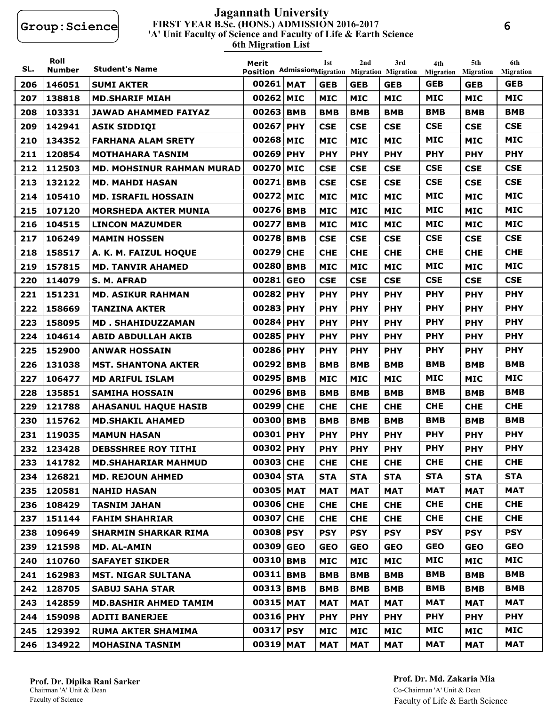#### **FIRST YEAR B.Sc. (HONS.) ADMISSION 2016-2017 6th Migration List 'A' Unit Faculty of Science and Faculty of Life & Earth Science Jagannath University**

| SL. | Roll<br><b>Number</b> | <b>Student's Name</b>            | Merit<br>Position AdmissionMigration Migration Migration |            | 1st        | 2nd        | 3rd        | 4th<br><b>Migration</b> | 5th<br><b>Migration</b> | 6th<br><b>Migration</b> |
|-----|-----------------------|----------------------------------|----------------------------------------------------------|------------|------------|------------|------------|-------------------------|-------------------------|-------------------------|
| 206 | 146051                | <b>SUMI AKTER</b>                | 00261 MAT                                                |            | <b>GEB</b> | <b>GEB</b> | <b>GEB</b> | <b>GEB</b>              | <b>GEB</b>              | <b>GEB</b>              |
| 207 | 138818                | <b>MD.SHARIF MIAH</b>            | 00262                                                    | <b>MIC</b> | <b>MIC</b> | <b>MIC</b> | <b>MIC</b> | <b>MIC</b>              | <b>MIC</b>              | <b>MIC</b>              |
| 208 | 103331                | <b>JAWAD AHAMMED FAIYAZ</b>      | 00263                                                    | <b>BMB</b> | <b>BMB</b> | <b>BMB</b> | <b>BMB</b> | <b>BMB</b>              | <b>BMB</b>              | <b>BMB</b>              |
| 209 | 142941                | <b>ASIK SIDDIOI</b>              | 00267                                                    | <b>PHY</b> | <b>CSE</b> | <b>CSE</b> | <b>CSE</b> | <b>CSE</b>              | <b>CSE</b>              | <b>CSE</b>              |
| 210 | 134352                | <b>FARHANA ALAM SRETY</b>        | 00268 MIC                                                |            | <b>MIC</b> | <b>MIC</b> | <b>MIC</b> | <b>MIC</b>              | <b>MIC</b>              | <b>MIC</b>              |
| 211 | 120854                | <b>MOTHAHARA TASNIM</b>          | 00269 PHY                                                |            | <b>PHY</b> | <b>PHY</b> | <b>PHY</b> | <b>PHY</b>              | <b>PHY</b>              | <b>PHY</b>              |
| 212 | 112503                | <b>MD. MOHSINUR RAHMAN MURAD</b> | 00270                                                    | <b>MIC</b> | <b>CSE</b> | <b>CSE</b> | <b>CSE</b> | <b>CSE</b>              | <b>CSE</b>              | <b>CSE</b>              |
| 213 | 132122                | <b>MD. MAHDI HASAN</b>           | 00271                                                    | <b>BMB</b> | <b>CSE</b> | <b>CSE</b> | <b>CSE</b> | <b>CSE</b>              | <b>CSE</b>              | <b>CSE</b>              |
| 214 | 105410                | <b>MD. ISRAFIL HOSSAIN</b>       | 00272 MIC                                                |            | <b>MIC</b> | <b>MIC</b> | <b>MIC</b> | <b>MIC</b>              | <b>MIC</b>              | <b>MIC</b>              |
| 215 | 107120                | <b>MORSHEDA AKTER MUNIA</b>      | 00276                                                    | <b>BMB</b> | <b>MIC</b> | <b>MIC</b> | <b>MIC</b> | <b>MIC</b>              | <b>MIC</b>              | <b>MIC</b>              |
| 216 | 104515                | <b>LINCON MAZUMDER</b>           | 00277                                                    | <b>BMB</b> | <b>MIC</b> | <b>MIC</b> | <b>MIC</b> | <b>MIC</b>              | <b>MIC</b>              | <b>MIC</b>              |
| 217 | 106249                | <b>MAMIN HOSSEN</b>              | 00278 BMB                                                |            | <b>CSE</b> | <b>CSE</b> | <b>CSE</b> | <b>CSE</b>              | <b>CSE</b>              | <b>CSE</b>              |
| 218 | 158517                | A. K. M. FAIZUL HOQUE            | 00279                                                    | <b>CHE</b> | <b>CHE</b> | <b>CHE</b> | <b>CHE</b> | <b>CHE</b>              | <b>CHE</b>              | <b>CHE</b>              |
| 219 | 157815                | <b>MD. TANVIR AHAMED</b>         | 00280                                                    | <b>BMB</b> | <b>MIC</b> | <b>MIC</b> | <b>MIC</b> | <b>MIC</b>              | <b>MIC</b>              | <b>MIC</b>              |
| 220 | 114079                | S. M. AFRAD                      | 00281                                                    | <b>GEO</b> | <b>CSE</b> | <b>CSE</b> | <b>CSE</b> | <b>CSE</b>              | <b>CSE</b>              | <b>CSE</b>              |
| 221 | 151231                | <b>MD. ASIKUR RAHMAN</b>         | 00282                                                    | <b>PHY</b> | <b>PHY</b> | <b>PHY</b> | <b>PHY</b> | <b>PHY</b>              | <b>PHY</b>              | <b>PHY</b>              |
| 222 | 158669                | <b>TANZINA AKTER</b>             | 00283 PHY                                                |            | <b>PHY</b> | <b>PHY</b> | <b>PHY</b> | <b>PHY</b>              | <b>PHY</b>              | <b>PHY</b>              |
| 223 | 158095                | <b>MD. SHAHIDUZZAMAN</b>         | 00284                                                    | <b>PHY</b> | <b>PHY</b> | <b>PHY</b> | <b>PHY</b> | <b>PHY</b>              | <b>PHY</b>              | <b>PHY</b>              |
| 224 | 104614                | <b>ABID ABDULLAH AKIB</b>        | 00285 PHY                                                |            | <b>PHY</b> | <b>PHY</b> | <b>PHY</b> | <b>PHY</b>              | <b>PHY</b>              | <b>PHY</b>              |
| 225 | 152900                | <b>ANWAR HOSSAIN</b>             | 00286 PHY                                                |            | <b>PHY</b> | <b>PHY</b> | <b>PHY</b> | <b>PHY</b>              | <b>PHY</b>              | <b>PHY</b>              |
| 226 | 131038                | <b>MST. SHANTONA AKTER</b>       | 00292 BMB                                                |            | <b>BMB</b> | <b>BMB</b> | <b>BMB</b> | <b>BMB</b>              | <b>BMB</b>              | <b>BMB</b>              |
| 227 | 106477                | <b>MD ARIFUL ISLAM</b>           | 00295 BMB                                                |            | <b>MIC</b> | <b>MIC</b> | <b>MIC</b> | <b>MIC</b>              | <b>MIC</b>              | <b>MIC</b>              |
| 228 | 135851                | <b>SAMIHA HOSSAIN</b>            | 00296                                                    | <b>BMB</b> | <b>BMB</b> | <b>BMB</b> | <b>BMB</b> | <b>BMB</b>              | <b>BMB</b>              | <b>BMB</b>              |
| 229 | 121788                | <b>AHASANUL HAQUE HASIB</b>      | 00299                                                    | <b>CHE</b> | <b>CHE</b> | <b>CHE</b> | <b>CHE</b> | <b>CHE</b>              | <b>CHE</b>              | <b>CHE</b>              |
| 230 | 115762                | <b>MD.SHAKIL AHAMED</b>          | 00300                                                    | <b>BMB</b> | <b>BMB</b> | <b>BMB</b> | <b>BMB</b> | <b>BMB</b>              | <b>BMB</b>              | <b>BMB</b>              |
| 231 | 119035                | <b>MAMUN HASAN</b>               | 00301                                                    | <b>PHY</b> | <b>PHY</b> | <b>PHY</b> | <b>PHY</b> | <b>PHY</b>              | <b>PHY</b>              | <b>PHY</b>              |
| 232 | 123428                | <b>DEBSSHREE ROY TITHI</b>       | 00302 PHY                                                |            | <b>PHY</b> | <b>PHY</b> | <b>PHY</b> | <b>PHY</b>              | <b>PHY</b>              | <b>PHY</b>              |
|     | 233 141782            | <b>MD.SHAHARIAR MAHMUD</b>       | 00303 CHE                                                |            | <b>CHE</b> | <b>CHE</b> | <b>CHE</b> | <b>CHE</b>              | <b>CHE</b>              | <b>CHE</b>              |
| 234 | 126821                | <b>MD. REJOUN AHMED</b>          | 00304 STA                                                |            | <b>STA</b> | <b>STA</b> | <b>STA</b> | <b>STA</b>              | <b>STA</b>              | <b>STA</b>              |
| 235 | 120581                | <b>NAHID HASAN</b>               | 00305 MAT                                                |            | <b>MAT</b> | <b>MAT</b> | <b>MAT</b> | <b>MAT</b>              | <b>MAT</b>              | MAT                     |
| 236 | 108429                | <b>TASNIM JAHAN</b>              | 00306 CHE                                                |            | <b>CHE</b> | <b>CHE</b> | <b>CHE</b> | <b>CHE</b>              | <b>CHE</b>              | <b>CHE</b>              |
| 237 | 151144                | <b>FAHIM SHAHRIAR</b>            | 00307 CHE                                                |            | <b>CHE</b> | <b>CHE</b> | <b>CHE</b> | <b>CHE</b>              | <b>CHE</b>              | <b>CHE</b>              |
| 238 | 109649                | <b>SHARMIN SHARKAR RIMA</b>      | 00308 PSY                                                |            | <b>PSY</b> | <b>PSY</b> | <b>PSY</b> | <b>PSY</b>              | <b>PSY</b>              | <b>PSY</b>              |
| 239 | 121598                | <b>MD. AL-AMIN</b>               | 00309 GEO                                                |            | <b>GEO</b> | <b>GEO</b> | <b>GEO</b> | <b>GEO</b>              | <b>GEO</b>              | <b>GEO</b>              |
| 240 | 110760                | <b>SAFAYET SIKDER</b>            | 00310 BMB                                                |            | <b>MIC</b> | <b>MIC</b> | <b>MIC</b> | <b>MIC</b>              | <b>MIC</b>              | MIC                     |
| 241 | 162983                | <b>MST. NIGAR SULTANA</b>        | 00311 BMB                                                |            | <b>BMB</b> | <b>BMB</b> | <b>BMB</b> | <b>BMB</b>              | <b>BMB</b>              | <b>BMB</b>              |
| 242 | 128705                | <b>SABUJ SAHA STAR</b>           | 00313 BMB                                                |            | <b>BMB</b> | <b>BMB</b> | <b>BMB</b> | <b>BMB</b>              | <b>BMB</b>              | BMB                     |
| 243 | 142859                | <b>MD.BASHIR AHMED TAMIM</b>     | 00315 MAT                                                |            | <b>MAT</b> | <b>MAT</b> | <b>MAT</b> | <b>MAT</b>              | <b>MAT</b>              | <b>MAT</b>              |
| 244 | 159098                | <b>ADITI BANERJEE</b>            | 00316 PHY                                                |            | <b>PHY</b> | <b>PHY</b> | <b>PHY</b> | <b>PHY</b>              | <b>PHY</b>              | <b>PHY</b>              |
| 245 | 129392                | <b>RUMA AKTER SHAMIMA</b>        | 00317 PSY                                                |            | <b>MIC</b> | MIC        | <b>MIC</b> | <b>MIC</b>              | <b>MIC</b>              | MIC                     |
| 246 | 134922                | <b>MOHASINA TASNIM</b>           | 00319 MAT                                                |            | <b>MAT</b> | <b>MAT</b> | <b>MAT</b> | <b>MAT</b>              | <b>MAT</b>              | MAT                     |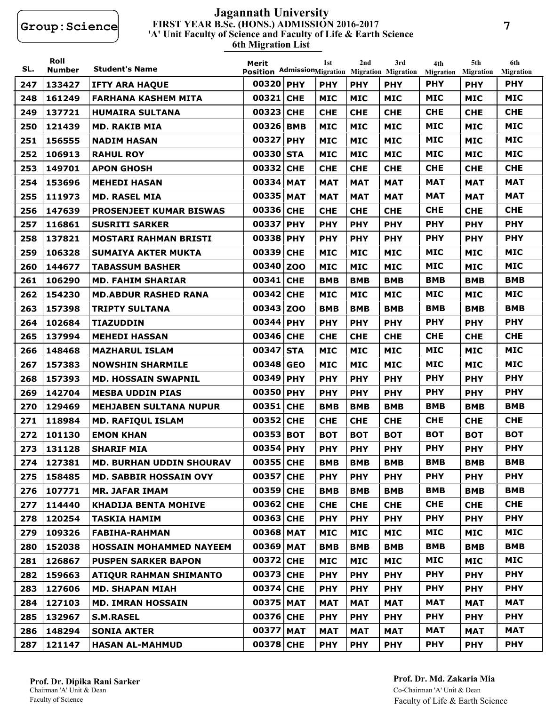#### **FIRST YEAR B.Sc. (HONS.) ADMISSION 2016-2017 6th Migration List 'A' Unit Faculty of Science and Faculty of Life & Earth Science Jagannath University**

| SL. | Roll<br><b>Number</b> | <b>Student's Name</b>           | Merit<br>Position AdmissionMigration Migration Migration |            | 1st        | 2nd        | 3rd        | 4th<br>Migration | 5th<br><b>Migration</b> | 6th<br><b>Migration</b> |
|-----|-----------------------|---------------------------------|----------------------------------------------------------|------------|------------|------------|------------|------------------|-------------------------|-------------------------|
| 247 | 133427                | <b>IFTY ARA HAQUE</b>           | 00320 PHY                                                |            | <b>PHY</b> | <b>PHY</b> | <b>PHY</b> | <b>PHY</b>       | <b>PHY</b>              | <b>PHY</b>              |
| 248 | 161249                | <b>FARHANA KASHEM MITA</b>      | 00321 CHE                                                |            | <b>MIC</b> | <b>MIC</b> | <b>MIC</b> | <b>MIC</b>       | <b>MIC</b>              | <b>MIC</b>              |
| 249 | 137721                | <b>HUMAIRA SULTANA</b>          | 00323 CHE                                                |            | <b>CHE</b> | <b>CHE</b> | <b>CHE</b> | <b>CHE</b>       | <b>CHE</b>              | <b>CHE</b>              |
| 250 | 121439                | <b>MD. RAKIB MIA</b>            | 00326 BMB                                                |            | <b>MIC</b> | <b>MIC</b> | <b>MIC</b> | <b>MIC</b>       | <b>MIC</b>              | <b>MIC</b>              |
| 251 | 156555                | <b>NADIM HASAN</b>              | 00327 PHY                                                |            | <b>MIC</b> | <b>MIC</b> | <b>MIC</b> | <b>MIC</b>       | <b>MIC</b>              | <b>MIC</b>              |
| 252 | 106913                | <b>RAHUL ROY</b>                | 00330 STA                                                |            | <b>MIC</b> | <b>MIC</b> | <b>MIC</b> | <b>MIC</b>       | <b>MIC</b>              | <b>MIC</b>              |
| 253 | 149701                | <b>APON GHOSH</b>               | 00332 CHE                                                |            | <b>CHE</b> | <b>CHE</b> | <b>CHE</b> | <b>CHE</b>       | <b>CHE</b>              | <b>CHE</b>              |
| 254 | 153696                | <b>MEHEDI HASAN</b>             | 00334 MAT                                                |            | <b>MAT</b> | <b>MAT</b> | <b>MAT</b> | <b>MAT</b>       | <b>MAT</b>              | <b>MAT</b>              |
| 255 | 111973                | <b>MD. RASEL MIA</b>            | 00335 MAT                                                |            | <b>MAT</b> | <b>MAT</b> | <b>MAT</b> | <b>MAT</b>       | <b>MAT</b>              | <b>MAT</b>              |
| 256 | 147639                | <b>PROSENJEET KUMAR BISWAS</b>  | 00336 CHE                                                |            | <b>CHE</b> | <b>CHE</b> | <b>CHE</b> | <b>CHE</b>       | <b>CHE</b>              | <b>CHE</b>              |
| 257 | 116861                | <b>SUSRITI SARKER</b>           | 00337 PHY                                                |            | <b>PHY</b> | <b>PHY</b> | <b>PHY</b> | <b>PHY</b>       | <b>PHY</b>              | <b>PHY</b>              |
| 258 | 137821                | <b>MOSTARI RAHMAN BRISTI</b>    | 00338 PHY                                                |            | <b>PHY</b> | <b>PHY</b> | <b>PHY</b> | <b>PHY</b>       | <b>PHY</b>              | <b>PHY</b>              |
| 259 | 106328                | <b>SUMAIYA AKTER MUKTA</b>      | 00339                                                    | <b>CHE</b> | <b>MIC</b> | <b>MIC</b> | <b>MIC</b> | <b>MIC</b>       | <b>MIC</b>              | <b>MIC</b>              |
| 260 | 144677                | <b>TABASSUM BASHER</b>          | 00340 ZOO                                                |            | <b>MIC</b> | <b>MIC</b> | <b>MIC</b> | <b>MIC</b>       | <b>MIC</b>              | <b>MIC</b>              |
| 261 | 106290                | <b>MD. FAHIM SHARIAR</b>        | 00341 CHE                                                |            | <b>BMB</b> | <b>BMB</b> | <b>BMB</b> | <b>BMB</b>       | <b>BMB</b>              | <b>BMB</b>              |
| 262 | 154230                | <b>MD.ABDUR RASHED RANA</b>     | 00342 CHE                                                |            | <b>MIC</b> | <b>MIC</b> | <b>MIC</b> | <b>MIC</b>       | <b>MIC</b>              | <b>MIC</b>              |
| 263 | 157398                | <b>TRIPTY SULTANA</b>           | 00343 ZOO                                                |            | <b>BMB</b> | <b>BMB</b> | <b>BMB</b> | <b>BMB</b>       | <b>BMB</b>              | <b>BMB</b>              |
| 264 | 102684                | <b>TIAZUDDIN</b>                | 00344 PHY                                                |            | <b>PHY</b> | <b>PHY</b> | <b>PHY</b> | <b>PHY</b>       | <b>PHY</b>              | <b>PHY</b>              |
| 265 | 137994                | <b>MEHEDI HASSAN</b>            | 00346 CHE                                                |            | <b>CHE</b> | <b>CHE</b> | <b>CHE</b> | <b>CHE</b>       | <b>CHE</b>              | <b>CHE</b>              |
| 266 | 148468                | <b>MAZHARUL ISLAM</b>           | 00347 STA                                                |            | <b>MIC</b> | <b>MIC</b> | <b>MIC</b> | <b>MIC</b>       | <b>MIC</b>              | <b>MIC</b>              |
| 267 | 157383                | <b>NOWSHIN SHARMILE</b>         | 00348 GEO                                                |            | <b>MIC</b> | <b>MIC</b> | <b>MIC</b> | <b>MIC</b>       | <b>MIC</b>              | <b>MIC</b>              |
| 268 | 157393                | <b>MD. HOSSAIN SWAPNIL</b>      | 00349 PHY                                                |            | <b>PHY</b> | <b>PHY</b> | <b>PHY</b> | <b>PHY</b>       | <b>PHY</b>              | <b>PHY</b>              |
| 269 | 142704                | <b>MESBA UDDIN PIAS</b>         | 00350 PHY                                                |            | <b>PHY</b> | <b>PHY</b> | <b>PHY</b> | <b>PHY</b>       | <b>PHY</b>              | <b>PHY</b>              |
| 270 | 129469                | <b>MEHJABEN SULTANA NUPUR</b>   | 00351 CHE                                                |            | <b>BMB</b> | <b>BMB</b> | <b>BMB</b> | <b>BMB</b>       | <b>BMB</b>              | <b>BMB</b>              |
| 271 | 118984                | <b>MD. RAFIQUL ISLAM</b>        | 00352 CHE                                                |            | <b>CHE</b> | <b>CHE</b> | <b>CHE</b> | <b>CHE</b>       | <b>CHE</b>              | <b>CHE</b>              |
| 272 | 101130                | <b>EMON KHAN</b>                | 00353 BOT                                                |            | <b>BOT</b> | <b>BOT</b> | <b>BOT</b> | <b>BOT</b>       | <b>BOT</b>              | <b>BOT</b>              |
| 273 | 131128                | <b>SHARIF MIA</b>               | 00354 PHY                                                |            | <b>PHY</b> | <b>PHY</b> | <b>PHY</b> | <b>PHY</b>       | <b>PHY</b>              | <b>PHY</b>              |
| 274 | 127381                | <b>MD. BURHAN UDDIN SHOURAV</b> | 00355 CHE                                                |            | <b>BMB</b> | <b>BMB</b> | <b>BMB</b> | <b>BMB</b>       | <b>BMB</b>              | <b>BMB</b>              |
| 275 | 158485                | <b>MD. SABBIR HOSSAIN OVY</b>   | 00357 CHE                                                |            | <b>PHY</b> | <b>PHY</b> | <b>PHY</b> | <b>PHY</b>       | <b>PHY</b>              | <b>PHY</b>              |
| 276 | 107771                | <b>MR. JAFAR IMAM</b>           | 00359 CHE                                                |            | <b>BMB</b> | <b>BMB</b> | <b>BMB</b> | <b>BMB</b>       | <b>BMB</b>              | <b>BMB</b>              |
| 277 | 114440                | <b>KHADIJA BENTA MOHIVE</b>     | 00362 CHE                                                |            | <b>CHE</b> | <b>CHE</b> | <b>CHE</b> | <b>CHE</b>       | <b>CHE</b>              | <b>CHE</b>              |
| 278 | 120254                | <b>TASKIA HAMIM</b>             | 00363 CHE                                                |            | <b>PHY</b> | <b>PHY</b> | <b>PHY</b> | <b>PHY</b>       | <b>PHY</b>              | <b>PHY</b>              |
| 279 | 109326                | <b>FABIHA-RAHMAN</b>            | 00368 MAT                                                |            | <b>MIC</b> | <b>MIC</b> | <b>MIC</b> | <b>MIC</b>       | <b>MIC</b>              | <b>MIC</b>              |
| 280 | 152038                | <b>HOSSAIN MOHAMMED NAYEEM</b>  | 00369 MAT                                                |            | <b>BMB</b> | <b>BMB</b> | <b>BMB</b> | <b>BMB</b>       | <b>BMB</b>              | <b>BMB</b>              |
| 281 | 126867                | <b>PUSPEN SARKER BAPON</b>      | 00372 CHE                                                |            | <b>MIC</b> | <b>MIC</b> | <b>MIC</b> | <b>MIC</b>       | <b>MIC</b>              | <b>MIC</b>              |
| 282 | 159663                | <b>ATIQUR RAHMAN SHIMANTO</b>   | 00373 CHE                                                |            | <b>PHY</b> | <b>PHY</b> | <b>PHY</b> | <b>PHY</b>       | <b>PHY</b>              | <b>PHY</b>              |
| 283 | 127606                | <b>MD. SHAPAN MIAH</b>          | 00374 CHE                                                |            | <b>PHY</b> | <b>PHY</b> | <b>PHY</b> | <b>PHY</b>       | <b>PHY</b>              | <b>PHY</b>              |
| 284 | 127103                | <b>MD. IMRAN HOSSAIN</b>        | 00375 MAT                                                |            | <b>MAT</b> | <b>MAT</b> | <b>MAT</b> | <b>MAT</b>       | <b>MAT</b>              | <b>MAT</b>              |
| 285 | 132967                | <b>S.M.RASEL</b>                | 00376 CHE                                                |            | <b>PHY</b> | <b>PHY</b> | <b>PHY</b> | <b>PHY</b>       | <b>PHY</b>              | <b>PHY</b>              |
| 286 | 148294                | <b>SONIA AKTER</b>              | 00377 MAT                                                |            | <b>MAT</b> | MAT        | MAT        | <b>MAT</b>       | <b>MAT</b>              | MAT                     |
| 287 | 121147                | <b>HASAN AL-MAHMUD</b>          | 00378 CHE                                                |            | <b>PHY</b> | <b>PHY</b> | <b>PHY</b> | <b>PHY</b>       | <b>PHY</b>              | <b>PHY</b>              |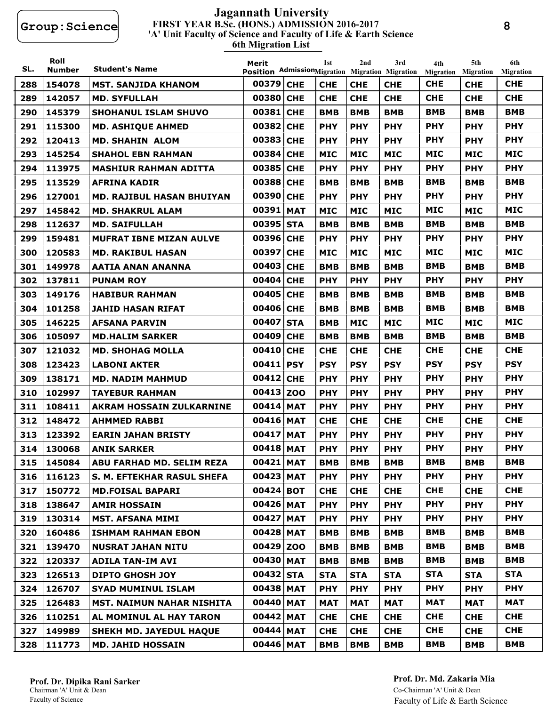#### **FIRST YEAR B.Sc. (HONS.) ADMISSION 2016-2017 6th Migration List 'A' Unit Faculty of Science and Faculty of Life & Earth Science Jagannath University**

| SL. | Roll<br><b>Number</b> | <b>Student's Name</b>             | Merit<br>Position AdmissionMigration Migration Migration |            | 1st        | 2nd        | 3rd        | 4th<br><b>Migration</b> | 5th<br><b>Migration</b> | 6th<br><b>Migration</b> |
|-----|-----------------------|-----------------------------------|----------------------------------------------------------|------------|------------|------------|------------|-------------------------|-------------------------|-------------------------|
| 288 | 154078                | <b>MST. SANJIDA KHANOM</b>        | 00379 CHE                                                |            | <b>CHE</b> | <b>CHE</b> | <b>CHE</b> | <b>CHE</b>              | <b>CHE</b>              | <b>CHE</b>              |
| 289 | 142057                | <b>MD. SYFULLAH</b>               | 00380                                                    | <b>CHE</b> | <b>CHE</b> | <b>CHE</b> | <b>CHE</b> | <b>CHE</b>              | <b>CHE</b>              | <b>CHE</b>              |
| 290 | 145379                | <b>SHOHANUL ISLAM SHUVO</b>       | 00381 CHE                                                |            | <b>BMB</b> | <b>BMB</b> | <b>BMB</b> | <b>BMB</b>              | <b>BMB</b>              | <b>BMB</b>              |
| 291 | 115300                | <b>MD. ASHIQUE AHMED</b>          | 00382 CHE                                                |            | <b>PHY</b> | <b>PHY</b> | <b>PHY</b> | <b>PHY</b>              | <b>PHY</b>              | <b>PHY</b>              |
| 292 | 120413                | <b>MD. SHAHIN ALOM</b>            | 00383 CHE                                                |            | <b>PHY</b> | <b>PHY</b> | <b>PHY</b> | <b>PHY</b>              | <b>PHY</b>              | <b>PHY</b>              |
| 293 | 145254                | <b>SHAHOL EBN RAHMAN</b>          | 00384 CHE                                                |            | <b>MIC</b> | <b>MIC</b> | <b>MIC</b> | <b>MIC</b>              | <b>MIC</b>              | <b>MIC</b>              |
| 294 | 113975                | <b>MASHIUR RAHMAN ADITTA</b>      | 00385                                                    | <b>CHE</b> | <b>PHY</b> | <b>PHY</b> | <b>PHY</b> | <b>PHY</b>              | <b>PHY</b>              | <b>PHY</b>              |
| 295 | 113529                | <b>AFRINA KADIR</b>               | 00388 CHE                                                |            | <b>BMB</b> | <b>BMB</b> | <b>BMB</b> | BMB                     | <b>BMB</b>              | <b>BMB</b>              |
| 296 | 127001                | <b>MD. RAJIBUL HASAN BHUIYAN</b>  | 00390 CHE                                                |            | <b>PHY</b> | <b>PHY</b> | <b>PHY</b> | <b>PHY</b>              | <b>PHY</b>              | <b>PHY</b>              |
| 297 | 145842                | <b>MD. SHAKRUL ALAM</b>           | 00391 MAT                                                |            | <b>MIC</b> | <b>MIC</b> | <b>MIC</b> | <b>MIC</b>              | <b>MIC</b>              | MIC                     |
| 298 | 112637                | <b>MD. SAIFULLAH</b>              | 00395 STA                                                |            | <b>BMB</b> | <b>BMB</b> | <b>BMB</b> | <b>BMB</b>              | <b>BMB</b>              | <b>BMB</b>              |
| 299 | 159481                | <b>MUFRAT IBNE MIZAN AULVE</b>    | 00396 CHE                                                |            | <b>PHY</b> | <b>PHY</b> | <b>PHY</b> | <b>PHY</b>              | <b>PHY</b>              | <b>PHY</b>              |
| 300 | 120583                | <b>MD. RAKIBUL HASAN</b>          | 00397 CHE                                                |            | <b>MIC</b> | <b>MIC</b> | <b>MIC</b> | <b>MIC</b>              | <b>MIC</b>              | MIC                     |
| 301 | 149978                | AATIA ANAN ANANNA                 | 00403 CHE                                                |            | <b>BMB</b> | <b>BMB</b> | <b>BMB</b> | <b>BMB</b>              | <b>BMB</b>              | <b>BMB</b>              |
| 302 | 137811                | <b>PUNAM ROY</b>                  | 00404                                                    | <b>CHE</b> | <b>PHY</b> | <b>PHY</b> | <b>PHY</b> | <b>PHY</b>              | <b>PHY</b>              | <b>PHY</b>              |
| 303 | 149176                | <b>HABIBUR RAHMAN</b>             | 00405 CHE                                                |            | <b>BMB</b> | <b>BMB</b> | BMB        | BMB                     | <b>BMB</b>              | <b>BMB</b>              |
| 304 | 101258                | JAHID HASAN RIFAT                 | 00406 CHE                                                |            | <b>BMB</b> | <b>BMB</b> | <b>BMB</b> | <b>BMB</b>              | <b>BMB</b>              | <b>BMB</b>              |
| 305 | 146225                | <b>AFSANA PARVIN</b>              | 00407 STA                                                |            | <b>BMB</b> | <b>MIC</b> | <b>MIC</b> | <b>MIC</b>              | <b>MIC</b>              | <b>MIC</b>              |
| 306 | 105097                | <b>MD.HALIM SARKER</b>            | 00409 CHE                                                |            | <b>BMB</b> | <b>BMB</b> | <b>BMB</b> | <b>BMB</b>              | <b>BMB</b>              | <b>BMB</b>              |
| 307 | 121032                | <b>MD. SHOHAG MOLLA</b>           | 00410 CHE                                                |            | <b>CHE</b> | <b>CHE</b> | <b>CHE</b> | <b>CHE</b>              | <b>CHE</b>              | <b>CHE</b>              |
| 308 | 123423                | <b>LABONI AKTER</b>               | 00411 PSY                                                |            | <b>PSY</b> | <b>PSY</b> | <b>PSY</b> | <b>PSY</b>              | <b>PSY</b>              | <b>PSY</b>              |
| 309 | 138171                | <b>MD. NADIM MAHMUD</b>           | 00412 CHE                                                |            | <b>PHY</b> | <b>PHY</b> | <b>PHY</b> | <b>PHY</b>              | <b>PHY</b>              | <b>PHY</b>              |
| 310 | 102997                | <b>TAYEBUR RAHMAN</b>             | 00413 ZOO                                                |            | <b>PHY</b> | <b>PHY</b> | <b>PHY</b> | <b>PHY</b>              | <b>PHY</b>              | <b>PHY</b>              |
| 311 | 108411                | <b>AKRAM HOSSAIN ZULKARNINE</b>   | 00414 MAT                                                |            | <b>PHY</b> | <b>PHY</b> | <b>PHY</b> | <b>PHY</b>              | <b>PHY</b>              | <b>PHY</b>              |
| 312 | 148472                | <b>AHMMED RABBI</b>               | 00416 MAT                                                |            | <b>CHE</b> | <b>CHE</b> | <b>CHE</b> | <b>CHE</b>              | <b>CHE</b>              | <b>CHE</b>              |
| 313 | 123392                | <b>EARIN JAHAN BRISTY</b>         | 00417                                                    | <b>MAT</b> | <b>PHY</b> | <b>PHY</b> | <b>PHY</b> | <b>PHY</b>              | <b>PHY</b>              | <b>PHY</b>              |
| 314 | 130068                | <b>ANIK SARKER</b>                | 00418 MAT                                                |            | <b>PHY</b> | <b>PHY</b> | <b>PHY</b> | <b>PHY</b>              | <b>PHY</b>              | <b>PHY</b>              |
| 315 | 145084                | ABU FARHAD MD. SELIM REZA         | 00421 MAT                                                |            | <b>BMB</b> | <b>BMB</b> | <b>BMB</b> | <b>BMB</b>              | <b>BMB</b>              | <b>BMB</b>              |
| 316 | 116123                | <b>S. M. EFTEKHAR RASUL SHEFA</b> | 00423 MAT                                                |            | <b>PHY</b> | <b>PHY</b> | <b>PHY</b> | <b>PHY</b>              | <b>PHY</b>              | <b>PHY</b>              |
| 317 | 150772                | <b>MD.FOISAL BAPARI</b>           | 00424 BOT                                                |            | <b>CHE</b> | <b>CHE</b> | <b>CHE</b> | <b>CHE</b>              | <b>CHE</b>              | <b>CHE</b>              |
| 318 | 138647                | <b>AMIR HOSSAIN</b>               | 00426 MAT                                                |            | <b>PHY</b> | <b>PHY</b> | <b>PHY</b> | <b>PHY</b>              | <b>PHY</b>              | <b>PHY</b>              |
| 319 | 130314                | <b>MST. AFSANA MIMI</b>           | 00427 MAT                                                |            | <b>PHY</b> | <b>PHY</b> | <b>PHY</b> | <b>PHY</b>              | <b>PHY</b>              | <b>PHY</b>              |
| 320 | 160486                | <b>ISHMAM RAHMAN EBON</b>         | 00428 MAT                                                |            | <b>BMB</b> | <b>BMB</b> | <b>BMB</b> | <b>BMB</b>              | <b>BMB</b>              | <b>BMB</b>              |
| 321 | 139470                | <b>NUSRAT JAHAN NITU</b>          | 00429 ZOO                                                |            | <b>BMB</b> | <b>BMB</b> | <b>BMB</b> | <b>BMB</b>              | <b>BMB</b>              | <b>BMB</b>              |
| 322 | 120337                | <b>ADILA TAN-IM AVI</b>           | 00430 MAT                                                |            | <b>BMB</b> | <b>BMB</b> | <b>BMB</b> | <b>BMB</b>              | <b>BMB</b>              | <b>BMB</b>              |
| 323 | 126513                | <b>DIPTO GHOSH JOY</b>            | 00432 STA                                                |            | <b>STA</b> | <b>STA</b> | <b>STA</b> | <b>STA</b>              | <b>STA</b>              | <b>STA</b>              |
| 324 | 126707                | <b>SYAD MUMINUL ISLAM</b>         | 00438 MAT                                                |            | <b>PHY</b> | <b>PHY</b> | <b>PHY</b> | <b>PHY</b>              | <b>PHY</b>              | <b>PHY</b>              |
| 325 | 126483                | <b>MST. NAIMUN NAHAR NISHITA</b>  | 00440 MAT                                                |            | <b>MAT</b> | <b>MAT</b> | <b>MAT</b> | <b>MAT</b>              | <b>MAT</b>              | <b>MAT</b>              |
| 326 | 110251                | AL MOMINUL AL HAY TARON           | 00442 MAT                                                |            | <b>CHE</b> | <b>CHE</b> | <b>CHE</b> | <b>CHE</b>              | <b>CHE</b>              | <b>CHE</b>              |
| 327 | 149989                | <b>SHEKH MD. JAYEDUL HAQUE</b>    | 00444 MAT                                                |            | <b>CHE</b> | <b>CHE</b> | <b>CHE</b> | <b>CHE</b>              | <b>CHE</b>              | <b>CHE</b>              |
| 328 | 111773                | <b>MD. JAHID HOSSAIN</b>          | 00446 MAT                                                |            | <b>BMB</b> | <b>BMB</b> | <b>BMB</b> | <b>BMB</b>              | <b>BMB</b>              | <b>BMB</b>              |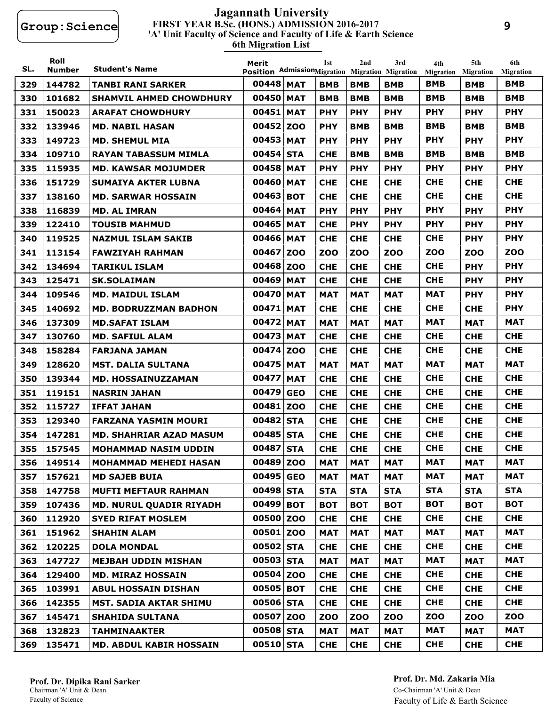#### **FIRST YEAR B.Sc. (HONS.) ADMISSION 2016-2017 6th Migration List 'A' Unit Faculty of Science and Faculty of Life & Earth Science Jagannath University**

| SL. | Roll<br><b>Number</b> | <b>Student's Name</b>          | Merit<br>Position AdmissionMigration Migration Migration |            | 1st        | 2nd        | 3rd        | 4th<br><b>Migration</b> | 5th<br><b>Migration</b> | 6th<br><b>Migration</b> |
|-----|-----------------------|--------------------------------|----------------------------------------------------------|------------|------------|------------|------------|-------------------------|-------------------------|-------------------------|
| 329 | 144782                | <b>TANBI RANI SARKER</b>       | 00448 MAT                                                |            | <b>BMB</b> | <b>BMB</b> | <b>BMB</b> | <b>BMB</b>              | <b>BMB</b>              | <b>BMB</b>              |
| 330 | 101682                | <b>SHAMVIL AHMED CHOWDHURY</b> | 00450 MAT                                                |            | <b>BMB</b> | <b>BMB</b> | <b>BMB</b> | <b>BMB</b>              | <b>BMB</b>              | <b>BMB</b>              |
| 331 | 150023                | <b>ARAFAT CHOWDHURY</b>        | 00451                                                    | <b>MAT</b> | <b>PHY</b> | <b>PHY</b> | <b>PHY</b> | <b>PHY</b>              | <b>PHY</b>              | <b>PHY</b>              |
| 332 | 133946                | <b>MD. NABIL HASAN</b>         | 00452                                                    | <b>ZOO</b> | <b>PHY</b> | <b>BMB</b> | <b>BMB</b> | <b>BMB</b>              | <b>BMB</b>              | <b>BMB</b>              |
| 333 | 149723                | <b>MD. SHEMUL MIA</b>          | 00453                                                    | <b>MAT</b> | <b>PHY</b> | <b>PHY</b> | <b>PHY</b> | <b>PHY</b>              | <b>PHY</b>              | <b>PHY</b>              |
| 334 | 109710                | <b>RAYAN TABASSUM MIMLA</b>    | 00454 STA                                                |            | <b>CHE</b> | <b>BMB</b> | <b>BMB</b> | BMB                     | <b>BMB</b>              | <b>BMB</b>              |
| 335 | 115935                | <b>MD. KAWSAR MOJUMDER</b>     | 00458 MAT                                                |            | <b>PHY</b> | <b>PHY</b> | <b>PHY</b> | <b>PHY</b>              | <b>PHY</b>              | <b>PHY</b>              |
| 336 | 151729                | <b>SUMAIYA AKTER LUBNA</b>     | 00460 MAT                                                |            | <b>CHE</b> | <b>CHE</b> | <b>CHE</b> | <b>CHE</b>              | <b>CHE</b>              | <b>CHE</b>              |
| 337 | 138160                | <b>MD. SARWAR HOSSAIN</b>      | 00463                                                    | <b>BOT</b> | <b>CHE</b> | <b>CHE</b> | <b>CHE</b> | <b>CHE</b>              | <b>CHE</b>              | <b>CHE</b>              |
| 338 | 116839                | <b>MD. AL IMRAN</b>            | 00464                                                    | <b>MAT</b> | <b>PHY</b> | <b>PHY</b> | <b>PHY</b> | <b>PHY</b>              | <b>PHY</b>              | <b>PHY</b>              |
| 339 | 122410                | <b>TOUSIB MAHMUD</b>           | 00465                                                    | <b>MAT</b> | <b>CHE</b> | <b>PHY</b> | <b>PHY</b> | <b>PHY</b>              | <b>PHY</b>              | <b>PHY</b>              |
| 340 | 119525                | <b>NAZMUL ISLAM SAKIB</b>      | 00466 MAT                                                |            | <b>CHE</b> | <b>CHE</b> | <b>CHE</b> | <b>CHE</b>              | <b>PHY</b>              | <b>PHY</b>              |
| 341 | 113154                | <b>FAWZIYAH RAHMAN</b>         | 00467                                                    | <b>ZOO</b> | <b>ZOO</b> | <b>ZOO</b> | ZOO        | <b>ZOO</b>              | <b>ZOO</b>              | <b>ZOO</b>              |
| 342 | 134694                | <b>TARIKUL ISLAM</b>           | 00468 ZOO                                                |            | <b>CHE</b> | <b>CHE</b> | <b>CHE</b> | <b>CHE</b>              | <b>PHY</b>              | <b>PHY</b>              |
| 343 | 125471                | <b>SK.SOLAIMAN</b>             | 00469                                                    | <b>MAT</b> | <b>CHE</b> | <b>CHE</b> | <b>CHE</b> | <b>CHE</b>              | <b>PHY</b>              | <b>PHY</b>              |
| 344 | 109546                | <b>MD. MAIDUL ISLAM</b>        | 00470                                                    | <b>MAT</b> | <b>MAT</b> | <b>MAT</b> | <b>MAT</b> | <b>MAT</b>              | <b>PHY</b>              | <b>PHY</b>              |
| 345 | 140692                | <b>MD. BODRUZZMAN BADHON</b>   | 00471                                                    | <b>MAT</b> | <b>CHE</b> | <b>CHE</b> | <b>CHE</b> | <b>CHE</b>              | <b>CHE</b>              | <b>PHY</b>              |
| 346 | 137309                | <b>MD.SAFAT ISLAM</b>          | 00472 MAT                                                |            | <b>MAT</b> | <b>MAT</b> | <b>MAT</b> | <b>MAT</b>              | <b>MAT</b>              | <b>MAT</b>              |
| 347 | 130760                | <b>MD. SAFIUL ALAM</b>         | 00473                                                    | <b>MAT</b> | <b>CHE</b> | <b>CHE</b> | <b>CHE</b> | <b>CHE</b>              | <b>CHE</b>              | <b>CHE</b>              |
| 348 | 158284                | <b>FARJANA JAMAN</b>           | 00474                                                    | <b>ZOO</b> | <b>CHE</b> | <b>CHE</b> | <b>CHE</b> | <b>CHE</b>              | <b>CHE</b>              | <b>CHE</b>              |
| 349 | 128620                | <b>MST. DALIA SULTANA</b>      | 00475                                                    | <b>MAT</b> | <b>MAT</b> | <b>MAT</b> | <b>MAT</b> | <b>MAT</b>              | <b>MAT</b>              | <b>MAT</b>              |
| 350 | 139344                | MD. HOSSAINUZZAMAN             | 00477                                                    | <b>MAT</b> | <b>CHE</b> | <b>CHE</b> | <b>CHE</b> | <b>CHE</b>              | <b>CHE</b>              | <b>CHE</b>              |
| 351 | 119151                | <b>NASRIN JAHAN</b>            | 00479                                                    | <b>GEO</b> | <b>CHE</b> | <b>CHE</b> | <b>CHE</b> | <b>CHE</b>              | <b>CHE</b>              | <b>CHE</b>              |
| 352 | 115727                | <b>IFFAT JAHAN</b>             | 00481                                                    | <b>ZOO</b> | <b>CHE</b> | <b>CHE</b> | <b>CHE</b> | <b>CHE</b>              | <b>CHE</b>              | <b>CHE</b>              |
| 353 | 129340                | FARZANA YASMIN MOURI           | 00482                                                    | <b>STA</b> | <b>CHE</b> | <b>CHE</b> | <b>CHE</b> | <b>CHE</b>              | <b>CHE</b>              | <b>CHE</b>              |
| 354 | 147281                | <b>MD. SHAHRIAR AZAD MASUM</b> | 00485 STA                                                |            | <b>CHE</b> | <b>CHE</b> | <b>CHE</b> | <b>CHE</b>              | <b>CHE</b>              | <b>CHE</b>              |
| 355 | 157545                | <b>MOHAMMAD NASIM UDDIN</b>    | 00487 STA                                                |            | <b>CHE</b> | <b>CHE</b> | <b>CHE</b> | <b>CHE</b>              | <b>CHE</b>              | <b>CHE</b>              |
| 356 | 149514                | <b>MOHAMMAD MEHEDI HASAN</b>   | 00489 ZOO                                                |            | <b>MAT</b> | <b>MAT</b> | <b>MAT</b> | <b>MAT</b>              | <b>MAT</b>              | <b>MAT</b>              |
| 357 | 157621                | <b>MD SAJEB BUIA</b>           | 00495 GEO                                                |            | <b>MAT</b> | <b>MAT</b> | <b>MAT</b> | <b>MAT</b>              | <b>MAT</b>              | <b>MAT</b>              |
| 358 | 147758                | <b>MUFTI MEFTAUR RAHMAN</b>    | 00498 STA                                                |            | <b>STA</b> | <b>STA</b> | <b>STA</b> | <b>STA</b>              | <b>STA</b>              | <b>STA</b>              |
| 359 | 107436                | <b>MD. NURUL QUADIR RIYADH</b> | 00499 BOT                                                |            | <b>BOT</b> | <b>BOT</b> | <b>BOT</b> | <b>BOT</b>              | <b>BOT</b>              | <b>BOT</b>              |
| 360 | 112920                | <b>SYED RIFAT MOSLEM</b>       | 00500 ZOO                                                |            | <b>CHE</b> | <b>CHE</b> | <b>CHE</b> | <b>CHE</b>              | <b>CHE</b>              | <b>CHE</b>              |
| 361 | 151962                | <b>SHAHIN ALAM</b>             | 00501 ZOO                                                |            | <b>MAT</b> | <b>MAT</b> | <b>MAT</b> | <b>MAT</b>              | <b>MAT</b>              | <b>MAT</b>              |
|     | 362 120225            | <b>DOLA MONDAL</b>             | 00502 STA                                                |            | <b>CHE</b> | <b>CHE</b> | <b>CHE</b> | <b>CHE</b>              | <b>CHE</b>              | <b>CHE</b>              |
| 363 | 147727                | <b>MEJBAH UDDIN MISHAN</b>     | 00503 STA                                                |            | <b>MAT</b> | <b>MAT</b> | <b>MAT</b> | <b>MAT</b>              | <b>MAT</b>              | <b>MAT</b>              |
| 364 | 129400                | <b>MD. MIRAZ HOSSAIN</b>       | 00504 ZOO                                                |            | <b>CHE</b> | <b>CHE</b> | <b>CHE</b> | <b>CHE</b>              | <b>CHE</b>              | <b>CHE</b>              |
| 365 | 103991                | <b>ABUL HOSSAIN DISHAN</b>     | 00505 BOT                                                |            | <b>CHE</b> | <b>CHE</b> | <b>CHE</b> | <b>CHE</b>              | <b>CHE</b>              | <b>CHE</b>              |
| 366 | 142355                | <b>MST. SADIA AKTAR SHIMU</b>  | 00506 STA                                                |            | <b>CHE</b> | <b>CHE</b> | <b>CHE</b> | <b>CHE</b>              | <b>CHE</b>              | <b>CHE</b>              |
| 367 | 145471                | <b>SHAHIDA SULTANA</b>         | 00507 ZOO                                                |            | <b>ZOO</b> | <b>ZOO</b> | <b>ZOO</b> | <b>ZOO</b>              | <b>ZOO</b>              | <b>ZOO</b>              |
| 368 | 132823                | <b>TAHMINAAKTER</b>            | 00508 STA                                                |            | <b>MAT</b> | <b>MAT</b> | <b>MAT</b> | <b>MAT</b>              | <b>MAT</b>              | MAT                     |
| 369 | 135471                | <b>MD. ABDUL KABIR HOSSAIN</b> | 00510 STA                                                |            | <b>CHE</b> | <b>CHE</b> | <b>CHE</b> | <b>CHE</b>              | <b>CHE</b>              | <b>CHE</b>              |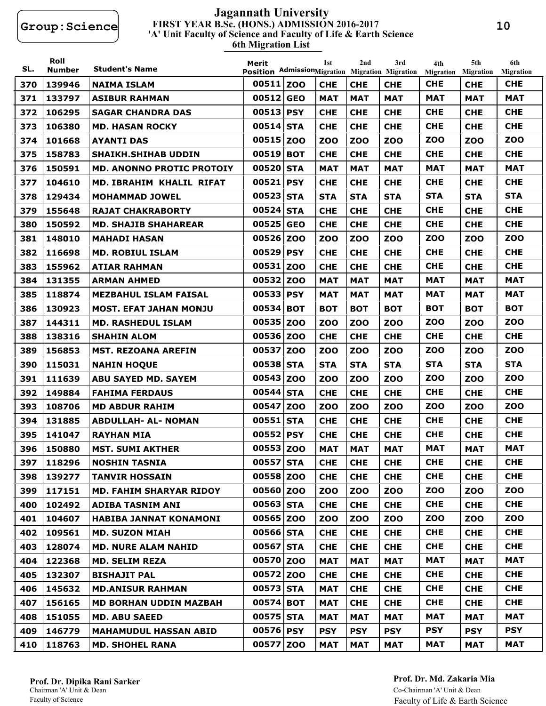#### **FIRST YEAR B.Sc. (HONS.) ADMISSION 2016-2017 6th Migration List 'A' Unit Faculty of Science and Faculty of Life & Earth Science Jagannath University**

| SL. | Roll<br><b>Number</b> | <b>Student's Name</b>            | Merit<br>Position AdmissionMigration Migration Migration |            | 1st        | 2 <sub>nd</sub> | 3rd        | 4th<br>Migration | 5th<br><b>Migration</b> | 6th<br><b>Migration</b> |
|-----|-----------------------|----------------------------------|----------------------------------------------------------|------------|------------|-----------------|------------|------------------|-------------------------|-------------------------|
| 370 | 139946                | <b>NAIMA ISLAM</b>               | 00511 Z00                                                |            | <b>CHE</b> | <b>CHE</b>      | <b>CHE</b> | <b>CHE</b>       | <b>CHE</b>              | <b>CHE</b>              |
| 371 | 133797                | <b>ASIBUR RAHMAN</b>             | 00512                                                    | <b>GEO</b> | <b>MAT</b> | <b>MAT</b>      | <b>MAT</b> | <b>MAT</b>       | <b>MAT</b>              | <b>MAT</b>              |
| 372 | 106295                | <b>SAGAR CHANDRA DAS</b>         | 00513                                                    | <b>PSY</b> | <b>CHE</b> | <b>CHE</b>      | <b>CHE</b> | <b>CHE</b>       | <b>CHE</b>              | <b>CHE</b>              |
| 373 | 106380                | <b>MD. HASAN ROCKY</b>           | 00514 STA                                                |            | <b>CHE</b> | <b>CHE</b>      | <b>CHE</b> | <b>CHE</b>       | <b>CHE</b>              | <b>CHE</b>              |
| 374 | 101668                | <b>AYANTI DAS</b>                | 00515                                                    | <b>ZOO</b> | <b>ZOO</b> | <b>ZOO</b>      | <b>ZOO</b> | <b>ZOO</b>       | <b>ZOO</b>              | <b>ZOO</b>              |
| 375 | 158783                | <b>SHAIKH.SHIHAB UDDIN</b>       | 00519                                                    | <b>BOT</b> | <b>CHE</b> | <b>CHE</b>      | <b>CHE</b> | <b>CHE</b>       | <b>CHE</b>              | <b>CHE</b>              |
| 376 | 150591                | <b>MD. ANONNO PROTIC PROTOIY</b> | 00520                                                    | <b>STA</b> | <b>MAT</b> | <b>MAT</b>      | <b>MAT</b> | <b>MAT</b>       | <b>MAT</b>              | <b>MAT</b>              |
| 377 | 104610                | MD. IBRAHIM KHALIL RIFAT         | 00521 PSY                                                |            | <b>CHE</b> | <b>CHE</b>      | <b>CHE</b> | <b>CHE</b>       | <b>CHE</b>              | <b>CHE</b>              |
| 378 | 129434                | <b>MOHAMMAD JOWEL</b>            | 00523                                                    | <b>STA</b> | <b>STA</b> | <b>STA</b>      | <b>STA</b> | <b>STA</b>       | <b>STA</b>              | <b>STA</b>              |
| 379 | 155648                | <b>RAJAT CHAKRABORTY</b>         | 00524                                                    | <b>STA</b> | <b>CHE</b> | <b>CHE</b>      | <b>CHE</b> | <b>CHE</b>       | <b>CHE</b>              | <b>CHE</b>              |
| 380 | 150592                | <b>MD. SHAJIB SHAHAREAR</b>      | 00525                                                    | <b>GEO</b> | <b>CHE</b> | <b>CHE</b>      | <b>CHE</b> | <b>CHE</b>       | <b>CHE</b>              | <b>CHE</b>              |
| 381 | 148010                | <b>MAHADI HASAN</b>              | 00526 ZOO                                                |            | <b>ZOO</b> | <b>ZOO</b>      | <b>ZOO</b> | <b>ZOO</b>       | <b>ZOO</b>              | <b>ZOO</b>              |
| 382 | 116698                | <b>MD. ROBIUL ISLAM</b>          | 00529                                                    | <b>PSY</b> | <b>CHE</b> | <b>CHE</b>      | <b>CHE</b> | <b>CHE</b>       | <b>CHE</b>              | <b>CHE</b>              |
| 383 | 155962                | <b>ATIAR RAHMAN</b>              | 00531                                                    | <b>ZOO</b> | <b>CHE</b> | <b>CHE</b>      | <b>CHE</b> | <b>CHE</b>       | <b>CHE</b>              | <b>CHE</b>              |
| 384 | 131355                | <b>ARMAN AHMED</b>               | 00532                                                    | <b>ZOO</b> | <b>MAT</b> | <b>MAT</b>      | <b>MAT</b> | <b>MAT</b>       | <b>MAT</b>              | <b>MAT</b>              |
| 385 | 118874                | <b>MEZBAHUL ISLAM FAISAL</b>     | 00533                                                    | <b>PSY</b> | <b>MAT</b> | <b>MAT</b>      | <b>MAT</b> | <b>MAT</b>       | <b>MAT</b>              | <b>MAT</b>              |
| 386 | 130923                | <b>MOST. EFAT JAHAN MONJU</b>    | 00534 BOT                                                |            | <b>BOT</b> | <b>BOT</b>      | <b>BOT</b> | <b>BOT</b>       | <b>BOT</b>              | <b>BOT</b>              |
| 387 | 144311                | <b>MD. RASHEDUL ISLAM</b>        | 00535                                                    | <b>ZOO</b> | <b>ZOO</b> | <b>ZOO</b>      | <b>ZOO</b> | <b>ZOO</b>       | <b>ZOO</b>              | <b>ZOO</b>              |
| 388 | 138316                | <b>SHAHIN ALOM</b>               | 00536 ZOO                                                |            | <b>CHE</b> | <b>CHE</b>      | <b>CHE</b> | <b>CHE</b>       | <b>CHE</b>              | <b>CHE</b>              |
| 389 | 156853                | <b>MST. REZOANA AREFIN</b>       | 00537                                                    | <b>ZOO</b> | <b>ZOO</b> | <b>ZOO</b>      | <b>ZOO</b> | <b>ZOO</b>       | <b>ZOO</b>              | <b>ZOO</b>              |
| 390 | 115031                | <b>NAHIN HOQUE</b>               | 00538 STA                                                |            | <b>STA</b> | <b>STA</b>      | <b>STA</b> | <b>STA</b>       | <b>STA</b>              | <b>STA</b>              |
| 391 | 111639                | <b>ABU SAYED MD. SAYEM</b>       | 00543 ZOO                                                |            | <b>ZOO</b> | <b>ZOO</b>      | <b>ZOO</b> | <b>ZOO</b>       | <b>ZOO</b>              | <b>ZOO</b>              |
| 392 | 149884                | <b>FAHIMA FERDAUS</b>            | 00544                                                    | <b>STA</b> | <b>CHE</b> | <b>CHE</b>      | <b>CHE</b> | <b>CHE</b>       | <b>CHE</b>              | <b>CHE</b>              |
| 393 | 108706                | <b>MD ABDUR RAHIM</b>            | 00547                                                    | <b>ZOO</b> | <b>ZOO</b> | <b>ZOO</b>      | <b>ZOO</b> | <b>ZOO</b>       | <b>ZOO</b>              | <b>ZOO</b>              |
| 394 | 131885                | <b>ABDULLAH- AL- NOMAN</b>       | 00551 STA                                                |            | <b>CHE</b> | <b>CHE</b>      | <b>CHE</b> | <b>CHE</b>       | <b>CHE</b>              | <b>CHE</b>              |
| 395 | 141047                | <b>RAYHAN MIA</b>                | 00552 PSY                                                |            | <b>CHE</b> | <b>CHE</b>      | <b>CHE</b> | <b>CHE</b>       | <b>CHE</b>              | <b>CHE</b>              |
| 396 | 150880                | <b>MST. SUMI AKTHER</b>          | 00553 ZOO                                                |            | <b>MAT</b> | <b>MAT</b>      | <b>MAT</b> | <b>MAT</b>       | <b>MAT</b>              | <b>MAT</b>              |
| 397 | 118296                | <b>NOSHIN TASNIA</b>             | 00557 STA                                                |            | <b>CHE</b> | <b>CHE</b>      | <b>CHE</b> | <b>CHE</b>       | <b>CHE</b>              | <b>CHE</b>              |
| 398 | 139277                | <b>TANVIR HOSSAIN</b>            | 00558 ZOO                                                |            | <b>CHE</b> | <b>CHE</b>      | <b>CHE</b> | <b>CHE</b>       | <b>CHE</b>              | <b>CHE</b>              |
| 399 | 117151                | <b>MD. FAHIM SHARYAR RIDOY</b>   | 00560 ZOO                                                |            | <b>ZOO</b> | <b>ZOO</b>      | <b>ZOO</b> | <b>ZOO</b>       | <b>ZOO</b>              | <b>ZOO</b>              |
| 400 | 102492                | <b>ADIBA TASNIM ANI</b>          | 00563 STA                                                |            | <b>CHE</b> | <b>CHE</b>      | <b>CHE</b> | <b>CHE</b>       | <b>CHE</b>              | <b>CHE</b>              |
| 401 | 104607                | <b>HABIBA JANNAT KONAMONI</b>    | 00565 ZOO                                                |            | <b>ZOO</b> | <b>ZOO</b>      | ZOO        | <b>ZOO</b>       | <b>ZOO</b>              | <b>ZOO</b>              |
| 402 | 109561                | <b>MD. SUZON MIAH</b>            | 00566 STA                                                |            | <b>CHE</b> | <b>CHE</b>      | <b>CHE</b> | <b>CHE</b>       | <b>CHE</b>              | <b>CHE</b>              |
| 403 | 128074                | <b>MD. NURE ALAM NAHID</b>       | 00567 STA                                                |            | <b>CHE</b> | <b>CHE</b>      | <b>CHE</b> | <b>CHE</b>       | <b>CHE</b>              | <b>CHE</b>              |
| 404 | 122368                | <b>MD. SELIM REZA</b>            | 00570 ZOO                                                |            | <b>MAT</b> | <b>MAT</b>      | <b>MAT</b> | <b>MAT</b>       | <b>MAT</b>              | MAT                     |
| 405 | 132307                | <b>BISHAJIT PAL</b>              | 00572 ZOO                                                |            | <b>CHE</b> | <b>CHE</b>      | <b>CHE</b> | <b>CHE</b>       | <b>CHE</b>              | <b>CHE</b>              |
| 406 | 145632                | <b>MD.ANISUR RAHMAN</b>          | 00573 STA                                                |            | <b>MAT</b> | <b>CHE</b>      | <b>CHE</b> | <b>CHE</b>       | <b>CHE</b>              | <b>CHE</b>              |
| 407 | 156165                | <b>MD BORHAN UDDIN MAZBAH</b>    | 00574 BOT                                                |            | <b>MAT</b> | <b>CHE</b>      | <b>CHE</b> | <b>CHE</b>       | <b>CHE</b>              | <b>CHE</b>              |
| 408 | 151055                | <b>MD. ABU SAEED</b>             | 00575 STA                                                |            | <b>MAT</b> | <b>MAT</b>      | <b>MAT</b> | <b>MAT</b>       | <b>MAT</b>              | MAT                     |
| 409 | 146779                | <b>MAHAMUDUL HASSAN ABID</b>     | 00576 PSY                                                |            | <b>PSY</b> | <b>PSY</b>      | <b>PSY</b> | <b>PSY</b>       | <b>PSY</b>              | <b>PSY</b>              |
| 410 | 118763                | <b>MD. SHOHEL RANA</b>           | 00577 ZOO                                                |            | <b>MAT</b> | <b>MAT</b>      | <b>MAT</b> | <b>MAT</b>       | <b>MAT</b>              | <b>MAT</b>              |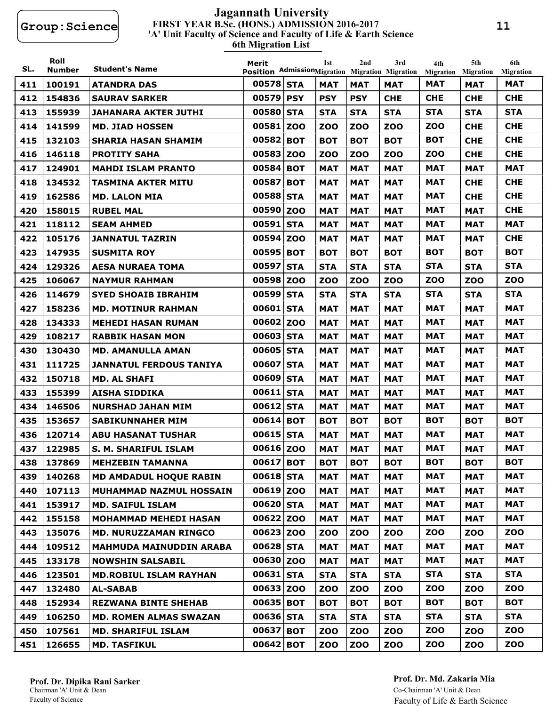#### **FIRST YEAR B.Sc. (HONS.) ADMISSION 2016-2017 6th Migration List 'A' Unit Faculty of Science and Faculty of Life & Earth Science Jagannath University**

| SL. | Roll<br><b>Number</b> | <b>Student's Name</b>          | Merit<br>Position AdmissionMigration Migration Migration |            | 1st        | 2nd        | 3rd        | 4th<br>Migration | 5th<br><b>Migration</b> | 6th<br><b>Migration</b> |
|-----|-----------------------|--------------------------------|----------------------------------------------------------|------------|------------|------------|------------|------------------|-------------------------|-------------------------|
| 411 | 100191                | <b>ATANDRA DAS</b>             | 00578 STA                                                |            | MAT        | <b>MAT</b> | <b>MAT</b> | MAT              | <b>MAT</b>              | <b>MAT</b>              |
| 412 | 154836                | <b>SAURAV SARKER</b>           | 00579 PSY                                                |            | <b>PSY</b> | <b>PSY</b> | <b>CHE</b> | <b>CHE</b>       | <b>CHE</b>              | <b>CHE</b>              |
| 413 | 155939                | <b>JAHANARA AKTER JUTHI</b>    | 00580 STA                                                |            | <b>STA</b> | <b>STA</b> | <b>STA</b> | <b>STA</b>       | <b>STA</b>              | <b>STA</b>              |
| 414 | 141599                | <b>MD. JIAD HOSSEN</b>         | 00581                                                    | <b>ZOO</b> | <b>ZOO</b> | <b>ZOO</b> | <b>ZOO</b> | <b>ZOO</b>       | <b>CHE</b>              | <b>CHE</b>              |
| 415 | 132103                | <b>SHARIA HASAN SHAMIM</b>     | 00582 BOT                                                |            | <b>BOT</b> | <b>BOT</b> | <b>BOT</b> | <b>BOT</b>       | <b>CHE</b>              | <b>CHE</b>              |
| 416 | 146118                | <b>PROTITY SAHA</b>            | 00583 ZOO                                                |            | <b>ZOO</b> | ZOO        | zoo        | <b>ZOO</b>       | <b>CHE</b>              | <b>CHE</b>              |
| 417 | 124901                | <b>MAHDI ISLAM PRANTO</b>      | 00584 BOT                                                |            | <b>MAT</b> | <b>MAT</b> | <b>MAT</b> | <b>MAT</b>       | <b>MAT</b>              | <b>MAT</b>              |
| 418 | 134532                | <b>TASMINA AKTER MITU</b>      | 00587                                                    | <b>BOT</b> | <b>MAT</b> | <b>MAT</b> | MAT        | <b>MAT</b>       | <b>CHE</b>              | <b>CHE</b>              |
| 419 | 162586                | <b>MD. LALON MIA</b>           | 00588                                                    | <b>STA</b> | MAT        | MAT        | MAT        | MAT              | <b>CHE</b>              | <b>CHE</b>              |
| 420 | 158015                | <b>RUBEL MAL</b>               | 00590                                                    | <b>ZOO</b> | MAT        | <b>MAT</b> | <b>MAT</b> | <b>MAT</b>       | <b>MAT</b>              | <b>CHE</b>              |
| 421 | 118112                | <b>SEAM AHMED</b>              | 00591 STA                                                |            | MAT        | <b>MAT</b> | MAT        | <b>MAT</b>       | <b>MAT</b>              | <b>MAT</b>              |
| 422 | 105176                | <b>JANNATUL TAZRIN</b>         | 00594                                                    | <b>ZOO</b> | <b>MAT</b> | <b>MAT</b> | <b>MAT</b> | <b>MAT</b>       | <b>MAT</b>              | <b>CHE</b>              |
| 423 | 147935                | <b>SUSMITA ROY</b>             | 00595                                                    | <b>BOT</b> | <b>BOT</b> | <b>BOT</b> | <b>BOT</b> | <b>BOT</b>       | <b>BOT</b>              | <b>BOT</b>              |
| 424 | 129326                | <b>AESA NURAEA TOMA</b>        | 00597 STA                                                |            | <b>STA</b> | <b>STA</b> | <b>STA</b> | <b>STA</b>       | <b>STA</b>              | <b>STA</b>              |
| 425 | 106067                | <b>NAYMUR RAHMAN</b>           | 00598 ZOO                                                |            | <b>ZOO</b> | <b>ZOO</b> | <b>ZOO</b> | <b>ZOO</b>       | <b>ZOO</b>              | <b>ZOO</b>              |
| 426 | 114679                | <b>SYED SHOAIB IBRAHIM</b>     | 00599                                                    | <b>STA</b> | <b>STA</b> | <b>STA</b> | <b>STA</b> | <b>STA</b>       | <b>STA</b>              | <b>STA</b>              |
| 427 | 158236                | <b>MD. MOTINUR RAHMAN</b>      | 00601                                                    | <b>STA</b> | <b>MAT</b> | <b>MAT</b> | <b>MAT</b> | <b>MAT</b>       | <b>MAT</b>              | <b>MAT</b>              |
| 428 | 134333                | <b>MEHEDI HASAN RUMAN</b>      | 00602 ZOO                                                |            | MAT        | <b>MAT</b> | <b>MAT</b> | MAT              | <b>MAT</b>              | <b>MAT</b>              |
| 429 | 108217                | <b>RABBIK HASAN MON</b>        | 00603 STA                                                |            | MAT        | <b>MAT</b> | MAT        | MAT              | <b>MAT</b>              | <b>MAT</b>              |
| 430 | 130430                | <b>MD. AMANULLA AMAN</b>       | 00605 STA                                                |            | <b>MAT</b> | <b>MAT</b> | <b>MAT</b> | <b>MAT</b>       | <b>MAT</b>              | <b>MAT</b>              |
| 431 | 111725                | <b>JANNATUL FERDOUS TANIYA</b> | 00607                                                    | <b>STA</b> | <b>MAT</b> | <b>MAT</b> | <b>MAT</b> | <b>MAT</b>       | <b>MAT</b>              | <b>MAT</b>              |
| 432 | 150718                | <b>MD. AL SHAFI</b>            | 00609                                                    | <b>STA</b> | <b>MAT</b> | <b>MAT</b> | MAT        | MAT              | <b>MAT</b>              | <b>MAT</b>              |
| 433 | 155399                | AISHA SIDDIKA                  | 00611 STA                                                |            | MAT        | <b>MAT</b> | MAT        | <b>MAT</b>       | <b>MAT</b>              | <b>MAT</b>              |
| 434 | 146506                | <b>NURSHAD JAHAN MIM</b>       | 00612 STA                                                |            | <b>MAT</b> | <b>MAT</b> | <b>MAT</b> | MAT              | <b>MAT</b>              | <b>MAT</b>              |
| 435 | 153657                | <b>SABIKUNNAHER MIM</b>        | 00614 BOT                                                |            | вот        | <b>BOT</b> | вот        | <b>BOT</b>       | <b>BOT</b>              | <b>BOT</b>              |
| 436 | 120714                | <b>ABU HASANAT TUSHAR</b>      | 00615                                                    | <b>STA</b> | <b>MAT</b> | <b>MAT</b> | <b>MAT</b> | <b>MAT</b>       | <b>MAT</b>              | <b>MAT</b>              |
| 437 | 122985                | <b>S. M. SHARIFUL ISLAM</b>    | 00616 ZOO                                                |            | MAT        | <b>MAT</b> | <b>MAT</b> | <b>MAT</b>       | <b>MAT</b>              | <b>MAT</b>              |
| 438 | 137869                | <b>MEHZEBIN TAMANNA</b>        | 00617 BOT                                                |            | <b>BOT</b> | <b>BOT</b> | <b>BOT</b> | <b>BOT</b>       | <b>BOT</b>              | <b>BOT</b>              |
| 439 | 140268                | <b>MD AMDADUL HOQUE RABIN</b>  | 00618 STA                                                |            | <b>MAT</b> | <b>MAT</b> | <b>MAT</b> | <b>MAT</b>       | <b>MAT</b>              | <b>MAT</b>              |
| 440 | 107113                | MUHAMMAD NAZMUL HOSSAIN        | 00619 ZOO                                                |            | <b>MAT</b> | <b>MAT</b> | <b>MAT</b> | <b>MAT</b>       | <b>MAT</b>              | MAT                     |
| 441 | 153917                | <b>MD. SAIFUL ISLAM</b>        | 00620 STA                                                |            | <b>MAT</b> | <b>MAT</b> | <b>MAT</b> | <b>MAT</b>       | <b>MAT</b>              | MAT                     |
| 442 | 155158                | <b>MOHAMMAD MEHEDI HASAN</b>   | 00622 ZOO                                                |            | <b>MAT</b> | <b>MAT</b> | <b>MAT</b> | <b>MAT</b>       | <b>MAT</b>              | <b>MAT</b>              |
| 443 | 135076                | <b>MD. NURUZZAMAN RINGCO</b>   | 00623 ZOO                                                |            | <b>ZOO</b> | <b>ZOO</b> | ZOO        | <b>ZOO</b>       | <b>ZOO</b>              | <b>ZOO</b>              |
| 444 | 109512                | <b>MAHMUDA MAINUDDIN ARABA</b> | 00628 STA                                                |            | <b>MAT</b> | <b>MAT</b> | <b>MAT</b> | <b>MAT</b>       | <b>MAT</b>              | <b>MAT</b>              |
| 445 | 133178                | <b>NOWSHIN SALSABIL</b>        | 00630 ZOO                                                |            | <b>MAT</b> | <b>MAT</b> | <b>MAT</b> | <b>MAT</b>       | <b>MAT</b>              | MAT                     |
| 446 | 123501                | <b>MD.ROBIUL ISLAM RAYHAN</b>  | 00631 STA                                                |            | <b>STA</b> | <b>STA</b> | <b>STA</b> | <b>STA</b>       | <b>STA</b>              | <b>STA</b>              |
| 447 | 132480                | <b>AL-SABAB</b>                | 00633 ZOO                                                |            | <b>ZOO</b> | <b>ZOO</b> | ZOO        | <b>ZOO</b>       | <b>ZOO</b>              | ZOO                     |
| 448 | 152934                | <b>REZWANA BINTE SHEHAB</b>    | 00635 BOT                                                |            | <b>BOT</b> | <b>BOT</b> | <b>BOT</b> | <b>BOT</b>       | <b>BOT</b>              | <b>BOT</b>              |
| 449 | 106250                | <b>MD. ROMEN ALMAS SWAZAN</b>  | 00636 STA                                                |            | <b>STA</b> | <b>STA</b> | <b>STA</b> | <b>STA</b>       | <b>STA</b>              | <b>STA</b>              |
| 450 | 107561                | <b>MD. SHARIFUL ISLAM</b>      | 00637 BOT                                                |            | <b>ZOO</b> | <b>ZOO</b> | <b>ZOO</b> | <b>ZOO</b>       | <b>ZOO</b>              | <b>ZOO</b>              |
| 451 | 126655                | <b>MD. TASFIKUL</b>            | 00642 BOT                                                |            | <b>ZOO</b> | <b>ZOO</b> | <b>ZOO</b> | <b>ZOO</b>       | <b>ZOO</b>              | <b>ZOO</b>              |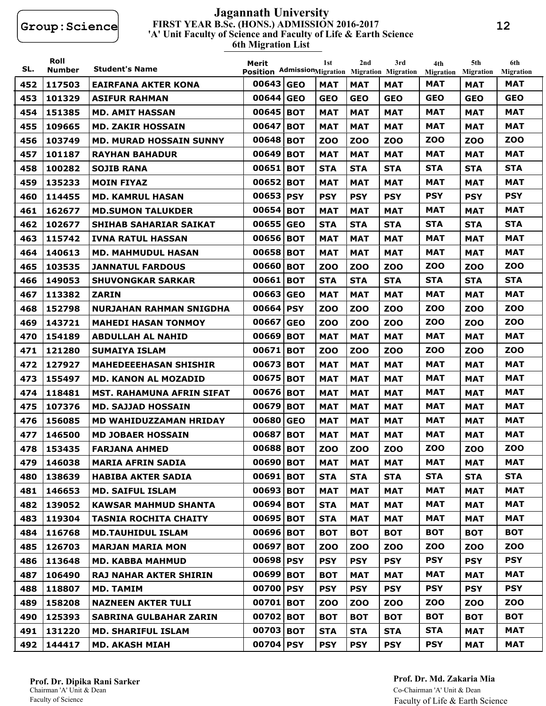#### **FIRST YEAR B.Sc. (HONS.) ADMISSION 2016-2017 6th Migration List 'A' Unit Faculty of Science and Faculty of Life & Earth Science Jagannath University**

| SL. | Roll<br><b>Number</b> | <b>Student's Name</b>            | Merit<br>Position AdmissionMigration Migration Migration |            | 1st        | 2nd        | 3rd        | 4th<br><b>Migration</b> | 5th<br><b>Migration</b> | 6th<br><b>Migration</b> |
|-----|-----------------------|----------------------------------|----------------------------------------------------------|------------|------------|------------|------------|-------------------------|-------------------------|-------------------------|
| 452 | 117503                | EAIRFANA AKTER KONA              | 00643 GEO                                                |            | MAT        | <b>MAT</b> | MAT        | <b>MAT</b>              | <b>MAT</b>              | <b>MAT</b>              |
| 453 | 101329                | <b>ASIFUR RAHMAN</b>             | 00644 GEO                                                |            | GEO        | <b>GEO</b> | <b>GEO</b> | <b>GEO</b>              | <b>GEO</b>              | <b>GEO</b>              |
| 454 | 151385                | <b>MD. AMIT HASSAN</b>           | 00645                                                    | <b>BOT</b> | MAT        | <b>MAT</b> | <b>MAT</b> | <b>MAT</b>              | <b>MAT</b>              | <b>MAT</b>              |
| 455 | 109665                | <b>MD. ZAKIR HOSSAIN</b>         | 00647                                                    | <b>BOT</b> | <b>MAT</b> | <b>MAT</b> | MAT        | <b>MAT</b>              | <b>MAT</b>              | <b>MAT</b>              |
| 456 | 103749                | <b>MD. MURAD HOSSAIN SUNNY</b>   | 00648 BOT                                                |            | zoo        | <b>ZOO</b> | <b>ZOO</b> | <b>ZOO</b>              | <b>ZOO</b>              | <b>ZOO</b>              |
| 457 | 101187                | <b>RAYHAN BAHADUR</b>            | 00649                                                    | <b>BOT</b> | <b>MAT</b> | <b>MAT</b> | <b>MAT</b> | MAT                     | <b>MAT</b>              | <b>MAT</b>              |
| 458 | 100282                | <b>SOJIB RANA</b>                | 00651                                                    | <b>BOT</b> | <b>STA</b> | <b>STA</b> | <b>STA</b> | <b>STA</b>              | <b>STA</b>              | <b>STA</b>              |
| 459 | 135233                | <b>MOIN FIYAZ</b>                | 00652                                                    | <b>BOT</b> | <b>MAT</b> | <b>MAT</b> | <b>MAT</b> | <b>MAT</b>              | <b>MAT</b>              | <b>MAT</b>              |
| 460 | 114455                | <b>MD. KAMRUL HASAN</b>          | 00653                                                    | <b>PSY</b> | <b>PSY</b> | <b>PSY</b> | <b>PSY</b> | <b>PSY</b>              | <b>PSY</b>              | <b>PSY</b>              |
| 461 | 162677                | <b>MD.SUMON TALUKDER</b>         | 00654 BOT                                                |            | <b>MAT</b> | <b>MAT</b> | MAT        | <b>MAT</b>              | <b>MAT</b>              | <b>MAT</b>              |
| 462 | 102677                | <b>SHIHAB SAHARIAR SAIKAT</b>    | 00655                                                    | <b>GEO</b> | <b>STA</b> | <b>STA</b> | <b>STA</b> | <b>STA</b>              | <b>STA</b>              | <b>STA</b>              |
| 463 | 115742                | <b>IVNA RATUL HASSAN</b>         | 00656 BOT                                                |            | <b>MAT</b> | <b>MAT</b> | <b>MAT</b> | MAT                     | <b>MAT</b>              | <b>MAT</b>              |
| 464 | 140613                | <b>MD. MAHMUDUL HASAN</b>        | 00658 BOT                                                |            | <b>MAT</b> | <b>MAT</b> | <b>MAT</b> | <b>MAT</b>              | <b>MAT</b>              | <b>MAT</b>              |
| 465 | 103535                | <b>JANNATUL FARDOUS</b>          | 00660 BOT                                                |            | zoo        | <b>ZOO</b> | zoo        | <b>ZOO</b>              | zoo                     | <b>ZOO</b>              |
| 466 | 149053                | <b>SHUVONGKAR SARKAR</b>         | 00661                                                    | <b>BOT</b> | <b>STA</b> | <b>STA</b> | <b>STA</b> | <b>STA</b>              | <b>STA</b>              | <b>STA</b>              |
| 467 | 113382                | <b>ZARIN</b>                     | 00663                                                    | <b>GEO</b> | <b>MAT</b> | <b>MAT</b> | MAT        | <b>MAT</b>              | <b>MAT</b>              | <b>MAT</b>              |
| 468 | 152798                | <b>NURJAHAN RAHMAN SNIGDHA</b>   | 00664                                                    | <b>PSY</b> | <b>ZOO</b> | <b>ZOO</b> | <b>ZOO</b> | <b>ZOO</b>              | <b>ZOO</b>              | <b>ZOO</b>              |
| 469 | 143721                | <b>MAHEDI HASAN TONMOY</b>       | 00667                                                    | <b>GEO</b> | zoo        | <b>ZOO</b> | <b>ZOO</b> | <b>ZOO</b>              | <b>ZOO</b>              | <b>ZOO</b>              |
| 470 | 154189                | <b>ABDULLAH AL NAHID</b>         | 00669                                                    | <b>BOT</b> | <b>MAT</b> | <b>MAT</b> | <b>MAT</b> | <b>MAT</b>              | <b>MAT</b>              | <b>MAT</b>              |
| 471 | 121280                | <b>SUMAIYA ISLAM</b>             | 00671                                                    | <b>BOT</b> | <b>ZOO</b> | <b>ZOO</b> | <b>ZOO</b> | <b>ZOO</b>              | <b>ZOO</b>              | <b>ZOO</b>              |
| 472 | 127927                | <b>MAHEDEEEHASAN SHISHIR</b>     | 00673                                                    | <b>BOT</b> | MAT        | <b>MAT</b> | <b>MAT</b> | <b>MAT</b>              | <b>MAT</b>              | <b>MAT</b>              |
| 473 | 155497                | <b>MD. KANON AL MOZADID</b>      | 00675                                                    | <b>BOT</b> | MAT        | <b>MAT</b> | MAT        | MAT                     | <b>MAT</b>              | <b>MAT</b>              |
| 474 | 118481                | <b>MST. RAHAMUNA AFRIN SIFAT</b> | 00676 BOT                                                |            | <b>MAT</b> | <b>MAT</b> | <b>MAT</b> | <b>MAT</b>              | <b>MAT</b>              | <b>MAT</b>              |
| 475 | 107376                | <b>MD. SAJJAD HOSSAIN</b>        | 00679                                                    | <b>BOT</b> | <b>MAT</b> | <b>MAT</b> | <b>MAT</b> | <b>MAT</b>              | <b>MAT</b>              | <b>MAT</b>              |
| 476 | 156085                | MD WAHIDUZZAMAN HRIDAY           | 00680                                                    | <b>GEO</b> | MAT        | <b>MAT</b> | MAT        | MAT                     | <b>MAT</b>              | MAT                     |
| 477 | 146500                | <b>MD JOBAER HOSSAIN</b>         | 00687                                                    | <b>BOT</b> | MAT        | <b>MAT</b> | MAT        | <b>MAT</b>              | <b>MAT</b>              | <b>MAT</b>              |
| 478 | 153435                | <b>FARJANA AHMED</b>             | 00688 BOT                                                |            | <b>ZOO</b> | <b>ZOO</b> | <b>ZOO</b> | zoo                     | <b>ZOO</b>              | <b>ZOO</b>              |
| 479 | 146038                | <b>MARIA AFRIN SADIA</b>         | 00690 BOT                                                |            | <b>MAT</b> | <b>MAT</b> | <b>MAT</b> | <b>MAT</b>              | <b>MAT</b>              | <b>MAT</b>              |
| 480 | 138639                | <b>HABIBA AKTER SADIA</b>        | 00691 BOT                                                |            | <b>STA</b> | <b>STA</b> | <b>STA</b> | <b>STA</b>              | <b>STA</b>              | <b>STA</b>              |
| 481 | 146653                | <b>MD. SAIFUL ISLAM</b>          | 00693 BOT                                                |            | MAT        | <b>MAT</b> | <b>MAT</b> | <b>MAT</b>              | <b>MAT</b>              | <b>MAT</b>              |
| 482 | 139052                | <b>KAWSAR MAHMUD SHANTA</b>      | 00694 BOT                                                |            | <b>STA</b> | <b>MAT</b> | <b>MAT</b> | <b>MAT</b>              | <b>MAT</b>              | <b>MAT</b>              |
| 483 | 119304                | <b>TASNIA ROCHITA CHAITY</b>     | 00695 BOT                                                |            | <b>STA</b> | <b>MAT</b> | <b>MAT</b> | <b>MAT</b>              | <b>MAT</b>              | <b>MAT</b>              |
| 484 | 116768                | <b>MD.TAUHIDUL ISLAM</b>         | 00696 BOT                                                |            | <b>BOT</b> | <b>BOT</b> | <b>BOT</b> | <b>BOT</b>              | <b>BOT</b>              | <b>BOT</b>              |
| 485 | 126703                | <b>MARJAN MARIA MON</b>          | 00697 BOT                                                |            | <b>ZOO</b> | <b>ZOO</b> | <b>ZOO</b> | <b>ZOO</b>              | <b>ZOO</b>              | <b>ZOO</b>              |
| 486 | 113648                | <b>MD. KABBA MAHMUD</b>          | 00698 PSY                                                |            | <b>PSY</b> | <b>PSY</b> | <b>PSY</b> | <b>PSY</b>              | <b>PSY</b>              | <b>PSY</b>              |
| 487 | 106490                | <b>RAJ NAHAR AKTER SHIRIN</b>    | 00699 BOT                                                |            | <b>BOT</b> | <b>MAT</b> | <b>MAT</b> | <b>MAT</b>              | <b>MAT</b>              | <b>MAT</b>              |
| 488 | 118807                | <b>MD. TAMIM</b>                 | 00700 PSY                                                |            | <b>PSY</b> | <b>PSY</b> | <b>PSY</b> | <b>PSY</b>              | <b>PSY</b>              | <b>PSY</b>              |
| 489 | 158208                | <b>NAZNEEN AKTER TULI</b>        | 00701 BOT                                                |            | <b>ZOO</b> | <b>ZOO</b> | <b>ZOO</b> | <b>ZOO</b>              | <b>ZOO</b>              | <b>ZOO</b>              |
| 490 | 125393                | <b>SABRINA GULBAHAR ZARIN</b>    | 00702 BOT                                                |            | <b>BOT</b> | <b>BOT</b> | <b>BOT</b> | <b>BOT</b>              | <b>BOT</b>              | <b>BOT</b>              |
| 491 | 131220                | <b>MD. SHARIFUL ISLAM</b>        | 00703 BOT                                                |            | <b>STA</b> | <b>STA</b> | <b>STA</b> | <b>STA</b>              | <b>MAT</b>              | MAT                     |
| 492 | 144417                | <b>MD. AKASH MIAH</b>            | 00704 PSY                                                |            | <b>PSY</b> | <b>PSY</b> | <b>PSY</b> | <b>PSY</b>              | <b>MAT</b>              | <b>MAT</b>              |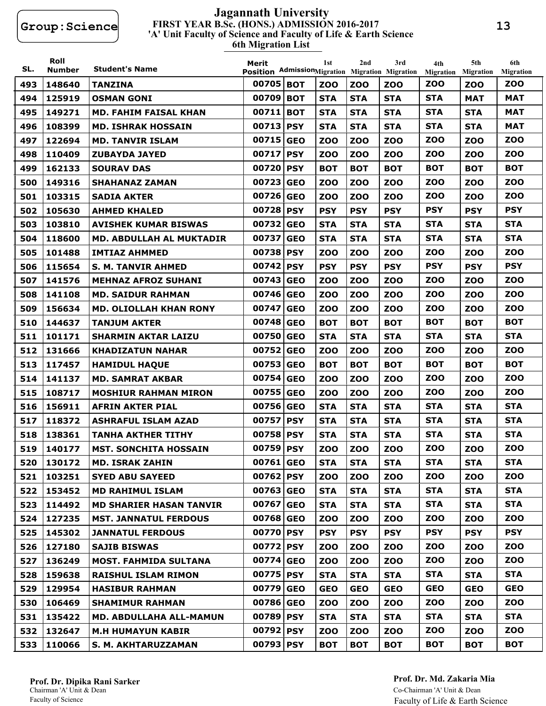#### **FIRST YEAR B.Sc. (HONS.) ADMISSION 2016-2017 6th Migration List 'A' Unit Faculty of Science and Faculty of Life & Earth Science Jagannath University**

| SL. | Roll<br><b>Number</b> | <b>Student's Name</b>           | Merit<br>Position AdmissionMigration Migration Migration |            | 1st        | 2nd        | 3rd        | 4th<br><b>Migration</b> | 5th<br><b>Migration</b> | 6th<br><b>Migration</b> |
|-----|-----------------------|---------------------------------|----------------------------------------------------------|------------|------------|------------|------------|-------------------------|-------------------------|-------------------------|
| 493 | 148640                | <b>TANZINA</b>                  | 00705 BOT                                                |            | <b>ZOO</b> | <b>ZOO</b> | <b>ZOO</b> | <b>ZOO</b>              | <b>ZOO</b>              | <b>ZOO</b>              |
| 494 | 125919                | <b>OSMAN GONI</b>               | 00709 BOT                                                |            | <b>STA</b> | <b>STA</b> | <b>STA</b> | <b>STA</b>              | <b>MAT</b>              | <b>MAT</b>              |
| 495 | 149271                | <b>MD. FAHIM FAISAL KHAN</b>    | 00711                                                    | <b>BOT</b> | <b>STA</b> | <b>STA</b> | <b>STA</b> | <b>STA</b>              | <b>STA</b>              | <b>MAT</b>              |
| 496 | 108399                | <b>MD. ISHRAK HOSSAIN</b>       | 00713 PSY                                                |            | <b>STA</b> | <b>STA</b> | <b>STA</b> | <b>STA</b>              | <b>STA</b>              | <b>MAT</b>              |
| 497 | 122694                | <b>MD. TANVIR ISLAM</b>         | 00715                                                    | <b>GEO</b> | <b>ZOO</b> | <b>ZOO</b> | <b>ZOO</b> | <b>ZOO</b>              | <b>ZOO</b>              | <b>ZOO</b>              |
| 498 | 110409                | <b>ZUBAYDA JAYED</b>            | 00717                                                    | <b>PSY</b> | <b>ZOO</b> | <b>ZOO</b> | <b>ZOO</b> | <b>ZOO</b>              | <b>ZOO</b>              | <b>ZOO</b>              |
| 499 | 162133                | <b>SOURAV DAS</b>               | 00720 PSY                                                |            | <b>BOT</b> | <b>BOT</b> | <b>BOT</b> | <b>BOT</b>              | <b>BOT</b>              | <b>BOT</b>              |
| 500 | 149316                | <b>SHAHANAZ ZAMAN</b>           | 00723 GEO                                                |            | <b>ZOO</b> | <b>ZOO</b> | <b>ZOO</b> | <b>ZOO</b>              | <b>ZOO</b>              | <b>ZOO</b>              |
| 501 | 103315                | <b>SADIA AKTER</b>              | 00726 GEO                                                |            | <b>ZOO</b> | <b>ZOO</b> | <b>ZOO</b> | <b>ZOO</b>              | <b>ZOO</b>              | <b>ZOO</b>              |
| 502 | 105630                | <b>AHMED KHALED</b>             | 00728 PSY                                                |            | <b>PSY</b> | <b>PSY</b> | <b>PSY</b> | <b>PSY</b>              | <b>PSY</b>              | <b>PSY</b>              |
| 503 | 103810                | <b>AVISHEK KUMAR BISWAS</b>     | 00732 GEO                                                |            | <b>STA</b> | <b>STA</b> | <b>STA</b> | <b>STA</b>              | <b>STA</b>              | <b>STA</b>              |
| 504 | 118600                | <b>MD. ABDULLAH AL MUKTADIR</b> | 00737 GEO                                                |            | <b>STA</b> | <b>STA</b> | <b>STA</b> | <b>STA</b>              | <b>STA</b>              | <b>STA</b>              |
| 505 | 101488                | <b>IMTIAZ AHMMED</b>            | 00738 PSY                                                |            | <b>ZOO</b> | <b>ZOO</b> | <b>ZOO</b> | <b>ZOO</b>              | <b>ZOO</b>              | <b>ZOO</b>              |
| 506 | 115654                | <b>S. M. TANVIR AHMED</b>       | 00742 PSY                                                |            | <b>PSY</b> | <b>PSY</b> | <b>PSY</b> | <b>PSY</b>              | <b>PSY</b>              | <b>PSY</b>              |
| 507 | 141576                | <b>MEHNAZ AFROZ SUHANI</b>      | 00743 GEO                                                |            | <b>ZOO</b> | <b>ZOO</b> | <b>ZOO</b> | <b>ZOO</b>              | <b>ZOO</b>              | <b>ZOO</b>              |
| 508 | 141108                | <b>MD. SAIDUR RAHMAN</b>        | 00746 GEO                                                |            | <b>ZOO</b> | <b>ZOO</b> | <b>ZOO</b> | <b>ZOO</b>              | <b>ZOO</b>              | <b>ZOO</b>              |
| 509 | 156634                | <b>MD. OLIOLLAH KHAN RONY</b>   | 00747 GEO                                                |            | <b>ZOO</b> | <b>ZOO</b> | <b>ZOO</b> | <b>ZOO</b>              | <b>ZOO</b>              | <b>ZOO</b>              |
| 510 | 144637                | <b>TANJUM AKTER</b>             | 00748 GEO                                                |            | <b>BOT</b> | <b>BOT</b> | <b>BOT</b> | <b>BOT</b>              | <b>BOT</b>              | <b>BOT</b>              |
| 511 | 101171                | <b>SHARMIN AKTAR LAIZU</b>      | 00750 GEO                                                |            | <b>STA</b> | <b>STA</b> | <b>STA</b> | <b>STA</b>              | <b>STA</b>              | <b>STA</b>              |
| 512 | 131666                | <b>KHADIZATUN NAHAR</b>         | 00752 GEO                                                |            | <b>ZOO</b> | <b>ZOO</b> | <b>ZOO</b> | <b>ZOO</b>              | <b>ZOO</b>              | <b>ZOO</b>              |
| 513 | 117457                | <b>HAMIDUL HAQUE</b>            | 00753 GEO                                                |            | <b>BOT</b> | <b>BOT</b> | <b>BOT</b> | <b>BOT</b>              | <b>BOT</b>              | <b>BOT</b>              |
| 514 | 141137                | <b>MD. SAMRAT AKBAR</b>         | 00754 GEO                                                |            | <b>ZOO</b> | <b>ZOO</b> | <b>ZOO</b> | <b>ZOO</b>              | <b>ZOO</b>              | <b>ZOO</b>              |
| 515 | 108717                | <b>MOSHIUR RAHMAN MIRON</b>     | 00755 GEO                                                |            | <b>ZOO</b> | <b>ZOO</b> | <b>ZOO</b> | <b>ZOO</b>              | <b>ZOO</b>              | <b>ZOO</b>              |
| 516 | 156911                | <b>AFRIN AKTER PIAL</b>         | 00756 GEO                                                |            | <b>STA</b> | <b>STA</b> | <b>STA</b> | <b>STA</b>              | <b>STA</b>              | <b>STA</b>              |
| 517 | 118372                | <b>ASHRAFUL ISLAM AZAD</b>      | 00757 PSY                                                |            | <b>STA</b> | <b>STA</b> | <b>STA</b> | <b>STA</b>              | <b>STA</b>              | <b>STA</b>              |
| 518 | 138361                | <b>TANHA AKTHER TITHY</b>       | 00758 PSY                                                |            | <b>STA</b> | <b>STA</b> | <b>STA</b> | <b>STA</b>              | <b>STA</b>              | <b>STA</b>              |
| 519 | 140177                | <b>MST. SONCHITA HOSSAIN</b>    | 00759 PSY                                                |            | <b>ZOO</b> | <b>ZOO</b> | <b>ZOO</b> | <b>ZOO</b>              | <b>ZOO</b>              | <b>ZOO</b>              |
| 520 | 130172                | <b>MD. ISRAK ZAHIN</b>          | 00761 GEO                                                |            | <b>STA</b> | <b>STA</b> | <b>STA</b> | <b>STA</b>              | <b>STA</b>              | <b>STA</b>              |
| 521 | 103251                | <b>SYED ABU SAYEED</b>          | 00762 PSY                                                |            | <b>ZOO</b> | <b>ZOO</b> | <b>ZOO</b> | <b>ZOO</b>              | <b>ZOO</b>              | <b>ZOO</b>              |
| 522 | 153452                | <b>MD RAHIMUL ISLAM</b>         | 00763 GEO                                                |            | <b>STA</b> | <b>STA</b> | <b>STA</b> | <b>STA</b>              | <b>STA</b>              | <b>STA</b>              |
| 523 | 114492                | <b>MD SHARIER HASAN TANVIR</b>  | 00767 GEO                                                |            | <b>STA</b> | <b>STA</b> | <b>STA</b> | <b>STA</b>              | <b>STA</b>              | <b>STA</b>              |
| 524 | 127235                | <b>MST. JANNATUL FERDOUS</b>    | 00768 GEO                                                |            | <b>ZOO</b> | <b>ZOO</b> | <b>ZOO</b> | <b>ZOO</b>              | <b>ZOO</b>              | <b>ZOO</b>              |
| 525 | 145302                | <b>JANNATUL FERDOUS</b>         | 00770 PSY                                                |            | <b>PSY</b> | <b>PSY</b> | <b>PSY</b> | <b>PSY</b>              | <b>PSY</b>              | <b>PSY</b>              |
| 526 | 127180                | <b>SAJIB BISWAS</b>             | 00772 PSY                                                |            | <b>ZOO</b> | <b>ZOO</b> | <b>ZOO</b> | <b>ZOO</b>              | <b>ZOO</b>              | <b>ZOO</b>              |
| 527 | 136249                | <b>MOST. FAHMIDA SULTANA</b>    | 00774 GEO                                                |            | <b>ZOO</b> | <b>ZOO</b> | <b>ZOO</b> | <b>ZOO</b>              | <b>ZOO</b>              | <b>ZOO</b>              |
| 528 | 159638                | <b>RAISHUL ISLAM RIMON</b>      | 00775 PSY                                                |            | <b>STA</b> | <b>STA</b> | <b>STA</b> | <b>STA</b>              | <b>STA</b>              | <b>STA</b>              |
| 529 | 129954                | <b>HASIBUR RAHMAN</b>           | 00779 GEO                                                |            | <b>GEO</b> | <b>GEO</b> | <b>GEO</b> | <b>GEO</b>              | <b>GEO</b>              | <b>GEO</b>              |
| 530 | 106469                | <b>SHAMIMUR RAHMAN</b>          | 00786 GEO                                                |            | <b>ZOO</b> | <b>ZOO</b> | <b>ZOO</b> | <b>ZOO</b>              | <b>ZOO</b>              | <b>ZOO</b>              |
| 531 | 135422                | <b>MD. ABDULLAHA ALL-MAMUN</b>  | 00789 PSY                                                |            | <b>STA</b> | <b>STA</b> | <b>STA</b> | <b>STA</b>              | <b>STA</b>              | <b>STA</b>              |
| 532 | 132647                | <b>M.H HUMAYUN KABIR</b>        | 00792 PSY                                                |            | <b>ZOO</b> | <b>ZOO</b> | <b>ZOO</b> | <b>ZOO</b>              | <b>ZOO</b>              | <b>ZOO</b>              |
| 533 | 110066                | S. M. AKHTARUZZAMAN             | 00793 PSY                                                |            | <b>BOT</b> | <b>BOT</b> | <b>BOT</b> | <b>BOT</b>              | <b>BOT</b>              | <b>BOT</b>              |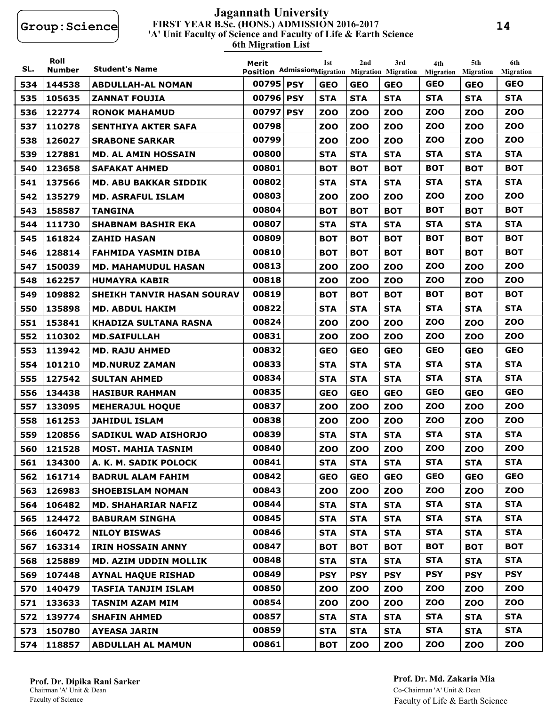#### **FIRST YEAR B.Sc. (HONS.) ADMISSION 2016-2017 6th Migration List 'A' Unit Faculty of Science and Faculty of Life & Earth Science Jagannath University**

| SL. | Roll<br><b>Number</b> | <b>Student's Name</b>             | Merit<br>Position AdmissionMigration Migration Migration | 1st        | 2nd        | 3rd        | 4th<br>Migration | 5th<br><b>Migration</b> | 6th<br><b>Migration</b> |
|-----|-----------------------|-----------------------------------|----------------------------------------------------------|------------|------------|------------|------------------|-------------------------|-------------------------|
| 534 | 144538                | <b>ABDULLAH-AL NOMAN</b>          | 00795 PSY                                                | <b>GEO</b> | <b>GEO</b> | <b>GEO</b> | <b>GEO</b>       | <b>GEO</b>              | <b>GEO</b>              |
| 535 | 105635                | <b>ZANNAT FOUJIA</b>              | 00796 PSY                                                | <b>STA</b> | <b>STA</b> | <b>STA</b> | <b>STA</b>       | <b>STA</b>              | <b>STA</b>              |
| 536 | 122774                | <b>RONOK MAHAMUD</b>              | 00797 PSY                                                | <b>ZOO</b> | <b>ZOO</b> | <b>ZOO</b> | <b>ZOO</b>       | <b>ZOO</b>              | ZOO                     |
| 537 | 110278                | SENTHIYA AKTER SAFA               | 00798                                                    | <b>ZOO</b> | <b>ZOO</b> | ZOO        | <b>ZOO</b>       | <b>ZOO</b>              | <b>ZOO</b>              |
| 538 | 126027                | <b>SRABONE SARKAR</b>             | 00799                                                    | <b>ZOO</b> | <b>ZOO</b> | <b>ZOO</b> | <b>ZOO</b>       | <b>ZOO</b>              | <b>ZOO</b>              |
| 539 | 127881                | MD. AL AMIN HOSSAIN               | 00800                                                    | <b>STA</b> | <b>STA</b> | <b>STA</b> | <b>STA</b>       | <b>STA</b>              | <b>STA</b>              |
| 540 | 123658                | <b>SAFAKAT AHMED</b>              | 00801                                                    | <b>BOT</b> | <b>BOT</b> | <b>BOT</b> | <b>BOT</b>       | <b>BOT</b>              | <b>BOT</b>              |
| 541 | 137566                | <b>MD. ABU BAKKAR SIDDIK</b>      | 00802                                                    | <b>STA</b> | <b>STA</b> | <b>STA</b> | <b>STA</b>       | <b>STA</b>              | <b>STA</b>              |
| 542 | 135279                | <b>MD. ASRAFUL ISLAM</b>          | 00803                                                    | <b>ZOO</b> | <b>ZOO</b> | <b>ZOO</b> | <b>ZOO</b>       | <b>ZOO</b>              | <b>ZOO</b>              |
| 543 | 158587                | <b>TANGINA</b>                    | 00804                                                    | <b>BOT</b> | <b>BOT</b> | <b>BOT</b> | <b>BOT</b>       | <b>BOT</b>              | <b>BOT</b>              |
| 544 | 111730                | <b>SHABNAM BASHIR EKA</b>         | 00807                                                    | <b>STA</b> | <b>STA</b> | <b>STA</b> | <b>STA</b>       | <b>STA</b>              | <b>STA</b>              |
| 545 | 161824                | <b>ZAHID HASAN</b>                | 00809                                                    | <b>BOT</b> | <b>BOT</b> | <b>BOT</b> | <b>BOT</b>       | <b>BOT</b>              | <b>BOT</b>              |
| 546 | 128814                | <b>FAHMIDA YASMIN DIBA</b>        | 00810                                                    | <b>BOT</b> | <b>BOT</b> | <b>BOT</b> | <b>BOT</b>       | <b>BOT</b>              | <b>BOT</b>              |
| 547 | 150039                | <b>MD. MAHAMUDUL HASAN</b>        | 00813                                                    | <b>ZOO</b> | <b>ZOO</b> | <b>ZOO</b> | <b>ZOO</b>       | <b>ZOO</b>              | <b>ZOO</b>              |
| 548 | 162257                | <b>HUMAYRA KABIR</b>              | 00818                                                    | <b>ZOO</b> | <b>ZOO</b> | ZOO        | <b>ZOO</b>       | <b>ZOO</b>              | <b>ZOO</b>              |
| 549 | 109882                | <b>SHEIKH TANVIR HASAN SOURAV</b> | 00819                                                    | <b>BOT</b> | <b>BOT</b> | <b>BOT</b> | <b>BOT</b>       | <b>BOT</b>              | <b>BOT</b>              |
| 550 | 135898                | <b>MD. ABDUL HAKIM</b>            | 00822                                                    | <b>STA</b> | <b>STA</b> | <b>STA</b> | <b>STA</b>       | <b>STA</b>              | <b>STA</b>              |
| 551 | 153841                | <b>KHADIZA SULTANA RASNA</b>      | 00824                                                    | <b>ZOO</b> | <b>ZOO</b> | <b>ZOO</b> | <b>ZOO</b>       | <b>ZOO</b>              | <b>ZOO</b>              |
| 552 | 110302                | <b>MD.SAIFULLAH</b>               | 00831                                                    | <b>ZOO</b> | <b>ZOO</b> | <b>ZOO</b> | <b>ZOO</b>       | <b>ZOO</b>              | <b>ZOO</b>              |
| 553 | 113942                | <b>MD. RAJU AHMED</b>             | 00832                                                    | <b>GEO</b> | <b>GEO</b> | <b>GEO</b> | <b>GEO</b>       | <b>GEO</b>              | <b>GEO</b>              |
| 554 | 101210                | <b>MD.NURUZ ZAMAN</b>             | 00833                                                    | <b>STA</b> | <b>STA</b> | <b>STA</b> | <b>STA</b>       | <b>STA</b>              | <b>STA</b>              |
| 555 | 127542                | <b>SULTAN AHMED</b>               | 00834                                                    | <b>STA</b> | <b>STA</b> | <b>STA</b> | <b>STA</b>       | <b>STA</b>              | <b>STA</b>              |
| 556 | 134438                | <b>HASIBUR RAHMAN</b>             | 00835                                                    | <b>GEO</b> | <b>GEO</b> | <b>GEO</b> | <b>GEO</b>       | <b>GEO</b>              | <b>GEO</b>              |
| 557 | 133095                | <b>MEHERAJUL HOQUE</b>            | 00837                                                    | <b>ZOO</b> | <b>ZOO</b> | <b>ZOO</b> | <b>ZOO</b>       | <b>ZOO</b>              | <b>ZOO</b>              |
| 558 | 161253                | <b>JAHIDUL ISLAM</b>              | 00838                                                    | <b>ZOO</b> | <b>ZOO</b> | ZOO        | <b>ZOO</b>       | <b>ZOO</b>              | <b>ZOO</b>              |
| 559 | 120856                | SADIKUL WAD AISHORJO              | 00839                                                    | <b>STA</b> | <b>STA</b> | <b>STA</b> | <b>STA</b>       | <b>STA</b>              | <b>STA</b>              |
| 560 | 121528                | <b>MOST. MAHIA TASNIM</b>         | 00840                                                    | <b>ZOO</b> | <b>ZOO</b> | <b>ZOO</b> | <b>ZOO</b>       | <b>ZOO</b>              | <b>ZOO</b>              |
|     | 561 134300            | A. K. M. SADIK POLOCK             | 00841                                                    | <b>STA</b> | <b>STA</b> | <b>STA</b> | <b>STA</b>       | <b>STA</b>              | <b>STA</b>              |
| 562 | 161714                | <b>BADRUL ALAM FAHIM</b>          | 00842                                                    | <b>GEO</b> | <b>GEO</b> | <b>GEO</b> | <b>GEO</b>       | <b>GEO</b>              | <b>GEO</b>              |
| 563 | 126983                | <b>SHOEBISLAM NOMAN</b>           | 00843                                                    | <b>ZOO</b> | <b>ZOO</b> | <b>ZOO</b> | <b>ZOO</b>       | <b>ZOO</b>              | <b>ZOO</b>              |
| 564 | 106482                | <b>MD. SHAHARIAR NAFIZ</b>        | 00844                                                    | <b>STA</b> | <b>STA</b> | <b>STA</b> | <b>STA</b>       | <b>STA</b>              | <b>STA</b>              |
| 565 | 124472                | <b>BABURAM SINGHA</b>             | 00845                                                    | <b>STA</b> | <b>STA</b> | <b>STA</b> | <b>STA</b>       | <b>STA</b>              | <b>STA</b>              |
| 566 | 160472                | <b>NILOY BISWAS</b>               | 00846                                                    | <b>STA</b> | <b>STA</b> | <b>STA</b> | <b>STA</b>       | <b>STA</b>              | <b>STA</b>              |
| 567 | 163314                | <b>IRIN HOSSAIN ANNY</b>          | 00847                                                    | <b>BOT</b> | <b>BOT</b> | <b>BOT</b> | <b>BOT</b>       | <b>BOT</b>              | <b>BOT</b>              |
| 568 | 125889                | <b>MD. AZIM UDDIN MOLLIK</b>      | 00848                                                    | <b>STA</b> | <b>STA</b> | <b>STA</b> | <b>STA</b>       | <b>STA</b>              | <b>STA</b>              |
| 569 | 107448                | <b>AYNAL HAQUE RISHAD</b>         | 00849                                                    | <b>PSY</b> | <b>PSY</b> | <b>PSY</b> | <b>PSY</b>       | <b>PSY</b>              | <b>PSY</b>              |
| 570 | 140479                | <b>TASFIA TANJIM ISLAM</b>        | 00850                                                    | <b>ZOO</b> | <b>ZOO</b> | <b>ZOO</b> | <b>ZOO</b>       | <b>ZOO</b>              | <b>ZOO</b>              |
| 571 | 133633                | <b>TASNIM AZAM MIM</b>            | 00854                                                    | <b>ZOO</b> | <b>ZOO</b> | <b>ZOO</b> | <b>ZOO</b>       | <b>ZOO</b>              | <b>ZOO</b>              |
| 572 | 139774                | <b>SHAFIN AHMED</b>               | 00857                                                    | <b>STA</b> | <b>STA</b> | <b>STA</b> | <b>STA</b>       | <b>STA</b>              | <b>STA</b>              |
| 573 | 150780                | <b>AYEASA JARIN</b>               | 00859                                                    | <b>STA</b> | <b>STA</b> | <b>STA</b> | <b>STA</b>       | <b>STA</b>              | <b>STA</b>              |
| 574 | 118857                | <b>ABDULLAH AL MAMUN</b>          | 00861                                                    | <b>BOT</b> | <b>ZOO</b> | <b>ZOO</b> | <b>ZOO</b>       | <b>ZOO</b>              | <b>ZOO</b>              |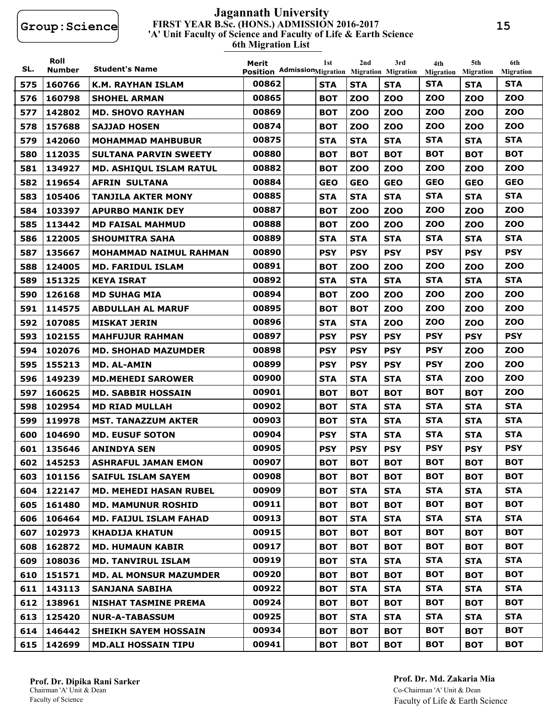#### **FIRST YEAR B.Sc. (HONS.) ADMISSION 2016-2017 6th Migration List 'A' Unit Faculty of Science and Faculty of Life & Earth Science Jagannath University**

| SL. | Roll<br><b>Number</b> | <b>Student's Name</b>          | Merit<br>Position AdmissionMigration Migration Migration | 1st        | 2nd        | 3rd        | 4th<br>Migration | 5th<br><b>Migration</b> | 6th<br><b>Migration</b> |
|-----|-----------------------|--------------------------------|----------------------------------------------------------|------------|------------|------------|------------------|-------------------------|-------------------------|
| 575 | 160766                | <b>K.M. RAYHAN ISLAM</b>       | 00862                                                    | <b>STA</b> | <b>STA</b> | <b>STA</b> | <b>STA</b>       | <b>STA</b>              | <b>STA</b>              |
| 576 | 160798                | <b>SHOHEL ARMAN</b>            | 00865                                                    | <b>BOT</b> | <b>ZOO</b> | <b>ZOO</b> | <b>ZOO</b>       | <b>ZOO</b>              | <b>ZOO</b>              |
| 577 | 142802                | <b>MD. SHOVO RAYHAN</b>        | 00869                                                    | <b>BOT</b> | <b>ZOO</b> | <b>ZOO</b> | <b>ZOO</b>       | <b>ZOO</b>              | ZOO                     |
| 578 | 157688                | <b>SAJJAD HOSEN</b>            | 00874                                                    | <b>BOT</b> | <b>ZOO</b> | ZOO        | <b>ZOO</b>       | <b>ZOO</b>              | <b>ZOO</b>              |
| 579 | 142060                | <b>MOHAMMAD MAHBUBUR</b>       | 00875                                                    | <b>STA</b> | <b>STA</b> | <b>STA</b> | <b>STA</b>       | <b>STA</b>              | <b>STA</b>              |
| 580 | 112035                | <b>SULTANA PARVIN SWEETY</b>   | 00880                                                    | <b>BOT</b> | <b>BOT</b> | <b>BOT</b> | <b>BOT</b>       | <b>BOT</b>              | <b>BOT</b>              |
| 581 | 134927                | <b>MD. ASHIQUL ISLAM RATUL</b> | 00882                                                    | <b>BOT</b> | <b>ZOO</b> | <b>ZOO</b> | <b>ZOO</b>       | <b>ZOO</b>              | <b>ZOO</b>              |
| 582 | 119654                | <b>AFRIN SULTANA</b>           | 00884                                                    | <b>GEO</b> | <b>GEO</b> | <b>GEO</b> | <b>GEO</b>       | <b>GEO</b>              | <b>GEO</b>              |
| 583 | 105406                | <b>TANJILA AKTER MONY</b>      | 00885                                                    | <b>STA</b> | <b>STA</b> | <b>STA</b> | <b>STA</b>       | <b>STA</b>              | <b>STA</b>              |
| 584 | 103397                | <b>APURBO MANIK DEY</b>        | 00887                                                    | <b>BOT</b> | <b>ZOO</b> | <b>ZOO</b> | <b>ZOO</b>       | <b>ZOO</b>              | <b>ZOO</b>              |
| 585 | 113442                | <b>MD FAISAL MAHMUD</b>        | 00888                                                    | <b>BOT</b> | <b>ZOO</b> | <b>ZOO</b> | <b>ZOO</b>       | <b>ZOO</b>              | <b>ZOO</b>              |
| 586 | 122005                | <b>SHOUMITRA SAHA</b>          | 00889                                                    | <b>STA</b> | <b>STA</b> | <b>STA</b> | <b>STA</b>       | <b>STA</b>              | <b>STA</b>              |
| 587 | 135667                | <b>MOHAMMAD NAIMUL RAHMAN</b>  | 00890                                                    | <b>PSY</b> | <b>PSY</b> | <b>PSY</b> | <b>PSY</b>       | <b>PSY</b>              | <b>PSY</b>              |
| 588 | 124005                | <b>MD. FARIDUL ISLAM</b>       | 00891                                                    | <b>BOT</b> | <b>ZOO</b> | <b>ZOO</b> | <b>ZOO</b>       | <b>ZOO</b>              | <b>ZOO</b>              |
| 589 | 151325                | <b>KEYA ISRAT</b>              | 00892                                                    | <b>STA</b> | <b>STA</b> | <b>STA</b> | <b>STA</b>       | <b>STA</b>              | <b>STA</b>              |
| 590 | 126168                | <b>MD SUHAG MIA</b>            | 00894                                                    | <b>BOT</b> | <b>ZOO</b> | <b>ZOO</b> | <b>ZOO</b>       | ZOO                     | <b>ZOO</b>              |
| 591 | 114575                | <b>ABDULLAH AL MARUF</b>       | 00895                                                    | <b>BOT</b> | <b>BOT</b> | ZOO        | <b>ZOO</b>       | <b>ZOO</b>              | <b>ZOO</b>              |
| 592 | 107085                | <b>MISKAT JERIN</b>            | 00896                                                    | <b>STA</b> | <b>STA</b> | ZOO        | <b>ZOO</b>       | <b>ZOO</b>              | <b>ZOO</b>              |
| 593 | 102155                | <b>MAHFUJUR RAHMAN</b>         | 00897                                                    | <b>PSY</b> | <b>PSY</b> | <b>PSY</b> | <b>PSY</b>       | <b>PSY</b>              | <b>PSY</b>              |
| 594 | 102076                | <b>MD. SHOHAD MAZUMDER</b>     | 00898                                                    | <b>PSY</b> | <b>PSY</b> | <b>PSY</b> | <b>PSY</b>       | <b>ZOO</b>              | <b>ZOO</b>              |
| 595 | 155213                | <b>MD. AL-AMIN</b>             | 00899                                                    | <b>PSY</b> | <b>PSY</b> | <b>PSY</b> | <b>PSY</b>       | <b>ZOO</b>              | <b>ZOO</b>              |
| 596 | 149239                | <b>MD.MEHEDI SAROWER</b>       | 00900                                                    | <b>STA</b> | <b>STA</b> | <b>STA</b> | <b>STA</b>       | <b>ZOO</b>              | <b>ZOO</b>              |
| 597 | 160625                | <b>MD. SABBIR HOSSAIN</b>      | 00901                                                    | <b>BOT</b> | <b>BOT</b> | <b>BOT</b> | <b>BOT</b>       | <b>BOT</b>              | <b>ZOO</b>              |
| 598 | 102954                | <b>MD RIAD MULLAH</b>          | 00902                                                    | <b>BOT</b> | <b>STA</b> | <b>STA</b> | <b>STA</b>       | <b>STA</b>              | <b>STA</b>              |
| 599 | 119978                | <b>MST. TANAZZUM AKTER</b>     | 00903                                                    | <b>BOT</b> | <b>STA</b> | <b>STA</b> | <b>STA</b>       | <b>STA</b>              | <b>STA</b>              |
| 600 | 104690                | <b>MD. EUSUF SOTON</b>         | 00904                                                    | <b>PSY</b> | <b>STA</b> | <b>STA</b> | <b>STA</b>       | <b>STA</b>              | <b>STA</b>              |
| 601 | 135646                | <b>ANINDYA SEN</b>             | 00905                                                    | <b>PSY</b> | <b>PSY</b> | <b>PSY</b> | <b>PSY</b>       | <b>PSY</b>              | <b>PSY</b>              |
|     | 602 145253            | <b>ASHRAFUL JAMAN EMON</b>     | 00907                                                    | <b>BOT</b> | <b>BOT</b> | <b>BOT</b> | <b>BOT</b>       | <b>BOT</b>              | <b>BOT</b>              |
| 603 | 101156                | <b>SAIFUL ISLAM SAYEM</b>      | 00908                                                    | <b>BOT</b> | <b>BOT</b> | <b>BOT</b> | <b>BOT</b>       | <b>BOT</b>              | <b>BOT</b>              |
| 604 | 122147                | <b>MD. MEHEDI HASAN RUBEL</b>  | 00909                                                    | <b>BOT</b> | <b>STA</b> | <b>STA</b> | <b>STA</b>       | <b>STA</b>              | <b>STA</b>              |
| 605 | 161480                | <b>MD. MAMUNUR ROSHID</b>      | 00911                                                    | <b>BOT</b> | <b>BOT</b> | <b>BOT</b> | <b>BOT</b>       | <b>BOT</b>              | <b>BOT</b>              |
| 606 | 106464                | <b>MD. FAIJUL ISLAM FAHAD</b>  | 00913                                                    | <b>BOT</b> | <b>STA</b> | <b>STA</b> | <b>STA</b>       | <b>STA</b>              | <b>STA</b>              |
| 607 | 102973                | <b>KHADIJA KHATUN</b>          | 00915                                                    | <b>BOT</b> | <b>BOT</b> | <b>BOT</b> | <b>BOT</b>       | <b>BOT</b>              | <b>BOT</b>              |
| 608 | 162872                | <b>MD. HUMAUN KABIR</b>        | 00917                                                    | <b>BOT</b> | <b>BOT</b> | <b>BOT</b> | <b>BOT</b>       | <b>BOT</b>              | <b>BOT</b>              |
| 609 | 108036                | <b>MD. TANVIRUL ISLAM</b>      | 00919                                                    | <b>BOT</b> | <b>STA</b> | <b>STA</b> | <b>STA</b>       | <b>STA</b>              | <b>STA</b>              |
| 610 | 151571                | <b>MD. AL MONSUR MAZUMDER</b>  | 00920                                                    | <b>BOT</b> | <b>BOT</b> | <b>BOT</b> | <b>BOT</b>       | <b>BOT</b>              | <b>BOT</b>              |
| 611 | 143113                | <b>SANJANA SABIHA</b>          | 00922                                                    | <b>BOT</b> | <b>STA</b> | <b>STA</b> | <b>STA</b>       | <b>STA</b>              | <b>STA</b>              |
| 612 | 138961                | <b>NISHAT TASMINE PREMA</b>    | 00924                                                    | <b>BOT</b> | <b>BOT</b> | <b>BOT</b> | <b>BOT</b>       | <b>BOT</b>              | <b>BOT</b>              |
| 613 | 125420                | <b>NUR-A-TABASSUM</b>          | 00925                                                    | <b>BOT</b> | <b>STA</b> | <b>STA</b> | <b>STA</b>       | <b>STA</b>              | <b>STA</b>              |
| 614 | 146442                | <b>SHEIKH SAYEM HOSSAIN</b>    | 00934                                                    | <b>BOT</b> | <b>BOT</b> | <b>BOT</b> | <b>BOT</b>       | <b>BOT</b>              | <b>BOT</b>              |
| 615 | 142699                | <b>MD.ALI HOSSAIN TIPU</b>     | 00941                                                    | <b>BOT</b> | <b>BOT</b> | <b>BOT</b> | <b>BOT</b>       | <b>BOT</b>              | <b>BOT</b>              |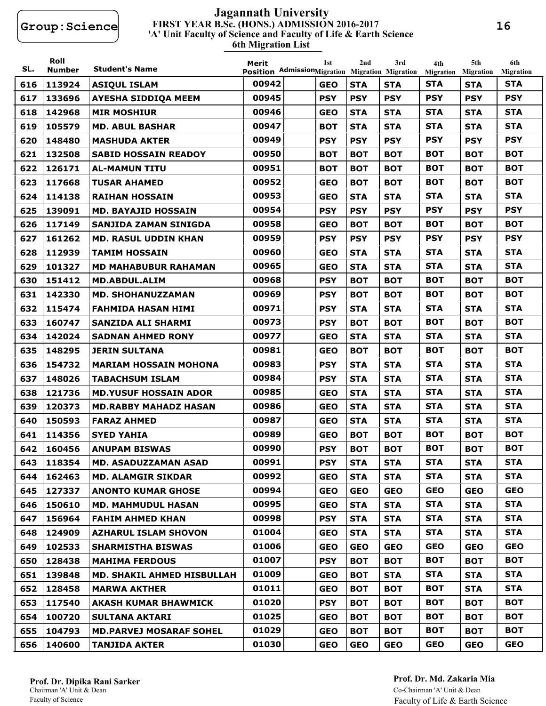#### **FIRST YEAR B.Sc. (HONS.) ADMISSION 2016-2017 6th Migration List 'A' Unit Faculty of Science and Faculty of Life & Earth Science Jagannath University**

| SL. | Roll<br><b>Number</b> | <b>Student's Name</b>             | Merit<br>Position AdmissionMigration Migration Migration | 1st        | 2nd        | 3rd        | 4th<br><b>Migration</b> | 5th<br><b>Migration</b> | 6th<br><b>Migration</b> |
|-----|-----------------------|-----------------------------------|----------------------------------------------------------|------------|------------|------------|-------------------------|-------------------------|-------------------------|
| 616 | 113924                | <b>ASIQUL ISLAM</b>               | 00942                                                    | <b>GEO</b> | <b>STA</b> | <b>STA</b> | <b>STA</b>              | <b>STA</b>              | <b>STA</b>              |
| 617 | 133696                | <b>AYESHA SIDDIOA MEEM</b>        | 00945                                                    | <b>PSY</b> | <b>PSY</b> | <b>PSY</b> | <b>PSY</b>              | <b>PSY</b>              | <b>PSY</b>              |
| 618 | 142968                | <b>MIR MOSHIUR</b>                | 00946                                                    | <b>GEO</b> | <b>STA</b> | <b>STA</b> | <b>STA</b>              | <b>STA</b>              | <b>STA</b>              |
| 619 | 105579                | <b>MD. ABUL BASHAR</b>            | 00947                                                    | <b>BOT</b> | <b>STA</b> | <b>STA</b> | <b>STA</b>              | <b>STA</b>              | <b>STA</b>              |
| 620 | 148480                | <b>MASHUDA AKTER</b>              | 00949                                                    | <b>PSY</b> | <b>PSY</b> | <b>PSY</b> | <b>PSY</b>              | <b>PSY</b>              | <b>PSY</b>              |
| 621 | 132508                | <b>SABID HOSSAIN READOY</b>       | 00950                                                    | <b>BOT</b> | <b>BOT</b> | <b>BOT</b> | <b>BOT</b>              | <b>BOT</b>              | <b>BOT</b>              |
| 622 | 126171                | <b>AL-MAMUN TITU</b>              | 00951                                                    | <b>BOT</b> | <b>BOT</b> | <b>BOT</b> | <b>BOT</b>              | <b>BOT</b>              | <b>BOT</b>              |
| 623 | 117668                | <b>TUSAR AHAMED</b>               | 00952                                                    | <b>GEO</b> | <b>BOT</b> | <b>BOT</b> | <b>BOT</b>              | <b>BOT</b>              | <b>BOT</b>              |
| 624 | 114138                | <b>RAIHAN HOSSAIN</b>             | 00953                                                    | <b>GEO</b> | <b>STA</b> | <b>STA</b> | <b>STA</b>              | <b>STA</b>              | <b>STA</b>              |
| 625 | 139091                | <b>MD. BAYAJID HOSSAIN</b>        | 00954                                                    | <b>PSY</b> | <b>PSY</b> | <b>PSY</b> | <b>PSY</b>              | <b>PSY</b>              | <b>PSY</b>              |
| 626 | 117149                | SANJIDA ZAMAN SINIGDA             | 00958                                                    | <b>GEO</b> | <b>BOT</b> | <b>BOT</b> | <b>BOT</b>              | <b>BOT</b>              | <b>BOT</b>              |
| 627 | 161262                | <b>MD. RASUL UDDIN KHAN</b>       | 00959                                                    | <b>PSY</b> | <b>PSY</b> | <b>PSY</b> | <b>PSY</b>              | <b>PSY</b>              | <b>PSY</b>              |
| 628 | 112939                | <b>TAMIM HOSSAIN</b>              | 00960                                                    | <b>GEO</b> | <b>STA</b> | <b>STA</b> | <b>STA</b>              | <b>STA</b>              | <b>STA</b>              |
| 629 | 101327                | <b>MD MAHABUBUR RAHAMAN</b>       | 00965                                                    | <b>GEO</b> | <b>STA</b> | <b>STA</b> | <b>STA</b>              | <b>STA</b>              | <b>STA</b>              |
| 630 | 151412                | <b>MD.ABDUL.ALIM</b>              | 00968                                                    | <b>PSY</b> | <b>BOT</b> | <b>BOT</b> | <b>BOT</b>              | <b>BOT</b>              | <b>BOT</b>              |
| 631 | 142330                | <b>MD. SHOHANUZZAMAN</b>          | 00969                                                    | <b>PSY</b> | <b>BOT</b> | <b>BOT</b> | <b>BOT</b>              | <b>BOT</b>              | <b>BOT</b>              |
| 632 | 115474                | <b>FAHMIDA HASAN HIMI</b>         | 00971                                                    | <b>PSY</b> | <b>STA</b> | <b>STA</b> | <b>STA</b>              | <b>STA</b>              | <b>STA</b>              |
| 633 | 160747                | <b>SANZIDA ALI SHARMI</b>         | 00973                                                    | <b>PSY</b> | <b>BOT</b> | <b>BOT</b> | <b>BOT</b>              | <b>BOT</b>              | <b>BOT</b>              |
| 634 | 142024                | <b>SADNAN AHMED RONY</b>          | 00977                                                    | <b>GEO</b> | <b>STA</b> | <b>STA</b> | <b>STA</b>              | <b>STA</b>              | <b>STA</b>              |
| 635 | 148295                | <b>JERIN SULTANA</b>              | 00981                                                    | <b>GEO</b> | <b>BOT</b> | <b>BOT</b> | <b>BOT</b>              | <b>BOT</b>              | <b>BOT</b>              |
| 636 | 154732                | <b>MARIAM HOSSAIN MOHONA</b>      | 00983                                                    | <b>PSY</b> | <b>STA</b> | <b>STA</b> | <b>STA</b>              | <b>STA</b>              | <b>STA</b>              |
| 637 | 148026                | <b>TABACHSUM ISLAM</b>            | 00984                                                    | <b>PSY</b> | <b>STA</b> | <b>STA</b> | <b>STA</b>              | <b>STA</b>              | <b>STA</b>              |
| 638 | 121736                | <b>MD.YUSUF HOSSAIN ADOR</b>      | 00985                                                    | <b>GEO</b> | <b>STA</b> | <b>STA</b> | <b>STA</b>              | <b>STA</b>              | <b>STA</b>              |
| 639 | 120373                | <b>MD.RABBY MAHADZ HASAN</b>      | 00986                                                    | <b>GEO</b> | <b>STA</b> | <b>STA</b> | <b>STA</b>              | <b>STA</b>              | <b>STA</b>              |
| 640 | 150593                | <b>FARAZ AHMED</b>                | 00987                                                    | <b>GEO</b> | <b>STA</b> | <b>STA</b> | <b>STA</b>              | <b>STA</b>              | <b>STA</b>              |
| 641 | 114356                | <b>SYED YAHIA</b>                 | 00989                                                    | <b>GEO</b> | <b>BOT</b> | <b>BOT</b> | <b>BOT</b>              | <b>BOT</b>              | <b>BOT</b>              |
| 642 | 160456                | <b>ANUPAM BISWAS</b>              | 00990                                                    | <b>PSY</b> | <b>BOT</b> | <b>BOT</b> | <b>BOT</b>              | <b>BOT</b>              | <b>BOT</b>              |
| 643 | 118354                | <b>MD. ASADUZZAMAN ASAD</b>       | 00991                                                    | <b>PSY</b> | <b>STA</b> | <b>STA</b> | <b>STA</b>              | <b>STA</b>              | <b>STA</b>              |
| 644 | 162463                | <b>MD. ALAMGIR SIKDAR</b>         | 00992                                                    | <b>GEO</b> | <b>STA</b> | <b>STA</b> | <b>STA</b>              | <b>STA</b>              | <b>STA</b>              |
| 645 | 127337                | <b>ANONTO KUMAR GHOSE</b>         | 00994                                                    | <b>GEO</b> | <b>GEO</b> | <b>GEO</b> | <b>GEO</b>              | <b>GEO</b>              | <b>GEO</b>              |
| 646 | 150610                | <b>MD. MAHMUDUL HASAN</b>         | 00995                                                    | <b>GEO</b> | <b>STA</b> | <b>STA</b> | <b>STA</b>              | <b>STA</b>              | <b>STA</b>              |
| 647 | 156964                | <b>FAHIM AHMED KHAN</b>           | 00998                                                    | <b>PSY</b> | <b>STA</b> | <b>STA</b> | <b>STA</b>              | <b>STA</b>              | <b>STA</b>              |
| 648 | 124909                | <b>AZHARUL ISLAM SHOVON</b>       | 01004                                                    | <b>GEO</b> | <b>STA</b> | <b>STA</b> | <b>STA</b>              | <b>STA</b>              | <b>STA</b>              |
| 649 | 102533                | <b>SHARMISTHA BISWAS</b>          | 01006                                                    | <b>GEO</b> | <b>GEO</b> | <b>GEO</b> | <b>GEO</b>              | <b>GEO</b>              | <b>GEO</b>              |
| 650 | 128438                | <b>MAHIMA FERDOUS</b>             | 01007                                                    | <b>PSY</b> | <b>BOT</b> | <b>BOT</b> | <b>BOT</b>              | <b>BOT</b>              | <b>BOT</b>              |
| 651 | 139848                | <b>MD. SHAKIL AHMED HISBULLAH</b> | 01009                                                    | <b>GEO</b> | <b>BOT</b> | <b>STA</b> | <b>STA</b>              | <b>STA</b>              | <b>STA</b>              |
| 652 | 128458                | <b>MARWA AKTHER</b>               | 01011                                                    | <b>GEO</b> | <b>BOT</b> | <b>BOT</b> | <b>BOT</b>              | <b>STA</b>              | <b>STA</b>              |
| 653 | 117540                | <b>AKASH KUMAR BHAWMICK</b>       | 01020                                                    | <b>PSY</b> | <b>BOT</b> | <b>BOT</b> | <b>BOT</b>              | <b>BOT</b>              | <b>BOT</b>              |
| 654 | 100720                | <b>SULTANA AKTARI</b>             | 01025                                                    | <b>GEO</b> | <b>BOT</b> | <b>BOT</b> | <b>BOT</b>              | <b>BOT</b>              | <b>BOT</b>              |
| 655 | 104793                | <b>MD.PARVEJ MOSARAF SOHEL</b>    | 01029                                                    | <b>GEO</b> | <b>BOT</b> | <b>BOT</b> | <b>BOT</b>              | <b>BOT</b>              | <b>BOT</b>              |
| 656 | 140600                | <b>TANJIDA AKTER</b>              | 01030                                                    | <b>GEO</b> | <b>GEO</b> | <b>GEO</b> | <b>GEO</b>              | <b>GEO</b>              | <b>GEO</b>              |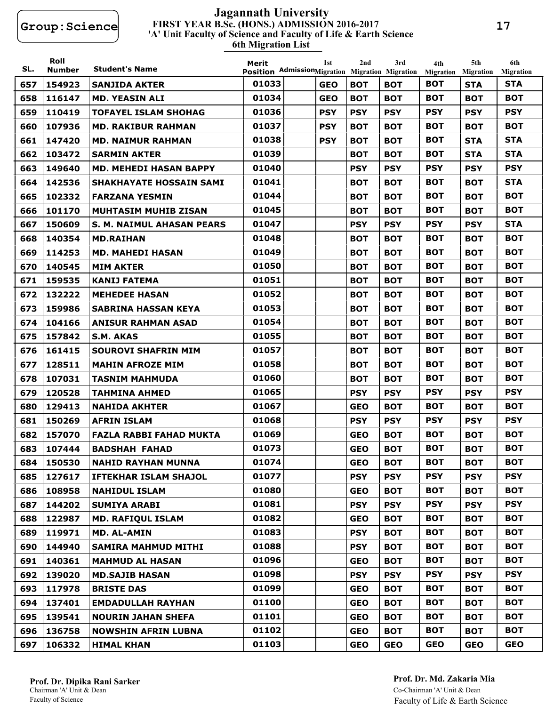#### **FIRST YEAR B.Sc. (HONS.) ADMISSION 2016-2017 6th Migration List 'A' Unit Faculty of Science and Faculty of Life & Earth Science Jagannath University**

| SL. | Roll<br><b>Number</b> | <b>Student's Name</b>          | Merit | 1st                                                           | 2nd        | 3rd        | 4th                     | 5th                            | 6th                            |
|-----|-----------------------|--------------------------------|-------|---------------------------------------------------------------|------------|------------|-------------------------|--------------------------------|--------------------------------|
| 657 | 154923                | <b>SANJIDA AKTER</b>           | 01033 | Position AdmissionMigration Migration Migration<br><b>GEO</b> | <b>BOT</b> | <b>BOT</b> | Migration<br><b>BOT</b> | <b>Migration</b><br><b>STA</b> | <b>Migration</b><br><b>STA</b> |
| 658 | 116147                | <b>MD. YEASIN ALI</b>          | 01034 | <b>GEO</b>                                                    | <b>BOT</b> | <b>BOT</b> | <b>BOT</b>              | <b>BOT</b>                     | <b>BOT</b>                     |
| 659 | 110419                | <b>TOFAYEL ISLAM SHOHAG</b>    | 01036 | <b>PSY</b>                                                    | <b>PSY</b> | <b>PSY</b> | <b>PSY</b>              | <b>PSY</b>                     | <b>PSY</b>                     |
| 660 | 107936                | <b>MD. RAKIBUR RAHMAN</b>      | 01037 | <b>PSY</b>                                                    | <b>BOT</b> | <b>BOT</b> | <b>BOT</b>              | <b>BOT</b>                     | <b>BOT</b>                     |
| 661 | 147420                | <b>MD. NAIMUR RAHMAN</b>       | 01038 | <b>PSY</b>                                                    | <b>BOT</b> | <b>BOT</b> | <b>BOT</b>              | <b>STA</b>                     | <b>STA</b>                     |
| 662 | 103472                | <b>SARMIN AKTER</b>            | 01039 |                                                               | <b>BOT</b> | <b>BOT</b> | <b>BOT</b>              | <b>STA</b>                     | <b>STA</b>                     |
| 663 | 149640                | <b>MD. MEHEDI HASAN BAPPY</b>  | 01040 |                                                               | <b>PSY</b> | <b>PSY</b> | <b>PSY</b>              | <b>PSY</b>                     | <b>PSY</b>                     |
| 664 | 142536                | <b>SHAKHAYATE HOSSAIN SAMI</b> | 01041 |                                                               | <b>BOT</b> | <b>BOT</b> | <b>BOT</b>              | <b>BOT</b>                     | <b>STA</b>                     |
| 665 | 102332                | <b>FARZANA YESMIN</b>          | 01044 |                                                               | <b>BOT</b> | <b>BOT</b> | <b>BOT</b>              | <b>BOT</b>                     | <b>BOT</b>                     |
| 666 | 101170                | <b>MUHTASIM MUHIB ZISAN</b>    | 01045 |                                                               | <b>BOT</b> | <b>BOT</b> | <b>BOT</b>              | <b>BOT</b>                     | <b>BOT</b>                     |
| 667 | 150609                | S. M. NAIMUL AHASAN PEARS      | 01047 |                                                               | <b>PSY</b> | <b>PSY</b> | <b>PSY</b>              | <b>PSY</b>                     | <b>STA</b>                     |
| 668 | 140354                | <b>MD.RAIHAN</b>               | 01048 |                                                               | <b>BOT</b> | <b>BOT</b> | <b>BOT</b>              | <b>BOT</b>                     | <b>BOT</b>                     |
| 669 | 114253                | <b>MD. MAHEDI HASAN</b>        | 01049 |                                                               | <b>BOT</b> | <b>BOT</b> | вот                     | <b>BOT</b>                     | <b>BOT</b>                     |
| 670 | 140545                | <b>MIM AKTER</b>               | 01050 |                                                               | <b>BOT</b> | <b>BOT</b> | <b>BOT</b>              | <b>BOT</b>                     | <b>BOT</b>                     |
| 671 | 159535                | <b>KANIJ FATEMA</b>            | 01051 |                                                               | <b>BOT</b> | <b>BOT</b> | <b>BOT</b>              | <b>BOT</b>                     | <b>BOT</b>                     |
| 672 | 132222                | <b>MEHEDEE HASAN</b>           | 01052 |                                                               | <b>BOT</b> | <b>BOT</b> | <b>BOT</b>              | <b>BOT</b>                     | <b>BOT</b>                     |
| 673 | 159986                | <b>SABRINA HASSAN KEYA</b>     | 01053 |                                                               | <b>BOT</b> | <b>BOT</b> | <b>BOT</b>              | <b>BOT</b>                     | <b>BOT</b>                     |
| 674 | 104166                | <b>ANISUR RAHMAN ASAD</b>      | 01054 |                                                               | <b>BOT</b> | <b>BOT</b> | <b>BOT</b>              | <b>BOT</b>                     | <b>BOT</b>                     |
| 675 | 157842                | S.M. AKAS                      | 01055 |                                                               | <b>BOT</b> | <b>BOT</b> | <b>BOT</b>              | <b>BOT</b>                     | <b>BOT</b>                     |
| 676 | 161415                | <b>SOUROVI SHAFRIN MIM</b>     | 01057 |                                                               | <b>BOT</b> | <b>BOT</b> | <b>BOT</b>              | <b>BOT</b>                     | <b>BOT</b>                     |
| 677 | 128511                | <b>MAHIN AFROZE MIM</b>        | 01058 |                                                               | <b>BOT</b> | <b>BOT</b> | <b>BOT</b>              | <b>BOT</b>                     | <b>BOT</b>                     |
| 678 | 107031                | <b>TASNIM MAHMUDA</b>          | 01060 |                                                               | <b>BOT</b> | <b>BOT</b> | <b>BOT</b>              | <b>BOT</b>                     | <b>BOT</b>                     |
| 679 | 120528                | <b>TAHMINA AHMED</b>           | 01065 |                                                               | <b>PSY</b> | <b>PSY</b> | <b>PSY</b>              | <b>PSY</b>                     | <b>PSY</b>                     |
| 680 | 129413                | <b>NAHIDA AKHTER</b>           | 01067 |                                                               | <b>GEO</b> | <b>BOT</b> | <b>BOT</b>              | <b>BOT</b>                     | <b>BOT</b>                     |
| 681 | 150269                | <b>AFRIN ISLAM</b>             | 01068 |                                                               | <b>PSY</b> | <b>PSY</b> | <b>PSY</b>              | <b>PSY</b>                     | <b>PSY</b>                     |
| 682 | 157070                | <b>FAZLA RABBI FAHAD MUKTA</b> | 01069 |                                                               | <b>GEO</b> | вот        | <b>BOT</b>              | <b>BOT</b>                     | <b>BOT</b>                     |
| 683 | 107444                | <b>BADSHAH FAHAD</b>           | 01073 |                                                               | <b>GEO</b> | <b>BOT</b> | <b>BOT</b>              | <b>BOT</b>                     | <b>BOT</b>                     |
| 684 | 150530                | <b>NAHID RAYHAN MUNNA</b>      | 01074 |                                                               | <b>GEO</b> | <b>BOT</b> | <b>BOT</b>              | <b>BOT</b>                     | <b>BOT</b>                     |
| 685 | 127617                | <b>IFTEKHAR ISLAM SHAJOL</b>   | 01077 |                                                               | <b>PSY</b> | <b>PSY</b> | <b>PSY</b>              | <b>PSY</b>                     | <b>PSY</b>                     |
| 686 | 108958                | <b>NAHIDUL ISLAM</b>           | 01080 |                                                               | <b>GEO</b> | <b>BOT</b> | <b>BOT</b>              | <b>BOT</b>                     | <b>BOT</b>                     |
| 687 | 144202                | <b>SUMIYA ARABI</b>            | 01081 |                                                               | <b>PSY</b> | <b>PSY</b> | <b>PSY</b>              | <b>PSY</b>                     | <b>PSY</b>                     |
| 688 | 122987                | <b>MD. RAFIQUL ISLAM</b>       | 01082 |                                                               | <b>GEO</b> | <b>BOT</b> | <b>BOT</b>              | <b>BOT</b>                     | <b>BOT</b>                     |
| 689 | 119971                | <b>MD. AL-AMIN</b>             | 01083 |                                                               | <b>PSY</b> | <b>BOT</b> | <b>BOT</b>              | <b>BOT</b>                     | <b>BOT</b>                     |
| 690 | 144940                | <b>SAMIRA MAHMUD MITHI</b>     | 01088 |                                                               | <b>PSY</b> | <b>BOT</b> | <b>BOT</b>              | <b>BOT</b>                     | <b>BOT</b>                     |
| 691 | 140361                | <b>MAHMUD AL HASAN</b>         | 01096 |                                                               | <b>GEO</b> | <b>BOT</b> | <b>BOT</b>              | <b>BOT</b>                     | <b>BOT</b>                     |
| 692 | 139020                | <b>MD.SAJIB HASAN</b>          | 01098 |                                                               | <b>PSY</b> | <b>PSY</b> | <b>PSY</b>              | <b>PSY</b>                     | <b>PSY</b>                     |
| 693 | 117978                | <b>BRISTE DAS</b>              | 01099 |                                                               | <b>GEO</b> | <b>BOT</b> | <b>BOT</b>              | <b>BOT</b>                     | <b>BOT</b>                     |
| 694 | 137401                | <b>EMDADULLAH RAYHAN</b>       | 01100 |                                                               | <b>GEO</b> | <b>BOT</b> | <b>BOT</b>              | <b>BOT</b>                     | <b>BOT</b>                     |
| 695 | 139541                | <b>NOURIN JAHAN SHEFA</b>      | 01101 |                                                               | <b>GEO</b> | <b>BOT</b> | <b>BOT</b>              | <b>BOT</b>                     | <b>BOT</b>                     |
| 696 | 136758                | <b>NOWSHIN AFRIN LUBNA</b>     | 01102 |                                                               | <b>GEO</b> | <b>BOT</b> | <b>BOT</b>              | <b>BOT</b>                     | <b>BOT</b>                     |
| 697 | 106332                | <b>HIMAL KHAN</b>              | 01103 |                                                               | <b>GEO</b> | <b>GEO</b> | <b>GEO</b>              | <b>GEO</b>                     | <b>GEO</b>                     |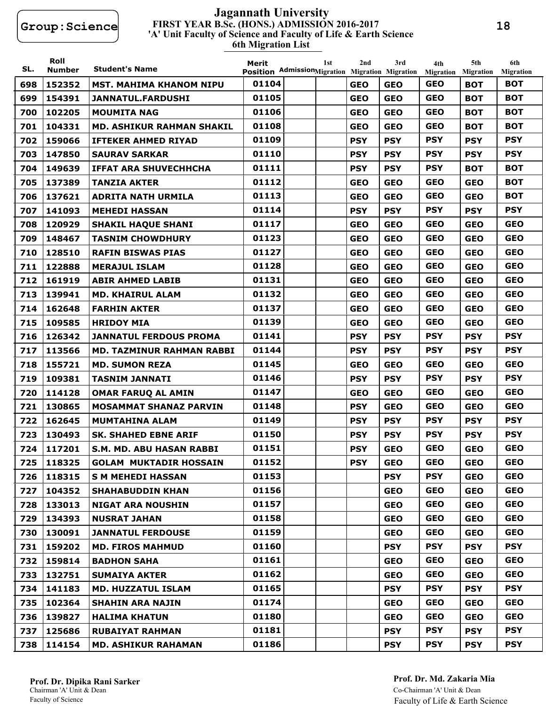#### **FIRST YEAR B.Sc. (HONS.) ADMISSION 2016-2017 6th Migration List 'A' Unit Faculty of Science and Faculty of Life & Earth Science Jagannath University**

| SL. | Roll<br><b>Number</b> | <b>Student's Name</b>           | Merit<br>Position AdmissionMigration Migration Migration | 1st | 2nd        | 3rd        | 4th<br><b>Migration</b> | 5th<br><b>Migration</b> | 6th<br><b>Migration</b> |
|-----|-----------------------|---------------------------------|----------------------------------------------------------|-----|------------|------------|-------------------------|-------------------------|-------------------------|
| 698 | 152352                | <b>MST. MAHIMA KHANOM NIPU</b>  | 01104                                                    |     | <b>GEO</b> | <b>GEO</b> | <b>GEO</b>              | <b>BOT</b>              | <b>BOT</b>              |
| 699 | 154391                | <b>JANNATUL.FARDUSHI</b>        | 01105                                                    |     | <b>GEO</b> | <b>GEO</b> | <b>GEO</b>              | <b>BOT</b>              | <b>BOT</b>              |
| 700 | 102205                | <b>MOUMITA NAG</b>              | 01106                                                    |     | <b>GEO</b> | <b>GEO</b> | <b>GEO</b>              | <b>BOT</b>              | <b>BOT</b>              |
| 701 | 104331                | MD. ASHIKUR RAHMAN SHAKIL       | 01108                                                    |     | <b>GEO</b> | <b>GEO</b> | <b>GEO</b>              | <b>BOT</b>              | <b>BOT</b>              |
| 702 | 159066                | <b>IFTEKER AHMED RIYAD</b>      | 01109                                                    |     | <b>PSY</b> | <b>PSY</b> | <b>PSY</b>              | <b>PSY</b>              | <b>PSY</b>              |
| 703 | 147850                | <b>SAURAV SARKAR</b>            | 01110                                                    |     | <b>PSY</b> | <b>PSY</b> | <b>PSY</b>              | <b>PSY</b>              | <b>PSY</b>              |
| 704 | 149639                | <b>IFFAT ARA SHUVECHHCHA</b>    | 01111                                                    |     | <b>PSY</b> | <b>PSY</b> | <b>PSY</b>              | <b>BOT</b>              | <b>BOT</b>              |
| 705 | 137389                | <b>TANZIA AKTER</b>             | 01112                                                    |     | <b>GEO</b> | <b>GEO</b> | <b>GEO</b>              | <b>GEO</b>              | <b>BOT</b>              |
| 706 | 137621                | <b>ADRITA NATH URMILA</b>       | 01113                                                    |     | <b>GEO</b> | <b>GEO</b> | <b>GEO</b>              | <b>GEO</b>              | <b>BOT</b>              |
| 707 | 141093                | <b>MEHEDI HASSAN</b>            | 01114                                                    |     | <b>PSY</b> | <b>PSY</b> | <b>PSY</b>              | <b>PSY</b>              | <b>PSY</b>              |
| 708 | 120929                | <b>SHAKIL HAQUE SHANI</b>       | 01117                                                    |     | <b>GEO</b> | <b>GEO</b> | <b>GEO</b>              | <b>GEO</b>              | <b>GEO</b>              |
| 709 | 148467                | <b>TASNIM CHOWDHURY</b>         | 01123                                                    |     | <b>GEO</b> | <b>GEO</b> | <b>GEO</b>              | <b>GEO</b>              | <b>GEO</b>              |
| 710 | 128510                | <b>RAFIN BISWAS PIAS</b>        | 01127                                                    |     | <b>GEO</b> | <b>GEO</b> | <b>GEO</b>              | <b>GEO</b>              | <b>GEO</b>              |
| 711 | 122888                | <b>MERAJUL ISLAM</b>            | 01128                                                    |     | <b>GEO</b> | <b>GEO</b> | <b>GEO</b>              | <b>GEO</b>              | <b>GEO</b>              |
| 712 | 161919                | <b>ABIR AHMED LABIB</b>         | 01131                                                    |     | <b>GEO</b> | <b>GEO</b> | <b>GEO</b>              | <b>GEO</b>              | <b>GEO</b>              |
| 713 | 139941                | <b>MD. KHAIRUL ALAM</b>         | 01132                                                    |     | <b>GEO</b> | <b>GEO</b> | <b>GEO</b>              | <b>GEO</b>              | <b>GEO</b>              |
| 714 | 162648                | <b>FARHIN AKTER</b>             | 01137                                                    |     | <b>GEO</b> | <b>GEO</b> | <b>GEO</b>              | <b>GEO</b>              | <b>GEO</b>              |
| 715 | 109585                | <b>HRIDOY MIA</b>               | 01139                                                    |     | <b>GEO</b> | <b>GEO</b> | <b>GEO</b>              | <b>GEO</b>              | <b>GEO</b>              |
| 716 | 126342                | <b>JANNATUL FERDOUS PROMA</b>   | 01141                                                    |     | <b>PSY</b> | <b>PSY</b> | <b>PSY</b>              | <b>PSY</b>              | <b>PSY</b>              |
| 717 | 113566                | MD. TAZMINUR RAHMAN RABBI       | 01144                                                    |     | <b>PSY</b> | <b>PSY</b> | <b>PSY</b>              | <b>PSY</b>              | <b>PSY</b>              |
| 718 | 155721                | <b>MD. SUMON REZA</b>           | 01145                                                    |     | <b>GEO</b> | <b>GEO</b> | <b>GEO</b>              | <b>GEO</b>              | <b>GEO</b>              |
| 719 | 109381                | <b>TASNIM JANNATI</b>           | 01146                                                    |     | <b>PSY</b> | <b>PSY</b> | <b>PSY</b>              | <b>PSY</b>              | <b>PSY</b>              |
| 720 | 114128                | <b>OMAR FARUQ AL AMIN</b>       | 01147                                                    |     | <b>GEO</b> | <b>GEO</b> | <b>GEO</b>              | <b>GEO</b>              | <b>GEO</b>              |
| 721 | 130865                | <b>MOSAMMAT SHANAZ PARVIN</b>   | 01148                                                    |     | <b>PSY</b> | <b>GEO</b> | <b>GEO</b>              | <b>GEO</b>              | <b>GEO</b>              |
| 722 | 162645                | <b>MUMTAHINA ALAM</b>           | 01149                                                    |     | <b>PSY</b> | <b>PSY</b> | <b>PSY</b>              | <b>PSY</b>              | <b>PSY</b>              |
| 723 | 130493                | <b>SK. SHAHED EBNE ARIF</b>     | 01150                                                    |     | <b>PSY</b> | <b>PSY</b> | <b>PSY</b>              | <b>PSY</b>              | <b>PSY</b>              |
| 724 | 117201                | <b>S.M. MD. ABU HASAN RABBI</b> | 01151                                                    |     | <b>PSY</b> | <b>GEO</b> | <b>GEO</b>              | <b>GEO</b>              | <b>GEO</b>              |
| 725 | 118325                | <b>GOLAM MUKTADIR HOSSAIN</b>   | 01152                                                    |     | <b>PSY</b> | <b>GEO</b> | <b>GEO</b>              | <b>GEO</b>              | <b>GEO</b>              |
| 726 | 118315                | <b>S M MEHEDI HASSAN</b>        | 01153                                                    |     |            | <b>PSY</b> | <b>PSY</b>              | <b>GEO</b>              | <b>GEO</b>              |
| 727 | 104352                | <b>SHAHABUDDIN KHAN</b>         | 01156                                                    |     |            | <b>GEO</b> | <b>GEO</b>              | <b>GEO</b>              | <b>GEO</b>              |
| 728 | 133013                | <b>NIGAT ARA NOUSHIN</b>        | 01157                                                    |     |            | <b>GEO</b> | <b>GEO</b>              | <b>GEO</b>              | <b>GEO</b>              |
| 729 | 134393                | <b>NUSRAT JAHAN</b>             | 01158                                                    |     |            | <b>GEO</b> | <b>GEO</b>              | <b>GEO</b>              | <b>GEO</b>              |
| 730 | 130091                | <b>JANNATUL FERDOUSE</b>        | 01159                                                    |     |            | <b>GEO</b> | <b>GEO</b>              | <b>GEO</b>              | <b>GEO</b>              |
| 731 | 159202                | <b>MD. FIROS MAHMUD</b>         | 01160                                                    |     |            | <b>PSY</b> | <b>PSY</b>              | <b>PSY</b>              | <b>PSY</b>              |
| 732 | 159814                | <b>BADHON SAHA</b>              | 01161                                                    |     |            | <b>GEO</b> | <b>GEO</b>              | <b>GEO</b>              | <b>GEO</b>              |
| 733 | 132751                | <b>SUMAIYA AKTER</b>            | 01162                                                    |     |            | <b>GEO</b> | <b>GEO</b>              | <b>GEO</b>              | <b>GEO</b>              |
| 734 | 141183                | <b>MD. HUZZATUL ISLAM</b>       | 01165                                                    |     |            | <b>PSY</b> | <b>PSY</b>              | <b>PSY</b>              | <b>PSY</b>              |
| 735 | 102364                | <b>SHAHIN ARA NAJIN</b>         | 01174                                                    |     |            | <b>GEO</b> | <b>GEO</b>              | <b>GEO</b>              | <b>GEO</b>              |
| 736 | 139827                | <b>HALIMA KHATUN</b>            | 01180                                                    |     |            | <b>GEO</b> | <b>GEO</b>              | <b>GEO</b>              | <b>GEO</b>              |
| 737 | 125686                | <b>RUBAIYAT RAHMAN</b>          | 01181                                                    |     |            | <b>PSY</b> | <b>PSY</b>              | <b>PSY</b>              | <b>PSY</b>              |
| 738 | 114154                | <b>MD. ASHIKUR RAHAMAN</b>      | 01186                                                    |     |            | <b>PSY</b> | <b>PSY</b>              | <b>PSY</b>              | <b>PSY</b>              |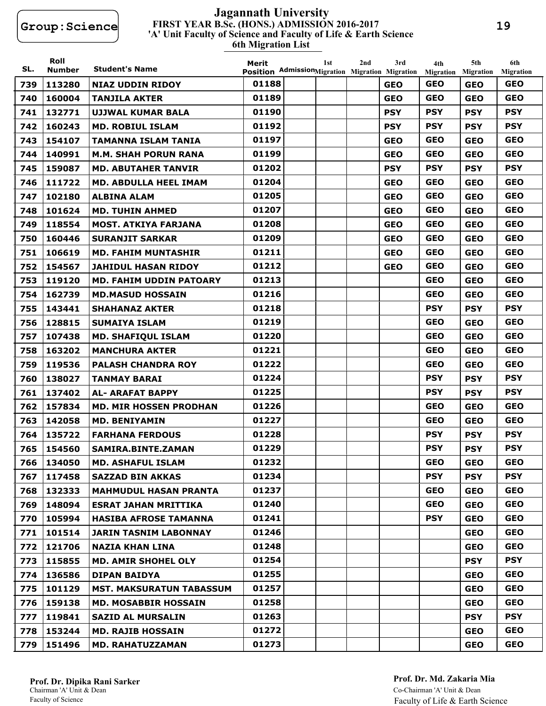#### **FIRST YEAR B.Sc. (HONS.) ADMISSION 2016-2017 6th Migration List 'A' Unit Faculty of Science and Faculty of Life & Earth Science Jagannath University**

| SL. | Roll<br><b>Number</b> | <b>Student's Name</b>           | Merit<br>Position AdmissionMigration Migration Migration | 1st | 2nd | 3rd        | 4th<br>Migration | 5th<br><b>Migration</b> | 6th<br><b>Migration</b> |
|-----|-----------------------|---------------------------------|----------------------------------------------------------|-----|-----|------------|------------------|-------------------------|-------------------------|
| 739 | 113280                | <b>NIAZ UDDIN RIDOY</b>         | 01188                                                    |     |     | <b>GEO</b> | <b>GEO</b>       | <b>GEO</b>              | <b>GEO</b>              |
| 740 | 160004                | <b>TANJILA AKTER</b>            | 01189                                                    |     |     | <b>GEO</b> | <b>GEO</b>       | <b>GEO</b>              | <b>GEO</b>              |
| 741 | 132771                | <b>UJJWAL KUMAR BALA</b>        | 01190                                                    |     |     | <b>PSY</b> | <b>PSY</b>       | <b>PSY</b>              | <b>PSY</b>              |
| 742 | 160243                | <b>MD. ROBIUL ISLAM</b>         | 01192                                                    |     |     | <b>PSY</b> | <b>PSY</b>       | <b>PSY</b>              | <b>PSY</b>              |
| 743 | 154107                | <b>TAMANNA ISLAM TANIA</b>      | 01197                                                    |     |     | <b>GEO</b> | <b>GEO</b>       | <b>GEO</b>              | <b>GEO</b>              |
| 744 | 140991                | <b>M.M. SHAH PORUN RANA</b>     | 01199                                                    |     |     | <b>GEO</b> | <b>GEO</b>       | <b>GEO</b>              | <b>GEO</b>              |
| 745 | 159087                | <b>MD. ABUTAHER TANVIR</b>      | 01202                                                    |     |     | <b>PSY</b> | <b>PSY</b>       | <b>PSY</b>              | <b>PSY</b>              |
| 746 | 111722                | MD. ABDULLA HEEL IMAM           | 01204                                                    |     |     | <b>GEO</b> | <b>GEO</b>       | <b>GEO</b>              | <b>GEO</b>              |
| 747 | 102180                | ALBINA ALAM                     | 01205                                                    |     |     | <b>GEO</b> | <b>GEO</b>       | <b>GEO</b>              | <b>GEO</b>              |
| 748 | 101624                | <b>MD. TUHIN AHMED</b>          | 01207                                                    |     |     | <b>GEO</b> | <b>GEO</b>       | <b>GEO</b>              | <b>GEO</b>              |
| 749 | 118554                | <b>MOST. ATKIYA FARJANA</b>     | 01208                                                    |     |     | <b>GEO</b> | <b>GEO</b>       | <b>GEO</b>              | <b>GEO</b>              |
| 750 | 160446                | <b>SURANJIT SARKAR</b>          | 01209                                                    |     |     | <b>GEO</b> | <b>GEO</b>       | <b>GEO</b>              | <b>GEO</b>              |
| 751 | 106619                | <b>MD. FAHIM MUNTASHIR</b>      | 01211                                                    |     |     | <b>GEO</b> | <b>GEO</b>       | <b>GEO</b>              | <b>GEO</b>              |
| 752 | 154567                | <b>JAHIDUL HASAN RIDOY</b>      | 01212                                                    |     |     | <b>GEO</b> | <b>GEO</b>       | <b>GEO</b>              | <b>GEO</b>              |
| 753 | 119120                | <b>MD. FAHIM UDDIN PATOARY</b>  | 01213                                                    |     |     |            | <b>GEO</b>       | <b>GEO</b>              | <b>GEO</b>              |
| 754 | 162739                | <b>MD.MASUD HOSSAIN</b>         | 01216                                                    |     |     |            | <b>GEO</b>       | <b>GEO</b>              | <b>GEO</b>              |
| 755 | 143441                | <b>SHAHANAZ AKTER</b>           | 01218                                                    |     |     |            | <b>PSY</b>       | <b>PSY</b>              | <b>PSY</b>              |
| 756 | 128815                | <b>SUMAIYA ISLAM</b>            | 01219                                                    |     |     |            | <b>GEO</b>       | <b>GEO</b>              | <b>GEO</b>              |
| 757 | 107438                | <b>MD. SHAFIQUL ISLAM</b>       | 01220                                                    |     |     |            | <b>GEO</b>       | <b>GEO</b>              | <b>GEO</b>              |
| 758 | 163202                | <b>MANCHURA AKTER</b>           | 01221                                                    |     |     |            | <b>GEO</b>       | <b>GEO</b>              | <b>GEO</b>              |
| 759 | 119536                | <b>PALASH CHANDRA ROY</b>       | 01222                                                    |     |     |            | <b>GEO</b>       | <b>GEO</b>              | <b>GEO</b>              |
| 760 | 138027                | <b>TANMAY BARAI</b>             | 01224                                                    |     |     |            | <b>PSY</b>       | <b>PSY</b>              | <b>PSY</b>              |
| 761 | 137402                | <b>AL- ARAFAT BAPPY</b>         | 01225                                                    |     |     |            | <b>PSY</b>       | <b>PSY</b>              | <b>PSY</b>              |
| 762 | 157834                | <b>MD. MIR HOSSEN PRODHAN</b>   | 01226                                                    |     |     |            | <b>GEO</b>       | <b>GEO</b>              | <b>GEO</b>              |
| 763 | 142058                | <b>MD. BENIYAMIN</b>            | 01227                                                    |     |     |            | <b>GEO</b>       | <b>GEO</b>              | <b>GEO</b>              |
| 764 | 135722                | <b>FARHANA FERDOUS</b>          | 01228                                                    |     |     |            | <b>PSY</b>       | <b>PSY</b>              | <b>PSY</b>              |
| 765 | 154560                | SAMIRA.BINTE.ZAMAN              | 01229                                                    |     |     |            | <b>PSY</b>       | <b>PSY</b>              | <b>PSY</b>              |
| 766 | 134050                | <b>MD. ASHAFUL ISLAM</b>        | 01232                                                    |     |     |            | <b>GEO</b>       | <b>GEO</b>              | <b>GEO</b>              |
| 767 | 117458                | <b>SAZZAD BIN AKKAS</b>         | 01234                                                    |     |     |            | <b>PSY</b>       | <b>PSY</b>              | <b>PSY</b>              |
| 768 | 132333                | <b>MAHMUDUL HASAN PRANTA</b>    | 01237                                                    |     |     |            | <b>GEO</b>       | <b>GEO</b>              | <b>GEO</b>              |
| 769 | 148094                | <b>ESRAT JAHAN MRITTIKA</b>     | 01240                                                    |     |     |            | <b>GEO</b>       | <b>GEO</b>              | <b>GEO</b>              |
| 770 | 105994                | <b>HASIBA AFROSE TAMANNA</b>    | 01241                                                    |     |     |            | <b>PSY</b>       | <b>GEO</b>              | <b>GEO</b>              |
| 771 | 101514                | <b>JARIN TASNIM LABONNAY</b>    | 01246                                                    |     |     |            |                  | <b>GEO</b>              | <b>GEO</b>              |
| 772 | 121706                | <b>NAZIA KHAN LINA</b>          | 01248                                                    |     |     |            |                  | <b>GEO</b>              | <b>GEO</b>              |
| 773 | 115855                | <b>MD. AMIR SHOHEL OLY</b>      | 01254                                                    |     |     |            |                  | <b>PSY</b>              | <b>PSY</b>              |
| 774 | 136586                | <b>DIPAN BAIDYA</b>             | 01255                                                    |     |     |            |                  | <b>GEO</b>              | <b>GEO</b>              |
| 775 | 101129                | <b>MST. MAKSURATUN TABASSUM</b> | 01257                                                    |     |     |            |                  | <b>GEO</b>              | <b>GEO</b>              |
| 776 | 159138                | MD. MOSABBIR HOSSAIN            | 01258                                                    |     |     |            |                  | <b>GEO</b>              | <b>GEO</b>              |
| 777 | 119841                | <b>SAZID AL MURSALIN</b>        | 01263                                                    |     |     |            |                  | <b>PSY</b>              | <b>PSY</b>              |
| 778 | 153244                | <b>MD. RAJIB HOSSAIN</b>        | 01272                                                    |     |     |            |                  | <b>GEO</b>              | <b>GEO</b>              |
| 779 | 151496                | <b>MD. RAHATUZZAMAN</b>         | 01273                                                    |     |     |            |                  | <b>GEO</b>              | <b>GEO</b>              |